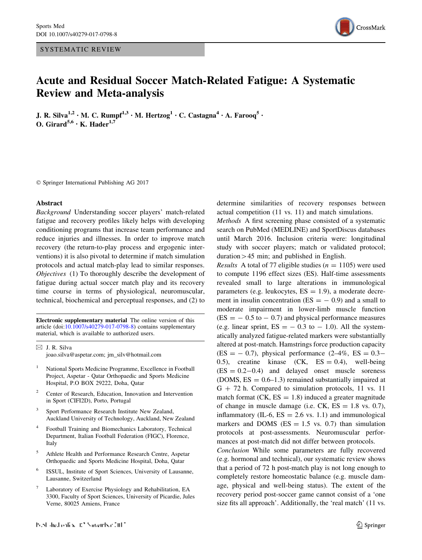SYSTEMATIC REVIEW



# Acute and Residual Soccer Match-Related Fatigue: A Systematic Review and Meta-analysis

J. R. Silva<sup>1,2</sup> • M. C. Rumpf<sup>1,3</sup> • M. Hertzog<sup>1</sup> • C. Castagna<sup>4</sup> • A. Farooq<sup>5</sup> • O. Girard<sup>5,6</sup> • K. Hader<sup>1,7</sup>

- Springer International Publishing AG 2017

#### Abstract

Background Understanding soccer players' match-related fatigue and recovery profiles likely helps with developing conditioning programs that increase team performance and reduce injuries and illnesses. In order to improve match recovery (the return-to-play process and ergogenic interventions) it is also pivotal to determine if match simulation protocols and actual match-play lead to similar responses. Objectives (1) To thoroughly describe the development of fatigue during actual soccer match play and its recovery time course in terms of physiological, neuromuscular, technical, biochemical and perceptual responses, and (2) to

Electronic supplementary material The online version of this article (doi: $10.1007$ /s40279-017-0798-8) contains supplementary material, which is available to authorized users.

 $\boxtimes$  J. R. Silva joao.silva@aspetar.com; jm\_silv@hotmail.com

- <sup>1</sup> National Sports Medicine Programme, Excellence in Football Project, Aspetar - Qatar Orthopaedic and Sports Medicine Hospital, P.O BOX 29222, Doha, Qatar
- <sup>2</sup> Center of Research, Education, Innovation and Intervention in Sport (CIFI2D), Porto, Portugal
- <sup>3</sup> Sport Performance Research Institute New Zealand, Auckland University of Technology, Auckland, New Zealand
- <sup>4</sup> Football Training and Biomechanics Laboratory, Technical Department, Italian Football Federation (FIGC), Florence, Italy
- <sup>5</sup> Athlete Health and Performance Research Centre, Aspetar Orthopaedic and Sports Medicine Hospital, Doha, Qatar
- ISSUL, Institute of Sport Sciences, University of Lausanne, Lausanne, Switzerland
- Laboratory of Exercise Physiology and Rehabilitation, EA 3300, Faculty of Sport Sciences, University of Picardie, Jules Verne, 80025 Amiens, France

determine similarities of recovery responses between actual competition (11 vs. 11) and match simulations.

Methods A first screening phase consisted of a systematic search on PubMed (MEDLINE) and SportDiscus databases until March 2016. Inclusion criteria were: longitudinal study with soccer players; match or validated protocol; duration  $>45$  min; and published in English.

*Results* A total of 77 eligible studies ( $n = 1105$ ) were used to compute 1196 effect sizes (ES). Half-time assessments revealed small to large alterations in immunological parameters (e.g. leukocytes,  $ES = 1.9$ ), a moderate decrement in insulin concentration  $(ES = -0.9)$  and a small to moderate impairment in lower-limb muscle function  $(ES = -0.5$  to  $-0.7)$  and physical performance measures (e.g. linear sprint,  $ES = -0.3$  to  $-1.0$ ). All the systematically analyzed fatigue-related markers were substantially altered at post-match. Hamstrings force production capacity  $(ES = -0.7)$ , physical performance  $(2-4\%, ES = 0.3-$ 0.5), creatine kinase  $(CK, ES = 0.4)$ , well-being  $(ES = 0.2 - 0.4)$  and delayed onset muscle soreness (DOMS,  $ES = 0.6-1.3$ ) remained substantially impaired at  $G + 72$  h. Compared to simulation protocols, 11 vs. 11 match format (CK,  $ES = 1.8$ ) induced a greater magnitude of change in muscle damage (i.e. CK,  $ES = 1.8$  vs. 0.7), inflammatory (IL-6,  $ES = 2.6$  vs. 1.1) and immunological markers and DOMS ( $ES = 1.5$  vs. 0.7) than simulation protocols at post-assessments. Neuromuscular performances at post-match did not differ between protocols.

Conclusion While some parameters are fully recovered (e.g. hormonal and technical), our systematic review shows that a period of 72 h post-match play is not long enough to completely restore homeostatic balance (e.g. muscle damage, physical and well-being status). The extent of the recovery period post-soccer game cannot consist of a 'one size fits all approach'. Additionally, the 'real match' (11 vs.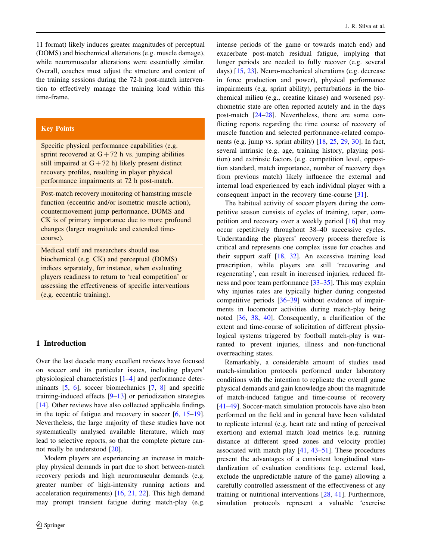11 format) likely induces greater magnitudes of perceptual (DOMS) and biochemical alterations (e.g. muscle damage), while neuromuscular alterations were essentially similar. Overall, coaches must adjust the structure and content of the training sessions during the 72-h post-match intervention to effectively manage the training load within this time-frame.

# Key Points

Specific physical performance capabilities (e.g. sprint recovered at  $G + 72$  h vs. jumping abilities still impaired at  $G + 72$  h) likely present distinct recovery profiles, resulting in player physical performance impairments at 72 h post-match.

Post-match recovery monitoring of hamstring muscle function (eccentric and/or isometric muscle action), countermovement jump performance, DOMS and CK is of primary importance due to more profound changes (larger magnitude and extended timecourse).

Medical staff and researchers should use biochemical (e.g. CK) and perceptual (DOMS) indices separately, for instance, when evaluating players readiness to return to 'real competition' or assessing the effectiveness of specific interventions (e.g. eccentric training).

# 1 Introduction

Over the last decade many excellent reviews have focused on soccer and its particular issues, including players' physiological characteristics [\[1–4](#page-39-0)] and performance deter-minants [\[5](#page-39-0), [6\]](#page-39-0), soccer biomechanics [\[7](#page-39-0), [8\]](#page-39-0) and specific training-induced effects [\[9–13](#page-39-0)] or periodization strategies [\[14](#page-39-0)]. Other reviews have also collected applicable findings in the topic of fatigue and recovery in soccer [\[6](#page-39-0), [15–19](#page-39-0)]. Nevertheless, the large majority of these studies have not systematically analysed available literature, which may lead to selective reports, so that the complete picture cannot really be understood [\[20](#page-39-0)].

Modern players are experiencing an increase in matchplay physical demands in part due to short between-match recovery periods and high neuromuscular demands (e.g. greater number of high-intensity running actions and acceleration requirements) [[16,](#page-39-0) [21,](#page-39-0) [22](#page-39-0)]. This high demand may prompt transient fatigue during match-play (e.g.

intense periods of the game or towards match end) and exacerbate post-match residual fatigue, implying that longer periods are needed to fully recover (e.g. several days) [[15,](#page-39-0) [23](#page-39-0)]. Neuro-mechanical alterations (e.g. decrease in force production and power), physical performance impairments (e.g. sprint ability), perturbations in the biochemical milieu (e.g., creatine kinase) and worsened psychometric state are often reported acutely and in the days post-match [[24–28\]](#page-39-0). Nevertheless, there are some conflicting reports regarding the time course of recovery of muscle function and selected performance-related components (e.g. jump vs. sprint ability) [\[18](#page-39-0), [25,](#page-39-0) [29](#page-39-0), [30\]](#page-39-0). In fact, several intrinsic (e.g. age, training history, playing position) and extrinsic factors (e.g. competition level, opposition standard, match importance, number of recovery days from previous match) likely influence the external and internal load experienced by each individual player with a consequent impact in the recovery time-course [\[31](#page-39-0)].

The habitual activity of soccer players during the competitive season consists of cycles of training, taper, competition and recovery over a weekly period [\[16](#page-39-0)] that may occur repetitively throughout 38–40 successive cycles. Understanding the players' recovery process therefore is critical and represents one complex issue for coaches and their support staff [\[18](#page-39-0), [32\]](#page-39-0). An excessive training load prescription, while players are still 'recovering and regenerating', can result in increased injuries, reduced fitness and poor team performance [[33–35\]](#page-39-0). This may explain why injuries rates are typically higher during congested competitive periods [[36–39\]](#page-39-0) without evidence of impairments in locomotor activities during match-play being noted [[36,](#page-39-0) [38](#page-39-0), [40](#page-40-0)]. Consequently, a clarification of the extent and time-course of solicitation of different physiological systems triggered by football match-play is warranted to prevent injuries, illness and non-functional overreaching states.

Remarkably, a considerable amount of studies used match-simulation protocols performed under laboratory conditions with the intention to replicate the overall game physical demands and gain knowledge about the magnitude of match-induced fatigue and time-course of recovery [\[41–49](#page-40-0)]. Soccer-match simulation protocols have also been performed on the field and in general have been validated to replicate internal (e.g. heart rate and rating of perceived exertion) and external match load metrics (e.g. running distance at different speed zones and velocity profile) associated with match play [\[41](#page-40-0), [43–51](#page-40-0)]. These procedures present the advantages of a consistent longitudinal standardization of evaluation conditions (e.g. external load, exclude the unpredictable nature of the game) allowing a carefully controlled assessment of the effectiveness of any training or nutritional interventions [[28,](#page-39-0) [41\]](#page-40-0). Furthermore, simulation protocols represent a valuable 'exercise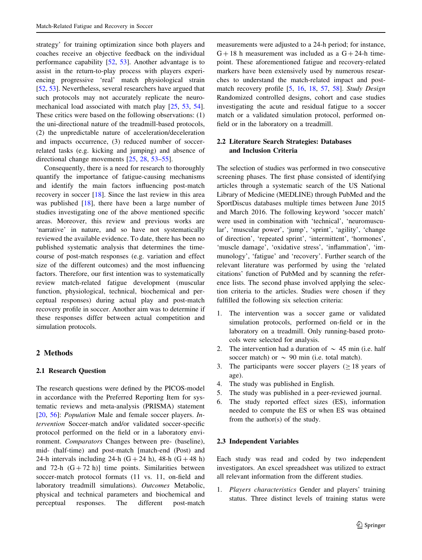strategy' for training optimization since both players and coaches receive an objective feedback on the individual performance capability [[52,](#page-40-0) [53](#page-40-0)]. Another advantage is to assist in the return-to-play process with players experiencing progressive 'real' match physiological strain [\[52](#page-40-0), [53](#page-40-0)]. Nevertheless, several researchers have argued that such protocols may not accurately replicate the neuromechanical load associated with match play [[25,](#page-39-0) [53](#page-40-0), [54](#page-40-0)]. These critics were based on the following observations: (1) the uni-directional nature of the treadmill-based protocols, (2) the unpredictable nature of acceleration/deceleration and impacts occurrence, (3) reduced number of soccerrelated tasks (e.g. kicking and jumping) and absence of directional change movements [[25,](#page-39-0) [28,](#page-39-0) [53–55](#page-40-0)].

Consequently, there is a need for research to thoroughly quantify the importance of fatigue-causing mechanisms and identify the main factors influencing post-match recovery in soccer [[18](#page-39-0)]. Since the last review in this area was published [\[18](#page-39-0)], there have been a large number of studies investigating one of the above mentioned specific areas. Moreover, this review and previous works are 'narrative' in nature, and so have not systematically reviewed the available evidence. To date, there has been no published systematic analysis that determines the timecourse of post-match responses (e.g. variation and effect size of the different outcomes) and the most influencing factors. Therefore, our first intention was to systematically review match-related fatigue development (muscular function, physiological, technical, biochemical and perceptual responses) during actual play and post-match recovery profile in soccer. Another aim was to determine if these responses differ between actual competition and simulation protocols.

# 2 Methods

# 2.1 Research Question

The research questions were defined by the PICOS-model in accordance with the Preferred Reporting Item for systematic reviews and meta-analysis (PRISMA) statement [\[20](#page-39-0), [56\]](#page-40-0): *Population* Male and female soccer players. *In*tervention Soccer-match and/or validated soccer-specific protocol performed on the field or in a laboratory environment. Comparators Changes between pre- (baseline), mid- (half-time) and post-match [match-end (Post) and 24-h intervals including 24-h  $(G + 24 h)$ , 48-h  $(G + 48 h)$ and 72-h  $(G + 72 h)$ ] time points. Similarities between soccer-match protocol formats (11 vs. 11, on-field and laboratory treadmill simulations). Outcomes Metabolic, physical and technical parameters and biochemical and perceptual responses. The different post-match measurements were adjusted to a 24-h period; for instance,  $G + 18$  h measurement was included as a  $G + 24$ -h timepoint. These aforementioned fatigue and recovery-related markers have been extensively used by numerous researches to understand the match-related impact and postmatch recovery profile [[5,](#page-39-0) [16](#page-39-0), [18](#page-39-0), [57,](#page-40-0) [58\]](#page-40-0). Study Design Randomized controlled designs, cohort and case studies investigating the acute and residual fatigue to a soccer match or a validated simulation protocol, performed onfield or in the laboratory on a treadmill.

# 2.2 Literature Search Strategies: Databases and Inclusion Criteria

The selection of studies was performed in two consecutive screening phases. The first phase consisted of identifying articles through a systematic search of the US National Library of Medicine (MEDLINE) through PubMed and the SportDiscus databases multiple times between June 2015 and March 2016. The following keyword 'soccer match' were used in combination with 'technical', 'neuromuscular', 'muscular power', 'jump', 'sprint', 'agility', 'change of direction', 'repeated sprint', 'intermittent', 'hormones', 'muscle damage', 'oxidative stress', 'inflammation', 'immunology', 'fatigue' and 'recovery'. Further search of the relevant literature was performed by using the 'related citations' function of PubMed and by scanning the reference lists. The second phase involved applying the selection criteria to the articles. Studies were chosen if they fulfilled the following six selection criteria:

- 1. The intervention was a soccer game or validated simulation protocols, performed on-field or in the laboratory on a treadmill. Only running-based protocols were selected for analysis.
- 2. The intervention had a duration of  $\sim$  45 min (i.e. half soccer match) or  $\sim$  90 min (i.e. total match).
- 3. The participants were soccer players  $( \geq 18 \text{ years of})$ age).
- 4. The study was published in English.
- 5. The study was published in a peer-reviewed journal.
- 6. The study reported effect sizes (ES), information needed to compute the ES or when ES was obtained from the author(s) of the study.

# 2.3 Independent Variables

Each study was read and coded by two independent investigators. An excel spreadsheet was utilized to extract all relevant information from the different studies.

1. Players characteristics Gender and players' training status. Three distinct levels of training status were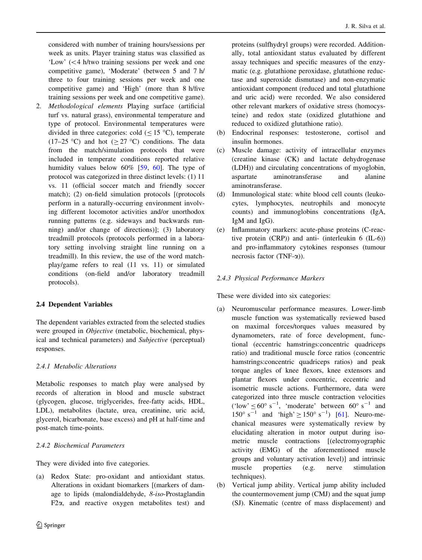considered with number of training hours/sessions per week as units. Player training status was classified as 'Low'  $(<$  4 h/two training sessions per week and one competitive game), 'Moderate' (between 5 and 7 h/ three to four training sessions per week and one competitive game) and 'High' (more than 8 h/five training sessions per week and one competitive game).

2. Methodological elements Playing surface (artificial turf vs. natural grass), environmental temperature and type of protocol. Environmental temperatures were divided in three categories: cold  $(< 15 \degree C)$ , temperate (17–25 °C) and hot ( $>$  27 °C) conditions. The data from the match/simulation protocols that were included in temperate conditions reported relative humidity values below 60% [[59](#page-40-0), [60\]](#page-40-0). The type of protocol was categorized in three distinct levels: (1) 11 vs. 11 (official soccer match and friendly soccer match); (2) on-field simulation protocols [(protocols perform in a naturally-occurring environment involving different locomotor activities and/or unorthodox running patterns (e.g. sideways and backwards running) and/or change of directions)]; (3) laboratory treadmill protocols (protocols performed in a laboratory setting involving straight line running on a treadmill). In this review, the use of the word matchplay/game refers to real (11 vs. 11) or simulated conditions (on-field and/or laboratory treadmill protocols).

# 2.4 Dependent Variables

The dependent variables extracted from the selected studies were grouped in Objective (metabolic, biochemical, physical and technical parameters) and Subjective (perceptual) responses.

# 2.4.1 Metabolic Alterations

Metabolic responses to match play were analysed by records of alteration in blood and muscle substract (glycogen, glucose, triglycerides, free-fatty acids, HDL, LDL), metabolites (lactate, urea, creatinine, uric acid, glycerol, bicarbonate, base excess) and pH at half-time and post-match time-points.

# 2.4.2 Biochemical Parameters

They were divided into five categories.

(a) Redox State: pro-oxidant and antioxidant status. Alterations in oxidant biomarkers [(markers of damage to lipids (malondialdehyde, 8-iso-Prostaglandin F2 $\alpha$ , and reactive oxygen metabolites test) and

proteins (sulfhydryl groups) were recorded. Additionally, total antioxidant status evaluated by different assay techniques and specific measures of the enzymatic (e.g. glutathione peroxidase, glutathione reductase and superoxide dismutase) and non-enzymatic antioxidant component (reduced and total glutathione and uric acid) were recorded. We also considered other relevant markers of oxidative stress (homocysteine) and redox state (oxidized glutathione and reduced to oxidized glutathione ratio).

- (b) Endocrinal responses: testosterone, cortisol and insulin hormones.
- (c) Muscle damage: activity of intracellular enzymes (creatine kinase (CK) and lactate dehydrogenase (LDH)) and circulating concentrations of myoglobin, aspartate aminotransferase and alanine aminotransferase.
- (d) Immunological state: white blood cell counts (leukocytes, lymphocytes, neutrophils and monocyte counts) and immunoglobins concentrations (IgA, IgM and IgG).
- (e) Inflammatory markers: acute-phase proteins (C-reactive protein (CRP)) and anti- (interleukin 6 (IL-6)) and pro-inflammatory cytokines responses (tumour necrosis factor  $(TNF-\alpha)$ ).

# 2.4.3 Physical Performance Markers

These were divided into six categories:

- (a) Neuromuscular performance measures. Lower-limb muscle function was systematically reviewed based on maximal forces/torques values measured by dynamometers, rate of force development, functional (eccentric hamstrings:concentric quadriceps ratio) and traditional muscle force ratios (concentric hamstrings:concentric quadriceps ratios) and peak torque angles of knee flexors, knee extensors and plantar flexors under concentric, eccentric and isometric muscle actions. Furthermore, data were categorized into three muscle contraction velocities ('low'  $\leq 60^{\circ}$  s<sup>-1</sup>, 'moderate' between  $60^{\circ}$  s<sup>-1</sup> and  $150^{\circ}$  s<sup>-1</sup> and 'high'  $\geq 150^{\circ}$  s<sup>-1</sup>) [\[61](#page-40-0)]. Neuro-mechanical measures were systematically review by elucidating alteration in motor output during isometric muscle contractions [(electromyographic activity (EMG) of the aforementioned muscle groups and voluntary activation level)] and intrinsic muscle properties (e.g. nerve stimulation techniques).
- (b) Vertical jump ability. Vertical jump ability included the countermovement jump (CMJ) and the squat jump (SJ). Kinematic (centre of mass displacement) and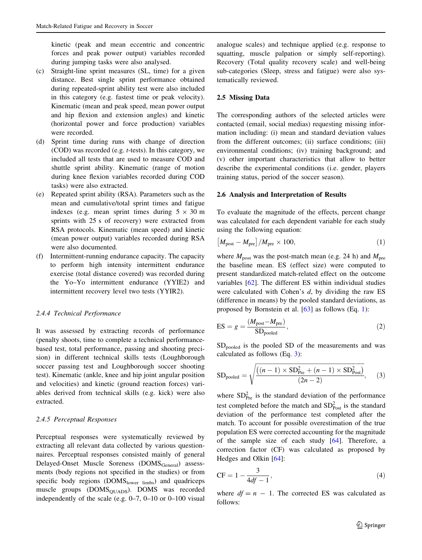<span id="page-4-0"></span>kinetic (peak and mean eccentric and concentric forces and peak power output) variables recorded during jumping tasks were also analysed.

- (c) Straight-line sprint measures (SL, time) for a given distance. Best single sprint performance obtained during repeated-sprint ability test were also included in this category (e.g. fastest time or peak velocity). Kinematic (mean and peak speed, mean power output and hip flexion and extension angles) and kinetic (horizontal power and force production) variables were recorded.
- (d) Sprint time during runs with change of direction (COD) was recorded (e.g. t-tests). In this category, we included all tests that are used to measure COD and shuttle sprint ability. Kinematic (range of motion during knee flexion variables recorded during COD tasks) were also extracted.
- (e) Repeated sprint ability (RSA). Parameters such as the mean and cumulative/total sprint times and fatigue indexes (e.g. mean sprint times during  $5 \times 30$  m sprints with 25 s of recovery) were extracted from RSA protocols. Kinematic (mean speed) and kinetic (mean power output) variables recorded during RSA were also documented.
- (f) Intermittent-running endurance capacity. The capacity to perform high intensity intermittent endurance exercise (total distance covered) was recorded during the Yo–Yo intermittent endurance (YYIE2) and intermittent recovery level two tests (YYIR2).

### 2.4.4 Technical Performance

It was assessed by extracting records of performance (penalty shoots, time to complete a technical performancebased test, total performance, passing and shooting precision) in different technical skills tests (Loughborough soccer passing test and Loughborough soccer shooting test). Kinematic (ankle, knee and hip joint angular position and velocities) and kinetic (ground reaction forces) variables derived from technical skills (e.g. kick) were also extracted.

# 2.4.5 Perceptual Responses

Perceptual responses were systematically reviewed by extracting all relevant data collected by various questionnaires. Perceptual responses consisted mainly of general Delayed-Onset Muscle Soreness (DOMS<sub>General</sub>) assessments (body regions not specified in the studies) or from specific body regions (DOMSlower limbs) and quadriceps muscle groups (DOMS<sub>OUADS</sub>). DOMS was recorded independently of the scale (e.g. 0–7, 0–10 or 0–100 visual

analogue scales) and technique applied (e.g. response to squatting, muscle palpation or simply self-reporting). Recovery (Total quality recovery scale) and well-being sub-categories (Sleep, stress and fatigue) were also systematically reviewed.

### 2.5 Missing Data

The corresponding authors of the selected articles were contacted (email, social medias) requesting missing information including: (i) mean and standard deviation values from the different outcomes; (ii) surface conditions; (iii) environmental conditions; (iv) training background; and (v) other important characteristics that allow to better describe the experimental conditions (i.e. gender, players training status, period of the soccer season).

### 2.6 Analysis and Interpretation of Results

To evaluate the magnitude of the effects, percent change was calculated for each dependent variable for each study using the following equation:

$$
\left[M_{\text{post}} - M_{\text{pre}}\right] / M_{\text{pre}} \times 100,\tag{1}
$$

where  $M_{\text{post}}$  was the post-match mean (e.g. 24 h) and  $M_{\text{pre}}$ the baseline mean. ES (effect size) were computed to present standardized match-related effect on the outcome variables [[62](#page-40-0)]. The different ES within individual studies were calculated with Cohen's d, by dividing the raw ES (difference in means) by the pooled standard deviations, as proposed by Bornstein et al. [[63\]](#page-40-0) as follows (Eq. 1):

$$
ES = g = \frac{(M_{\text{post}} - M_{\text{pre}})}{SD_{\text{pooled}}},
$$
\n(2)

 $SD<sub>pooled</sub>$  is the pooled SD of the measurements and was calculated as follows (Eq. 3):

$$
SD_{pooled} = \sqrt{\frac{((n-1) \times SD_{Pre}^2 + (n-1) \times SD_{Post}^2)}{(2n-2)}},
$$
 (3)

where  $SD<sub>Pre</sub><sup>2</sup>$  is the standard deviation of the performance test completed before the match and  $SD<sub>Post</sub><sup>2</sup>$  is the standard deviation of the performance test completed after the match. To account for possible overestimation of the true population ES were corrected accounting for the magnitude of the sample size of each study [[64\]](#page-40-0). Therefore, a correction factor (CF) was calculated as proposed by Hedges and Olkin [[64\]](#page-40-0):

$$
CF = 1 - \frac{3}{4df - 1},
$$
\n(4)

where  $df = n - 1$ . The corrected ES was calculated as follows: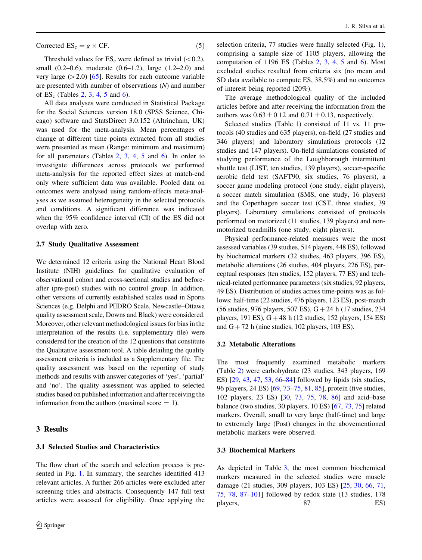$$
Corrected ESc = g \times CF.
$$
 (5)

Threshold values for  $ES_c$  were defined as trivial ( $\langle 0.2 \rangle$ ), small (0.2–0.6), moderate (0.6–1.2), large (1.2–2.0) and very large  $(>2.0)$  [[65\]](#page-40-0). Results for each outcome variable are presented with number of observations  $(N)$  and number of  $ES_c$  (Tables [2](#page-15-0), [3](#page-16-0), [4,](#page-21-0) [5](#page-25-0) and [6\)](#page-29-0).

All data analyses were conducted in Statistical Package for the Social Sciences version 18.0 (SPSS Science, Chicago) software and StatsDirect 3.0.152 (Altrincham, UK) was used for the meta-analysis. Mean percentages of change at different time points extracted from all studies were presented as mean (Range: minimum and maximum) for all parameters (Tables [2](#page-15-0), [3](#page-16-0), [4](#page-21-0), [5](#page-25-0) and [6\)](#page-29-0). In order to investigate differences across protocols we performed meta-analysis for the reported effect sizes at match-end only where sufficient data was available. Pooled data on outcomes were analysed using random-effects meta-analyses as we assumed heterogeneity in the selected protocols and conditions. A significant difference was indicated when the 95% confidence interval (CI) of the ES did not overlap with zero.

### 2.7 Study Qualitative Assessment

We determined 12 criteria using the National Heart Blood Institute (NIH) guidelines for qualitative evaluation of observational cohort and cross-sectional studies and beforeafter (pre-post) studies with no control group. In addition, other versions of currently established scales used in Sports Sciences (e.g. Delphi and PEDRO Scale, Newcastle–Ottawa quality assessment scale, Downs and Black) were considered. Moreover, other relevant methodological issues for bias in the interpretation of the results (i.e. supplementary file) were considered for the creation of the 12 questions that constitute the Qualitative assessment tool. A table detailing the quality assessment criteria is included as a Supplementary file. The quality assessment was based on the reporting of study methods and results with answer categories of 'yes', 'partial' and 'no'. The quality assessment was applied to selected studies based on published information and after receiving the information from the authors (maximal score  $= 1$ ).

# 3 Results

### 3.1 Selected Studies and Characteristics

The flow chart of the search and selection process is presented in Fig. [1](#page-6-0). In summary, the searches identified 413 relevant articles. A further 266 articles were excluded after screening titles and abstracts. Consequently 147 full text articles were assessed for eligibility. Once applying the

selection criteria, 77 studies were finally selected (Fig. [1](#page-6-0)), comprising a sample size of 1105 players, allowing the computation of 1196 ES (Tables  $2, 3, 4, 5$  $2, 3, 4, 5$  $2, 3, 4, 5$  $2, 3, 4, 5$  $2, 3, 4, 5$  $2, 3, 4, 5$  $2, 3, 4, 5$  and [6\)](#page-29-0). Most excluded studies resulted from criteria six (no mean and SD data available to compute ES, 38.5%) and no outcomes of interest being reported (20%).

The average methodological quality of the included articles before and after receiving the information from the authors was  $0.63 \pm 0.12$  and  $0.71 \pm 0.13$ , respectively.

Selected studies (Table [1](#page-7-0)) consisted of 11 vs. 11 protocols (40 studies and 635 players), on-field (27 studies and 346 players) and laboratory simulations protocols (12 studies and 147 players). On-field simulations consisted of studying performance of the Loughborough intermittent shuttle test (LIST, ten studies, 139 players), soccer-specific aerobic field test (SAFT90, six studies, 76 players), a soccer game modeling protocol (one study, eight players), a soccer match simulation (SMS, one study, 16 players) and the Copenhagen soccer test (CST, three studies, 39 players). Laboratory simulations consisted of protocols performed on motorized (11 studies, 139 players) and nonmotorized treadmills (one study, eight players).

Physical performance-related measures were the most assessed variables (39 studies, 514 players, 448 ES), followed by biochemical markers (32 studies, 463 players, 396 ES), metabolic alterations (26 studies, 404 players, 226 ES), perceptual responses (ten studies, 152 players, 77 ES) and technical-related performance parameters (six studies, 92 players, 49 ES). Distribution of studies across time-points was as follows: half-time (22 studies, 476 players, 123 ES), post-match  $(56 \text{ studies}, 976 \text{ players}, 507 \text{ ES}), G + 24 \text{ h} (17 \text{ studies}, 234 \text{).}$ players, 191 ES),  $G + 48$  h (12 studies, 152 players, 154 ES) and  $G + 72$  h (nine studies, 102 players, 103 ES).

### 3.2 Metabolic Alterations

The most frequently examined metabolic markers (Table [2\)](#page-15-0) were carbohydrate (23 studies, 343 players, 169 ES) [\[29](#page-39-0), [43,](#page-40-0) [47,](#page-40-0) [53](#page-40-0), [66–](#page-40-0)[84\]](#page-41-0) followed by lipids (six studies, 96 players, 24 ES) [\[69](#page-40-0), [73–75,](#page-40-0) [81,](#page-41-0) [85\]](#page-41-0), protein (five studies, 102 players, 23 ES) [\[30](#page-39-0), [73](#page-40-0), [75,](#page-40-0) [78,](#page-41-0) [86\]](#page-41-0) and acid–base balance (two studies, 30 players, 10 ES) [[67,](#page-40-0) [73](#page-40-0), [75](#page-40-0)] related markers. Overall, small to very large (half-time) and large to extremely large (Post) changes in the abovementioned metabolic markers were observed.

### 3.3 Biochemical Markers

As depicted in Table [3](#page-16-0), the most common biochemical markers measured in the selected studies were muscle damage (21 studies, 309 players, 103 ES) [\[25](#page-39-0), [30](#page-39-0), [66,](#page-40-0) [71,](#page-40-0) [75](#page-40-0), [78](#page-41-0), [87–101\]](#page-41-0) followed by redox state (13 studies, 178 players, 87 ES)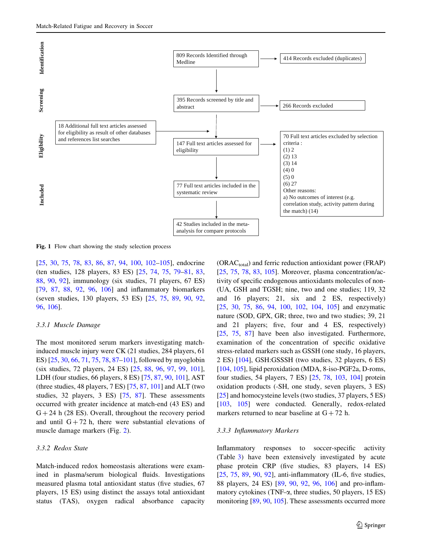<span id="page-6-0"></span>

Fig. 1 Flow chart showing the study selection process

[\[25](#page-39-0), [30,](#page-39-0) [75,](#page-40-0) [78,](#page-41-0) [83](#page-41-0), [86](#page-41-0), [87,](#page-41-0) [94,](#page-41-0) [100,](#page-41-0) [102–105](#page-41-0)], endocrine (ten studies, 128 players, 83 ES) [[25,](#page-39-0) [74](#page-40-0), [75,](#page-40-0) [79–81](#page-41-0), [83,](#page-41-0) [88,](#page-41-0) [90](#page-41-0), [92\]](#page-41-0), immunology (six studies, 71 players, 67 ES) [\[79](#page-41-0), [87,](#page-41-0) [88](#page-41-0), [92](#page-41-0), [96,](#page-41-0) [106](#page-41-0)] and inflammatory biomarkers (seven studies, 130 players, 53 ES) [[25,](#page-39-0) [75,](#page-40-0) [89,](#page-41-0) [90,](#page-41-0) [92,](#page-41-0) [96,](#page-41-0) [106\]](#page-41-0).

### 3.3.1 Muscle Damage

The most monitored serum markers investigating matchinduced muscle injury were CK (21 studies, 284 players, 61 ES) [\[25](#page-39-0), [30,](#page-39-0) [66](#page-40-0), [71,](#page-40-0) [75](#page-40-0), [78,](#page-41-0) [87–101](#page-41-0)], followed by myoglobin (six studies, 72 players, 24 ES) [[25,](#page-39-0) [88,](#page-41-0) [96,](#page-41-0) [97](#page-41-0), [99](#page-41-0), [101](#page-41-0)], LDH (four studies, 66 players, 8 ES) [[75,](#page-40-0) [87,](#page-41-0) [90](#page-41-0), [101](#page-41-0)], AST (three studies, 48 players, 7 ES) [[75,](#page-40-0) [87](#page-41-0), [101\]](#page-41-0) and ALT (two studies, 32 players, 3 ES) [[75,](#page-40-0) [87](#page-41-0)]. These assessments occurred with greater incidence at match-end (43 ES) and  $G + 24$  h (28 ES). Overall, throughout the recovery period and until  $G + 72$  h, there were substantial elevations of muscle damage markers (Fig. [2](#page-20-0)).

### 3.3.2 Redox State

Match-induced redox homeostasis alterations were examined in plasma/serum biological fluids. Investigations measured plasma total antioxidant status (five studies, 67 players, 15 ES) using distinct the assays total antioxidant status (TAS), oxygen radical absorbance capacity

 $(ORAC_{total})$  and ferric reduction antioxidant power (FRAP) [\[25](#page-39-0), [75](#page-40-0), [78](#page-41-0), [83](#page-41-0), [105](#page-41-0)]. Moreover, plasma concentration/activity of specific endogenous antioxidants molecules of non- (UA, GSH and TGSH; nine, two and one studies; 119, 32 and 16 players; 21, six and 2 ES, respectively) [\[25](#page-39-0), [30,](#page-39-0) [75,](#page-40-0) [86,](#page-41-0) [94,](#page-41-0) [100,](#page-41-0) [102,](#page-41-0) [104,](#page-41-0) [105\]](#page-41-0) and enzymatic nature (SOD, GPX, GR; three, two and two studies; 39, 21 and 21 players; five, four and 4 ES, respectively) [\[25](#page-39-0), [75](#page-40-0), [87\]](#page-41-0) have been also investigated. Furthermore, examination of the concentration of specific oxidative stress-related markers such as GSSH (one study, 16 players, 2 ES) [\[104](#page-41-0)], GSH:GSSSH (two studies, 32 players, 6 ES) [\[104](#page-41-0), [105\]](#page-41-0), lipid peroxidation (MDA, 8-iso-PGF2a, D-roms, four studies, 54 players, 7 ES) [\[25](#page-39-0), [78](#page-41-0), [103,](#page-41-0) [104\]](#page-41-0) protein oxidation products (-SH, one study, seven players, 3 ES) [\[25](#page-39-0)] and homocysteine levels (two studies, 37 players, 5 ES) [\[103](#page-41-0), [105](#page-41-0)] were conducted. Generally, redox-related markers returned to near baseline at  $G + 72$  h.

#### 3.3.3 Inflammatory Markers

Inflammatory responses to soccer-specific activity (Table [3\)](#page-16-0) have been extensively investigated by acute phase protein CRP (five studies, 83 players, 14 ES) [\[25](#page-39-0), [75](#page-40-0), [89](#page-41-0), [90](#page-41-0), [92](#page-41-0)], anti-inflammatory (IL-6, five studies, 88 players, 24 ES) [[89,](#page-41-0) [90](#page-41-0), [92,](#page-41-0) [96](#page-41-0), [106\]](#page-41-0) and pro-inflammatory cytokines (TNF- $\alpha$ , three studies, 50 players, 15 ES) monitoring [\[89](#page-41-0), [90](#page-41-0), [105](#page-41-0)]. These assessments occurred more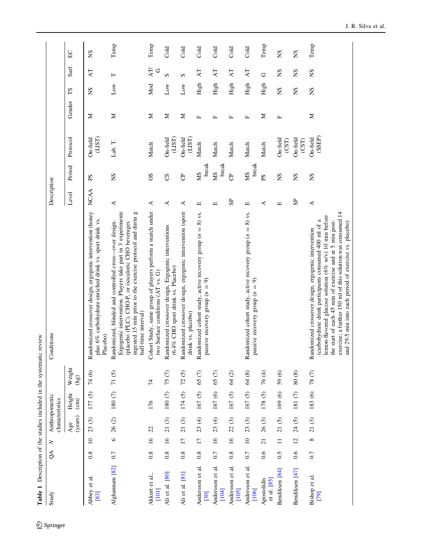<span id="page-7-0"></span>

| Table 1 Description of the studies included in the systematic review |       |                 |                                   |                           |                         |                                                                                                                                                                                                                                                                                                                                                           |             |                    |                                       |              |      |          |       |
|----------------------------------------------------------------------|-------|-----------------|-----------------------------------|---------------------------|-------------------------|-----------------------------------------------------------------------------------------------------------------------------------------------------------------------------------------------------------------------------------------------------------------------------------------------------------------------------------------------------------|-------------|--------------------|---------------------------------------|--------------|------|----------|-------|
| Study                                                                | $\Im$ | $\geq$          | Anthropometric<br>characteristics |                           |                         | Conditions                                                                                                                                                                                                                                                                                                                                                | Description |                    |                                       |              |      |          |       |
|                                                                      |       |                 | (years)<br>Age                    | Height<br>$\binom{cm}{c}$ | Weight<br>$(\text{kg})$ |                                                                                                                                                                                                                                                                                                                                                           | Level       | Period             | Protocol                              | Gender       | ΣJ   | Surf.    | $E$ C |
| $\vec{a}$<br>Abbey et<br>[83]                                        | 0.8   | $\overline{10}$ | $\odot$<br>23                     | 177(5)                    | 74 (6)                  | Randomized crossover design, ergogenic intervention (honey<br>plus 6% carbohydrate enriched drink vs. sport drink vs.<br>Placebo)                                                                                                                                                                                                                         | NCAA        | ΡS                 | On-field<br>(LIST)                    | Σ            | SN   | ĀТ       | SN    |
| Alghannam <sup>[82]</sup>                                            | 0.7   | $\circ$         | $26(2)$                           | $180~(7)$                 | $71(5)$                 | Ergogenic intervention. Players take part in 3 experiments<br>ingested 15 min prior to the exercise protocol and durin g<br>Randomized, blinded and controlled cross-over design.<br>(placebo (PLC), CHO-P, or isocaloric CHO beverages<br>half-time interval)                                                                                            | 4           | SN                 | Lab. T.                               | Σ            | Low  | ⊢        | Temp  |
| al.,<br>Akkurt et<br>$[101]$                                         | 0.8   | $\overline{16}$ | 22                                | 176                       | $\overline{7}$          | Cohort Study, same group of players perform a match under<br>two Surface conditions (AT vs. G)                                                                                                                                                                                                                                                            | ⋖           | SO                 | Match                                 | Σ            | Mod  | AT/<br>ゥ | Temp  |
| Ali et al. [80]                                                      | 0.8   | 16              | $\odot$<br>$\overline{21}$        | $180(7)$                  | 75(7)                   | Randomized crossover design, Ergogenic interventions<br>(6.4% CHO sport drink vs. Placebo)                                                                                                                                                                                                                                                                | ⋖           | CS                 | On-field<br>(LIST)                    | Σ            | Low  | S        | Cold  |
| Ali et al. [81]                                                      | 0.8   | $\overline{17}$ | $\odot$<br>$\overline{c}$         | 174(5)                    | 72(5)                   | Randomized crossover design, ergogenic intervention (sport<br>drink vs. placebo)                                                                                                                                                                                                                                                                          | ⋖           | පි                 | On-field<br>(LIST)                    | Σ            | Low  | S        | Cold  |
| $\overline{a}$<br>Andersson et<br>[30]                               | 0.8   | $\overline{17}$ | 23(4)                             | 167(5)                    | $\mathcal{L}$<br>65     | 8) vs.<br>Randomized cohort study, active recovery group $(n =$<br>passive recovery group $(n = 9)$                                                                                                                                                                                                                                                       | Щ           | break<br><b>NS</b> | Match                                 | $\mathbf{L}$ | High | ĀТ       | Cold  |
| ੜ<br>Andersson et<br>[104]                                           | 0.7   | $\overline{16}$ | 23(4)                             | 167(6)                    | 65 <sub>(7)</sub>       |                                                                                                                                                                                                                                                                                                                                                           | Щ           | break<br><b>NS</b> | Match                                 | щ            | High | AT       | Cold  |
| ੜਂ<br>Andersson et<br>[105]                                          | 0.8   | $\overline{16}$ | 22(3)                             | 167(5)                    | 64 (2)                  |                                                                                                                                                                                                                                                                                                                                                           | $_{\rm SP}$ | පි                 | Match                                 | Щ            | High | ĀТ       | Cold  |
| $\vec{a}$<br>Andersson et<br>[106]                                   | 0.7   | $\overline{10}$ | 23(3)                             | 167(5)                    | 64 (8)                  | Randomized cohort study, active recovery group $(n = 8)$ vs.<br>passive recovery group $(n = 9)$                                                                                                                                                                                                                                                          | Щ           | break<br>SM        | Match                                 | Щ            | High | ĀТ       | Cold  |
| Apostolidis<br>et al. [85]                                           | 0.6   | $\overline{c}$  | 26(3)                             | 178(5)                    | 76(4)                   |                                                                                                                                                                                                                                                                                                                                                           | ⋖           | $_{\rm{PS}}$       | Match                                 | Σ            | High | O        | Temp  |
| Bendiksen [84]                                                       | 0.5   | $\equiv$        | $\widehat{c}$<br>$\overline{21}$  | 169 (6)                   | 59 (6)                  |                                                                                                                                                                                                                                                                                                                                                           | Щ           | SN                 | $On-field$<br>$\overline{\text{CST}}$ | щ            | SN   | SN       | SN    |
| Bendiksen [47]                                                       | 0.6   | 12              | 24(5)                             | 181 $(7)$                 | $80\ (8)$               |                                                                                                                                                                                                                                                                                                                                                           | $_{\rm{S}}$ | SN                 | On-field<br>$\left($ CST $\right)$    |              | SN   | SN       | SN    |
| ಸ<br>Bishop et<br>[79]                                               | 0.7   | $^{\circ}$      | $\odot$<br>$\overline{21}$        | 183 (6)                   | $78(7)$                 | exercise; a further 150 ml of this solution was consumed 14<br>lemon-flavored glucose solution (6% w/v) 10 min before<br>carbohydrate drink participants consumed 400 ml of a<br>the start of each 45 min of exercise and at 5 min post-<br>and 29.5 min into each period of exercise vs. placebo)<br>Randomized crossover design, ergogenic intervention | $\prec$     | SN                 | (SSEP)<br>On-field                    | Σ            | SN   | SN       | Temp  |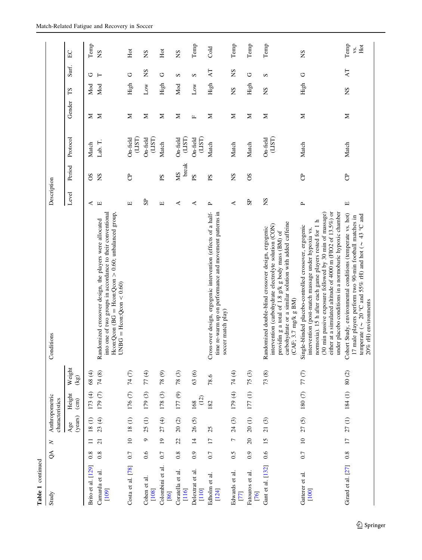| Table 1 continued                                    |                             |                 |                 |                |                |                                                                                                                                                                                                                                                                                                                                                              |                                                                                                                                                                                                                                                                                                                                                                                                                                                                                                                                                                                                             |               |                      |              |                 |               |                    |
|------------------------------------------------------|-----------------------------|-----------------|-----------------|----------------|----------------|--------------------------------------------------------------------------------------------------------------------------------------------------------------------------------------------------------------------------------------------------------------------------------------------------------------------------------------------------------------|-------------------------------------------------------------------------------------------------------------------------------------------------------------------------------------------------------------------------------------------------------------------------------------------------------------------------------------------------------------------------------------------------------------------------------------------------------------------------------------------------------------------------------------------------------------------------------------------------------------|---------------|----------------------|--------------|-----------------|---------------|--------------------|
| Study                                                | $\mathcal{S}^{\mathcal{A}}$ | $\geq$          | characteristics | Anthropometric |                | Conditions                                                                                                                                                                                                                                                                                                                                                   | Description                                                                                                                                                                                                                                                                                                                                                                                                                                                                                                                                                                                                 |               |                      |              |                 |               |                    |
|                                                      |                             |                 | (years)<br>Age  | Height         | Weight<br>(kg) |                                                                                                                                                                                                                                                                                                                                                              | Level                                                                                                                                                                                                                                                                                                                                                                                                                                                                                                                                                                                                       | Period        | Protocol             | Gender       | SJ              | Surf.         | E                  |
| Brito et al. [129]                                   | 0.8                         | $\Xi$           | $18(1)$         | 173(4)         | 68(4)          |                                                                                                                                                                                                                                                                                                                                                              | ≺                                                                                                                                                                                                                                                                                                                                                                                                                                                                                                                                                                                                           | SO            | Match                | Σ            | Mod             | ゥ             | Temp               |
| Camarda et al.<br>[109]                              | 0.8                         | $\overline{c}$  | 23(4)           | $179(7)$       | 74 (8)         | into one of two groups in accordance to their conventional<br>Heon:Qcon (BG = Heon:Qcon > 0.60; unbalanced group,<br>Randomized crossover design, the players were allocated<br>$UNBG = \text{Hcon:} \text{Qcon} < 0.60)$                                                                                                                                    | $\boxed{\underline{\phantom{a}}}% =\qquad\qquad \frac{\underline{\phantom{a}}}{\underline{\phantom{a}}}% =\qquad\qquad \frac{\underline{\phantom{a}}}{\underline{\phantom{a}}}% =\qquad\qquad \frac{\underline{\phantom{a}}}{\underline{\phantom{a}}}% =\qquad\qquad \frac{\underline{\phantom{a}}}{\underline{\phantom{a}}}% =\qquad\qquad \frac{\underline{\phantom{a}}}{\underline{\phantom{a}}}% =\qquad\qquad \frac{\underline{\phantom{a}}}{\underline{\phantom{a}}}% =\qquad\qquad \frac{\underline{\phantom{a}}}{\underline{\phantom{a}}}% =\qquad\qquad \frac{\underline{\phantom{a}}}{\underline$ | SN            | Lab. T.              | $\geq$       | Mod             | Н             | SN                 |
| Costa et al. [78]                                    | 0.7                         | $\overline{a}$  | 18(1)           | 176 (7)        | 74 (7)         |                                                                                                                                                                                                                                                                                                                                                              | П                                                                                                                                                                                                                                                                                                                                                                                                                                                                                                                                                                                                           | පි            | $On-field$<br>(LIST) | Σ            | High            | ت             | Hot                |
| Cohen et al.<br>[108]                                | 0.6                         | G               | 25(1)           | 179(3)         | 77(4)          |                                                                                                                                                                                                                                                                                                                                                              | $_{\rm SP}$                                                                                                                                                                                                                                                                                                                                                                                                                                                                                                                                                                                                 |               | On-field<br>(LIST)   | Σ            | $_{\text{Low}}$ | SN            | SN                 |
| Colombini et al.<br>[86]                             | 0.7                         | $\overline{19}$ | 27(4)           | 178(3)         | 78(9)          |                                                                                                                                                                                                                                                                                                                                                              | Щ                                                                                                                                                                                                                                                                                                                                                                                                                                                                                                                                                                                                           | $_{\rm{PS}}$  | Match                | Σ            | High            | O             | Hot                |
| ನ<br>Coratella et<br>$[116]$                         | $0.\overline{8}$            | 22              | $20\ (2)$       | 177 (9)        | 78(3)          |                                                                                                                                                                                                                                                                                                                                                              | ≺                                                                                                                                                                                                                                                                                                                                                                                                                                                                                                                                                                                                           | break<br>SM   | On-field<br>(LIST)   | Σ            | Mod             | S             | SN                 |
| Delextrat et al.<br>$[110]$                          | 0.9                         | $\overline{1}$  | 26(5)           | (12)<br>168    | 63(6)          |                                                                                                                                                                                                                                                                                                                                                              | ⋖                                                                                                                                                                                                                                                                                                                                                                                                                                                                                                                                                                                                           | $\mathbf{S}$  | On-field<br>(LIST)   | $\mathbf{L}$ | $_{\rm Low}$    | S             | Temp               |
| Edholm et al.<br>[124]                               | 0.7                         | $\overline{17}$ | 25              | 182            | 78.6           | Cross-over design, ergogenic intervention (effects of a half-<br>time re-warm up on performance and movement patterns in<br>soccer match play)                                                                                                                                                                                                               | $\sim$                                                                                                                                                                                                                                                                                                                                                                                                                                                                                                                                                                                                      | ΡS            | Match                | Σ            | High            | AT            | Cold               |
| Edwards et al.<br>$\begin{bmatrix} 77 \end{bmatrix}$ | 0.5                         | $\overline{ }$  | 24(3)           | 179 (4)        | 74 (4)         |                                                                                                                                                                                                                                                                                                                                                              | ⋖                                                                                                                                                                                                                                                                                                                                                                                                                                                                                                                                                                                                           | SN            | Match                | Σ            | SN              | SN            | Temp               |
| ನ<br>Fatouros et<br>[76]                             | 0.9                         | 20              | 20(1)           | 177(1)         | 75(3)          |                                                                                                                                                                                                                                                                                                                                                              | S <sub>P</sub>                                                                                                                                                                                                                                                                                                                                                                                                                                                                                                                                                                                              | 8O            | Match                | Σ            | High            | O             | Temp               |
| Gant et al. [132]                                    | 0.6                         | 15              | $21(3)$         |                | 73(8)          | carbohydrate or a similar solution with added caffeine<br>intervention (carbohydrate electrolyte solution (CON)<br>Randomized double-blind crossover design, ergogenic<br>providin g a total of 1.8 g/k g body mass (BM) of<br>(CAF; 3.7 mg/k g BM)                                                                                                          | $S_{N}$                                                                                                                                                                                                                                                                                                                                                                                                                                                                                                                                                                                                     |               | On-field<br>(LIST)   | Σ            | SN              | S             | Temp               |
| Gatterer et al.<br>[100]                             | 0.7                         | $\overline{10}$ | 27(5)           | $180(7)$       | 77(7)          | either at a simulated altitude of 4000 m (FIO2 of 13.5%) or<br>under placebo conditions in a normobaric hypoxic chamber<br>(30 min passive exposure followed by 30 min of massage)<br>normoxia). 15 h after each game players rested for 1 h<br>Single-blinded placebo-controlled crossover, ergogenic<br>intervention (post-match massage under hypoxia vs. | $\mathbf{r}$                                                                                                                                                                                                                                                                                                                                                                                                                                                                                                                                                                                                | පි            | Match                | Σ            | High            | O             | $^{2}S$            |
| Girard et al. [27]                                   | 0.8                         | $\overline{17}$ | 27(1)           | 184(1)         | $80(2)$        | Cohort Study, environmental conditions (temperate vs. hot)<br>temperate ( $\sim$ 20 °C and 55% rH) and hot ( $\sim$ 43 °C and<br>17 male players perform two 90-min football matches in<br>$20\%$ r<br>H) environments                                                                                                                                       | $\hfill \square$                                                                                                                                                                                                                                                                                                                                                                                                                                                                                                                                                                                            | $\mathcal{C}$ | Match                | Σ            | SN              | $\mathsf{AT}$ | Temp<br>Hot<br>ys. |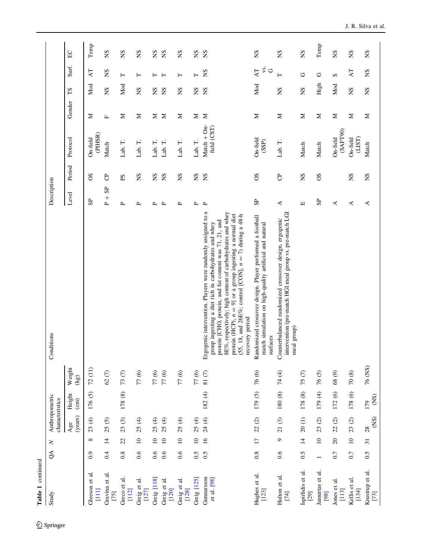| Table 1 continued         |                             |                 |                   |                           |                                                       |                                                                                                                                                                                                                                                                                                                                                                                            |                                       |             |                              |              |         |                      |             |
|---------------------------|-----------------------------|-----------------|-------------------|---------------------------|-------------------------------------------------------|--------------------------------------------------------------------------------------------------------------------------------------------------------------------------------------------------------------------------------------------------------------------------------------------------------------------------------------------------------------------------------------------|---------------------------------------|-------------|------------------------------|--------------|---------|----------------------|-------------|
| Study                     | $\mathcal{S}^{\mathcal{A}}$ | $\geq$          | characteristics   | Anthropometric            |                                                       | Conditions                                                                                                                                                                                                                                                                                                                                                                                 | Description                           |             |                              |              |         |                      |             |
|                           |                             |                 | (years)<br>Age    | Height<br>$\binom{cm}{c}$ | Weight<br>(kg)                                        |                                                                                                                                                                                                                                                                                                                                                                                            | Level                                 | Period      | Protocol                     | Gender       | ТS      | Surf.                | E           |
| Gleeson et al.<br>$[111]$ | 0.9                         | ${}^{\circ}$    | 23(4)             | 176(5)                    | 72(11)                                                |                                                                                                                                                                                                                                                                                                                                                                                            | $S_{\rm P}$                           | SO          | (PIHSR)<br>On-field          | Σ            | Mod     | AT                   | Temp        |
| Gravina et al.<br>$[75]$  | 0.4                         | $\overline{1}$  | 25(5)             |                           | $62(7)$                                               |                                                                                                                                                                                                                                                                                                                                                                                            | S <sub>P</sub><br>$_{\mathsf{P}}^{+}$ | පි          | Match                        | $\mathbf{L}$ | SN      | SN                   | $S_{\rm N}$ |
| Greco et al.<br>$[112]$   | 0.8                         | 22              | 23(3)             | 178 (8)                   | 73(7)                                                 |                                                                                                                                                                                                                                                                                                                                                                                            | $\sim$                                | $_{\rm eq}$ | Lab. T.                      | Σ            | Mod     | Н                    | SN          |
| Greig et al.<br>$[127]$   | 0.6                         | $\overline{10}$ | $\bigoplus$<br>25 |                           | 77(6)                                                 |                                                                                                                                                                                                                                                                                                                                                                                            | $\sim$                                | SN          | $\vdash$<br>Lab.             | $\geq$       | SN      | $\vdash$             | SN          |
| Greig [118]               | 0.6                         | $\overline{10}$ | 25(4)             |                           |                                                       |                                                                                                                                                                                                                                                                                                                                                                                            | д                                     | SN          | Lab. T.                      | Σ            | $^{2}S$ | ⊢                    | SN          |
| Greig et al.<br>$[120]$   | 0.6                         | $\overline{10}$ | 25(4)             |                           | $\begin{array}{c} 77 \; (6) \\ 77 \; (6) \end{array}$ |                                                                                                                                                                                                                                                                                                                                                                                            | $\sim$                                | SN          | Lab. T.                      | $\geq$       | SN      | $\vdash$             | SN          |
| Greig et al.<br>[128]     | 0.6                         | $\overline{10}$ | 25(4)             |                           | $77(6)$                                               |                                                                                                                                                                                                                                                                                                                                                                                            | ≏                                     | SN          | Lab. T.                      | Σ            | SN      | ⊢                    | SN          |
| Greig [125]               | 0.5                         | $\overline{10}$ | 25(4)             |                           | 77(6)                                                 |                                                                                                                                                                                                                                                                                                                                                                                            | $\mathbf{r}$                          | SN          | Lab. T.                      | Σ            | SN      | $\vdash$             | SN          |
| Gunnarsson<br>et al. [98] | 0.5                         | $\overline{16}$ | $24(4)$           | 182(4)                    | 81 $(7)$                                              | Ergogenic intervention. Players were randomly assigned to a<br>8E%, respectively; high content of carbohydrates and whey<br>protein (HCP), $n = 9$ ] or a group ingesting a normal diet<br>(55, 18, and 26E%; control [CON], $n = 7$ ) during a 48-h<br>protein [CHO, protein, and fat content was 71, 21, and<br>group ingesting a diet rich in carbohydrates and whey<br>recovery period | $\mathbf{r}$                          | SN          | Match $+$ On-<br>field (CST) | $\geq$       | SN      | SN                   | SN          |
| Hughes et al.<br>$[123]$  | 0.8                         | $\overline{17}$ | 22(2)             | 179(5)                    | 76(6)                                                 | Randomized crossover design. Player performed a football<br>match simulation on high-quality artificial and natural<br>surfaces                                                                                                                                                                                                                                                            | S <sub>2</sub>                        | 8O          | On-field<br>(SSP)            | Σ            | Mod     | ys.<br>$\circ$<br>AT | SN          |
| Hulton et al.<br>[74]     | 0.6                         | G               | 21(3)             | 180(8)                    | 74 (4)                                                | intervention (pre-match HGI meal group vs. pre-match LGI<br>Counterbalanced randomized crossover design, ergogenic<br>meal group)                                                                                                                                                                                                                                                          | 4                                     | පි          | Lab. T.                      | Σ            | SN      | $\vdash$             | SN          |
| Ispirlidis et al.<br>[29] | 0.5                         | $\overline{1}$  | 20(1)             | 178 (8)                   | 75(7)                                                 |                                                                                                                                                                                                                                                                                                                                                                                            | Щ                                     | SN          | Match                        | Σ            | SN      | ت                    | SN          |
| Jamurtas et al.<br>[98]   | $\overline{ }$              | $10$            | $\odot$<br>23     | 179 (4)                   | 76(5)                                                 |                                                                                                                                                                                                                                                                                                                                                                                            | S <sub>P</sub>                        | 80          | Match                        | Σ            | High    | O                    | Temp        |
| Jones et al.<br>$[113]$   | 0.7                         | $20\,$          | $\odot$<br>22     | 172 (6)                   | 68(9)                                                 |                                                                                                                                                                                                                                                                                                                                                                                            | ⋖                                     |             | (SAFT90)<br>On-field         | $\geq$       | Mod     | S                    | $S_{N}$     |
| ನ<br>Kellis et<br>[134]   | 0.7                         | $\overline{10}$ | 23(2)             | 178 (6)                   | $70\ (8)$                                             |                                                                                                                                                                                                                                                                                                                                                                                            | ⋖                                     | SN          | On-field<br>(LIST)           | Σ            | SN      | AT                   | SN          |
| Krustrup et al.           | 0.5                         | $\overline{31}$ | 28                | 179                       | $76$ (NS)                                             |                                                                                                                                                                                                                                                                                                                                                                                            | ⋖                                     | SN          | Match                        | $\geq$       | SN      | SN                   | SN          |

Temp

 $\mbox{Temp}$ 

[[134](#page-42-0)]<br>[13]<br>[[73](#page-40-0)]

 $\frac{28}{\text{N}}$ 

179 (NS)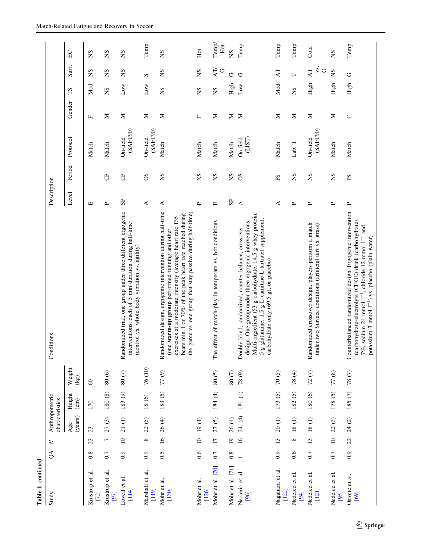| Table 1 continued                    |                             |                 |                                   |                           |                     |                                                                                                                                                                                                                                                                                                     |                      |              |                      |        |                 |                      |             |
|--------------------------------------|-----------------------------|-----------------|-----------------------------------|---------------------------|---------------------|-----------------------------------------------------------------------------------------------------------------------------------------------------------------------------------------------------------------------------------------------------------------------------------------------------|----------------------|--------------|----------------------|--------|-----------------|----------------------|-------------|
| Study                                | $\mathcal{S}^{\mathcal{A}}$ | $\geq$          | Anthropometric<br>characteristics |                           |                     | Conditions                                                                                                                                                                                                                                                                                          | Description          |              |                      |        |                 |                      |             |
|                                      |                             |                 | (years)<br>Age                    | Height<br>$\binom{cm}{c}$ | Weight<br>(kg)      |                                                                                                                                                                                                                                                                                                     | Level                | Period       | Protocol             | Gender | ΣJ              | Surf.                | $E$ C       |
| Krustrup et al.<br>[72]              | $0.\overline{8}$            | 23              | 23                                | 170                       | $\pmb{\mathcal{S}}$ |                                                                                                                                                                                                                                                                                                     | Щ                    |              | Match                | Щ      | Mod             | SN                   | SN          |
| Krustrup et al.<br>[97]              | 0.7                         | $\overline{ }$  | 27(3)                             | 180(8)                    | $80(6)$             |                                                                                                                                                                                                                                                                                                     | $\sim$               | පි           | Match                | Σ      | SN              | $^{2}S$              | SN          |
| $\vec{a}$<br>Lovell et<br>[114]      | 0.9                         | $10$            | $21(1)$                           | 183(9)                    | $80(7)$             | Randomized trial, one group under three different ergogenic<br>interventions, each of 5 min duration during half-time<br>(control vs. whole body vibration vs. agility)                                                                                                                             | 5P                   | පි           | (SAFT90)<br>On-field | Σ      | $_{\text{Low}}$ | SN                   | SN          |
| Marshall et al.<br>[119]             | 0.9                         | $\infty$        | 22(5)                             | 18(6)                     | 76 (10)             |                                                                                                                                                                                                                                                                                                     | ⋖                    | SO           | (SAFT90)<br>On-field | Σ      | $_{\text{Low}}$ | S                    | Temp        |
| Mohr et al.<br>$[130]$               | 0.5                         | $\overline{16}$ | 26(4)                             | 183 (5)                   | 77(9)               | Randomized design, ergogenic intervention during half-time<br>the game vs. one group that stay passive during half-time)<br>beats min 1 or 70% of the peak heart rate reached during<br>exercises at a moderate intensity (average heart rate 135<br>(one warm-up group performed running and other | $\prec$              | SN           | Match                | Σ      | SN              | SN                   | SN          |
| Mohr et al.<br>$[126]$               | 0.6                         | $\overline{10}$ | 19(1)                             |                           |                     |                                                                                                                                                                                                                                                                                                     | $\sim$               | SN           | Match                | Щ      | SN              | SN                   | Hot         |
| Mohr et al. [70]                     | 0.7                         | $\overline{17}$ | 27(5)                             | 184 (4)                   | $80(5)$             | The effect of match-play in temperate vs. hot conditions                                                                                                                                                                                                                                            | $\Xi$                | SN           | Match                | Σ      | SN              | AT)<br>O             | Temp<br>Hot |
| Mohr et al. [71]                     | 0.8                         | $\overline{19}$ | 26(4)                             |                           | $80(7)$             |                                                                                                                                                                                                                                                                                                     | ${\bf S}$            | SN           | Match                | Σ      | High            | Ù                    | SN          |
| $\vec{a}$<br>Naclerio et<br>[96]     |                             | $\geq$          | 24. (4)                           | $181(1)$                  | $78(9)$             | Multi-ingredient (53 g carbohydrate, 14.5 g whey protein,<br>5 g glutamine, 1.5 g L-carnitine-L-tartrate) supplement,<br>design. One group under three ergogenic interventions.<br>Double-blind, randomized, counter-balance, crossover<br>carbohydrate only (69.5 g), or placebo)                  | $\blacktriangleleft$ | 8O           | On-field<br>(LIST)   | $\geq$ | $_{\rm Low}$    | O                    | Temp        |
| Nagahara et al.<br>[122]             | 0.9                         | 13              | 20(1)                             | 173 (5)                   | 70(5)               |                                                                                                                                                                                                                                                                                                     | ⋖                    | $_{\rm eq}$  | Match                | $\geq$ | Mod             | $\Delta T$           | Temp        |
| $\overline{a}$<br>Nedelec et<br>[94] | 0.6                         | ${}^{\circ}$    | 18(1)                             | 182(5)                    | $78(4)$             |                                                                                                                                                                                                                                                                                                     | $\mathbf{r}$         | $S_{\rm N}$  | Lab. T.              | Σ      | ΧN              | Н                    | Temp        |
| ನ<br>J<br>Nedelec<br>[121]           | 0.7                         | 13              | $18(1)$                           | 180 (6)                   | 72(7)               | Randomized crossover design, players perform a match<br>under two Surface conditions (artificial turf vs. grass)                                                                                                                                                                                    | ≏                    | SN           | (SAFT90)<br>On-field | Σ      | High            | γs.<br>$\circ$<br>AT | Cold        |
| Nedelec et al.<br>[95]               | 0.7                         | $\overline{a}$  | 22(3)                             | 178(5)                    | $77(8)$             |                                                                                                                                                                                                                                                                                                     | $\sim$               | SN           | Match                | Σ      | High            | SN                   | SN          |
| Ostojic et al.<br>[69]               | 0.9                         | 22              | $24(2)$                           | $185(7)$                  | $78(7)$             | Counterbalanced randomized design. Ergogenic intervention<br>(carbohydrate-electrolyte (CHOE) drink (carbohydrates<br>and<br>potassium 3 mmol 1 <sup>-1</sup> ) vs. placebo (plain water)<br>chloride 12 mmol $1^{-1}$<br>7%, sodium 24 mmol $I^{-1}$ ,                                             | $\mathbf{r}$         | $_{\rm{PS}}$ | Match                | Щ      | High            | U                    | Temp        |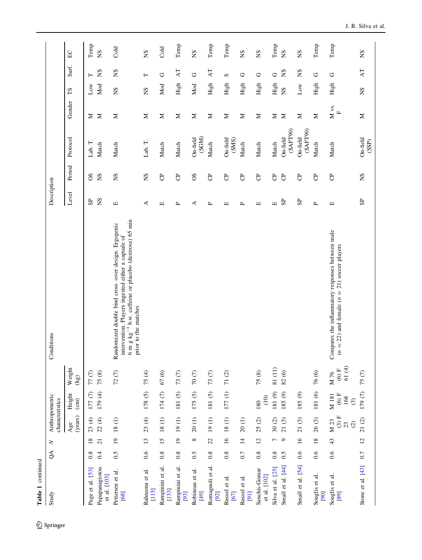| Table 1 continued               |          |                 |                                  |                                    |                             |                                                                                                                                                                                                  |                                  |               |                      |            |              |               |               |
|---------------------------------|----------|-----------------|----------------------------------|------------------------------------|-----------------------------|--------------------------------------------------------------------------------------------------------------------------------------------------------------------------------------------------|----------------------------------|---------------|----------------------|------------|--------------|---------------|---------------|
| Study                           | $\infty$ | $\geq$          | characteristics                  | Anthropometric                     |                             | Conditions                                                                                                                                                                                       | Description                      |               |                      |            |              |               |               |
|                                 |          |                 | (years)<br>Age                   | Height<br>$\epsilon$               | Weight<br>$(\mathbf{kg})$   |                                                                                                                                                                                                  | Level                            | Period        | Protocol             | Gender     | $\Gamma S$   | Surf.         | E             |
| Page et al. [53]                | 0.8      | $\overline{18}$ | 23(4)                            | $177(7)$                           | $77\ (7)$                   |                                                                                                                                                                                                  | S <sub>P</sub>                   | 8O            | Lab. T.              | Σ          | Low          | ⊢             | $\mbox{Temp}$ |
| Papapanagiotou<br>et al. [103]  | 0.4      | 21              | 22(4)                            | 179 (4)                            | 75(8)                       |                                                                                                                                                                                                  | SN                               | SN            | Match                | Σ          | Mod          | SN            | SN            |
| Pettersen et al.<br>[68]        | 0.5      | $\overline{19}$ | $18(1)$                          |                                    | 72(7)                       | 6 m g $kg^{-1}$ b.w. caffeine or placebo (dextrose) 65 min<br>Randomized double bind cross -over design. Ergogenic<br>intervention. Players ingested either a capsule of<br>prior to the matches | $\boxed{\underline{\mathbf{L}}}$ | SN            | Match                | Σ          | SN           | $S_{\rm N}$   | Cold          |
| Rahnama et al.<br>$[115]$       | 0.6      | 13              | 23(4)                            | 178(5)                             | 75(4)                       |                                                                                                                                                                                                  | ≺                                | SN            | Lab. T.              | Σ          | SN           | $\vdash$      | SN            |
| Rampinini et al.<br>$[133]$     | 0.8      | 15              | $18(1)$                          | $174(7)$                           | $67(6)$                     |                                                                                                                                                                                                  | П                                | $\mathcal{C}$ | Match                | Σ          | Mod          | O             | Cold          |
| Rampinini et al.<br>[93]        | 0.8      | $\overline{1}$  | 19(1)                            | 181(5)                             | 73(7)                       |                                                                                                                                                                                                  | ≏                                | පි            | Match                | Σ          | High         | AТ            | Temp          |
| ನ<br>Robineau et<br>[49]        | 0.5      | ${}^{\circ}$    | 20(1)                            | 175(5)                             | $70\ (7)$                   |                                                                                                                                                                                                  | ⋖                                | 8O            | (SGM)<br>On-field    | Σ          | Mod          | O             | SN            |
| Romagnoli et al.<br>[92]        | 0.8      | 22              | 19(1)                            | $181(5)$                           | 73(7)                       |                                                                                                                                                                                                  | $\mathbf{r}$                     | පි            | Match                | Σ          | High         | $\mathsf{AT}$ | Temp          |
| Russel et al.<br>[67]           | 0.8      | $\overline{16}$ | $18(1)$                          | 177(1)                             | $71\ (2)$                   |                                                                                                                                                                                                  | Щ                                | පි            | On-field<br>(SMS)    | Σ          | High         | S             | Temp          |
| Russel et al.<br>[9]            | 0.7      | $\overline{4}$  | 20(1)                            |                                    |                             |                                                                                                                                                                                                  | ≏                                | පි            | Match                | Σ          | High         | U             | SN            |
| Sanchis-Gomar<br>et al. $[102]$ | 0.8      | 12              | 25(2)                            | (10)<br>180                        | 75(8)                       |                                                                                                                                                                                                  | $\boxed{\phantom{1}}$            | පි            | Match                | Σ          | High         | O             | SN            |
| Silva et al. [25]               | 0.8      | Γ               | 30(2)                            | 181 $(9)$                          | $81~(11)$                   |                                                                                                                                                                                                  | $\boxed{\underline{\mathbf{L}}}$ | පි            | Match                | Σ          | $\rm High$   | $\circ$       | Temp          |
| Small et al. [44]               | 0.5      | ٥               | 21(3)                            | 185 (9)                            | 82(6)                       |                                                                                                                                                                                                  | ${\bf S} {\bf P}$                | $\mathcal{C}$ | (SAFT90)<br>On-field | $\geq$     | SN           | SN            | SN            |
| Small et al. [54]               | 0.6      | $\overline{16}$ | 21(3)                            | 185 (9)                            |                             |                                                                                                                                                                                                  | S <sub>2</sub>                   | පි            | (SAFT90)<br>On-field | Σ          | $_{\rm Low}$ | SN            | SN            |
| Souglis et al.<br>[90]          | 0.6      | $18\,$          | 26(3)                            | 181 (6)                            | 76(6)                       |                                                                                                                                                                                                  | $\mathbf{r}$                     | $\mathcal{C}$ | Match                | $\geq$     | High         | U             | Temp          |
| Souglis et al.<br>[89]          | 0.6      | 43              | $(3)$ F<br>M 23<br>$\odot$<br>23 | $(6)$ F<br>M 181<br>168<br>$\odot$ | 61 $(4)$<br>$(6)$ F<br>M 76 | Compares the inflammatory responses between male<br>$(n = 22)$ and female $(n = 21)$ soccer players                                                                                              | Щ                                | පි            | Match                | M vs.<br>щ | High         | U             | Temp          |
| Stone et al. [43]               | 0.7      | 12              | 21(2)                            | $179(7)$                           | 75(7)                       |                                                                                                                                                                                                  | $S_{\rm P}$                      | SN            | On-field<br>(SSP)    | Σ          | SN           | $\mathsf{AT}$ | SN            |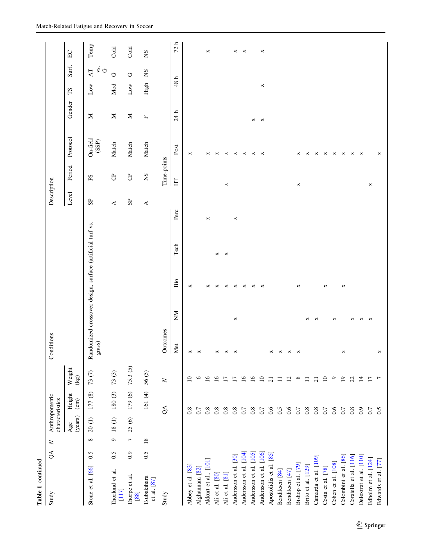| Table 1 continued          |          |                |                                   |                                  |                 |            |          |                       |                                                           |         |                |              |                       |         |                        |                                  |         |
|----------------------------|----------|----------------|-----------------------------------|----------------------------------|-----------------|------------|----------|-----------------------|-----------------------------------------------------------|---------|----------------|--------------|-----------------------|---------|------------------------|----------------------------------|---------|
| Study                      | $\infty$ | $\geq$         | Anthropometric<br>characteristics |                                  |                 | Conditions |          |                       |                                                           |         | Description    |              |                       |         |                        |                                  |         |
|                            |          |                | (years)<br>Age                    | Height<br>$\overline{\text{cm}}$ | Weight<br>(kg)  |            |          |                       |                                                           |         | Level          | Period       | Protocol              | Gender  | $\mathbf{S}\mathbf{I}$ | Surf.                            | E       |
| Stone et al. [66]          | 0.5      | ${}^{\circ}$   | 20(1)                             | 177 (8)                          | 73(7)           | grass)     |          |                       | Randomized crossover design, surface (artificial turf vs. |         | S <sub>P</sub> | $_{\rm{PS}}$ | On-field<br>(SSP)     | Σ       | $_{\text{Low}}$        | γs.<br>$\circlearrowright$<br>AT | Temp    |
| Thorlund et al.<br>$[117]$ | 0.5      | $\circ$        | 18(1)                             | 180(3)                           | 73(3)           |            |          |                       |                                                           |         | ≺              | පි           | Match                 | Σ       | Mod                    | O                                | Cold    |
| Thorpe et al.<br>[88]      | 0.9      | $\overline{ }$ | 25(6)                             | 179 (6)                          | 75.3(5)         |            |          |                       |                                                           |         | $S_{\rm P}$    | පි           | Match                 | $\geq$  | $_{\rm Low}$           | C                                | Cold    |
| Tsubakihara<br>et al. [87] | 0.5      | 18             |                                   | 161 (4)                          | 56(5)           |            |          |                       |                                                           |         | ⋖              | SN           | Match                 | Щ       | High                   | SN                               | SN      |
| Study                      |          |                |                                   | $\infty$                         | $\geq$          | Outcomes   |          |                       |                                                           |         |                | Time-points  |                       |         |                        |                                  |         |
|                            |          |                |                                   |                                  |                 | Met        | ŠК       | Bio                   | Tech                                                      | Perc    |                | H            | Post                  | 24 h    | 48                     | $\mathbf{r}$                     | ᅩ<br>72 |
| Abbey et al. [83]          |          |                |                                   | 0.8                              | $\overline{10}$ | ×          |          | ×                     |                                                           |         |                |              | ×                     |         |                        |                                  |         |
| Alghannam <sup>[82]</sup>  |          |                |                                   | 0.7                              | $\circ$         | ×          |          |                       |                                                           |         |                |              |                       |         |                        |                                  |         |
| Akkurt et al., [101]       |          |                |                                   | $0.8\,$                          | $\overline{16}$ |            |          | ×                     |                                                           | ×       |                |              | ×                     |         |                        |                                  | ×       |
| Ali et al. [80]            |          |                |                                   | 0.8                              | $\overline{16}$ | ×          |          | ×                     | $\times$                                                  |         |                |              | ×                     |         |                        |                                  |         |
| Ali et al. [81]            |          |                |                                   | 0.8                              | $\overline{1}$  | $\Join$    |          | $\times$              | $\mathbb{R}$                                              |         |                | ×            | $\times$              |         |                        |                                  |         |
| Andersson et al. [30]      |          |                |                                   | 0.8                              | $\overline{17}$ | ×          | ×        | $\times$              |                                                           | $\Join$ |                |              | $\,\asymp\,$          |         |                        |                                  | ×       |
| Andersson et al. [104]     |          |                |                                   | $0.7\,$                          | $\overline{16}$ |            |          | ×                     |                                                           |         |                |              | ×                     |         |                        |                                  | ×       |
| Andersson et al. [105]     |          |                |                                   | 0.8                              | $\tilde{16}$    |            |          | ×                     |                                                           |         |                |              | ×                     | ×       |                        |                                  |         |
| Andersson et al. [106]     |          |                |                                   | 0.7                              | $\Xi$           |            |          | $\boldsymbol{\times}$ |                                                           |         |                |              | ×                     | $\Join$ | ×                      |                                  | ×       |
| Apostolidis et al. [85]    |          |                |                                   | 0.6                              | $\overline{c}$  | ×          |          |                       |                                                           |         |                |              |                       |         |                        |                                  |         |
| Bendiksen [84]             |          |                |                                   | 0.5                              | $\Xi$           | ×          |          |                       |                                                           |         |                |              |                       |         |                        |                                  |         |
| Bendiksen [47]             |          |                |                                   | 0.6                              | $\overline{c}$  | ×          |          |                       |                                                           |         |                |              |                       |         |                        |                                  |         |
| Bishop et al. [79]         |          |                |                                   | 0.7                              | $^{\circ}$      | ×          |          | ×                     |                                                           |         |                | $\Join$      | ×                     |         |                        |                                  |         |
| Brito et al. [129]         |          |                |                                   | 0.8                              | $\equiv$        |            | ×        |                       |                                                           |         |                |              | ×                     |         |                        |                                  |         |
| Camarda et al. [109]       |          |                |                                   | 0.8                              | $\overline{c}$  |            | ×        |                       |                                                           |         |                |              | $\,\asymp\,$          |         |                        |                                  |         |
| Costa et al. [78]          |          |                |                                   | $0.7\,$                          | $\overline{10}$ |            |          | ×                     |                                                           |         |                |              | $\Join$               |         |                        |                                  |         |
| Cohen et al. [108]         |          |                |                                   | 0.6                              | $\circ$         |            | ×        |                       |                                                           |         |                |              | ×                     |         |                        |                                  |         |
| Colombini et al. [86]      |          |                |                                   | 0.7                              | $\Xi$           | ×          |          | ×                     |                                                           |         |                |              | ×                     |         |                        |                                  |         |
| Coratella et al. [116]     |          |                |                                   | 0.8                              | $\mathfrak{L}$  |            | ×        |                       |                                                           |         |                |              | $\Join$               |         |                        |                                  |         |
| Delextrat et al. [110]     |          |                |                                   | 0.9                              | $\overline{4}$  |            | $\times$ |                       |                                                           |         |                |              | $\boldsymbol{\times}$ |         |                        |                                  |         |
| Edholm et al. [124]        |          |                |                                   | 0.7                              | $\overline{17}$ |            | $\Join$  |                       |                                                           |         |                | ×            |                       |         |                        |                                  |         |
| Edwards et al. [77]        |          |                |                                   | 0.5                              | $\overline{r}$  | ×          |          |                       |                                                           |         |                |              | ×                     |         |                        |                                  |         |

# Match-Related Fatigue and Recovery in Soccer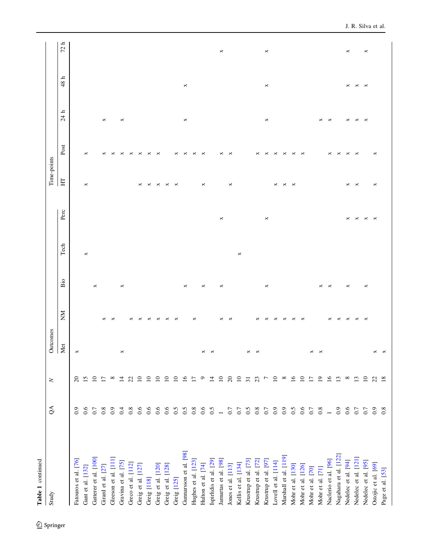| Table 1 continued      |                |                           |          |          |          |         |      |             |                       |                      |                 |         |
|------------------------|----------------|---------------------------|----------|----------|----------|---------|------|-------------|-----------------------|----------------------|-----------------|---------|
| Study                  | $\delta$       | $\geq$                    | Outcomes |          |          |         |      | Time-points |                       |                      |                 |         |
|                        |                |                           | Met      | ŠК       | Bio      | Tech    | Perc | H           | Post                  | ᅩ<br>$\overline{24}$ | $48~\mathrm{h}$ | ᅩ<br>72 |
| Fatouros et al. [76]   | $_{0.9}$       | $\Omega$                  | ×        |          |          |         |      |             |                       |                      |                 |         |
| Gant et al. [132]      | 0.6            | 15                        |          |          |          | ×       |      | ×           | ×                     |                      |                 |         |
| Gatterer et al. [100]  | 0.7            | $\overline{10}$           |          |          | ×        |         |      |             |                       |                      |                 |         |
| Girard et al. [27]     | 0.8            | $\overline{1}$            |          | ×        |          |         |      |             | ×                     | ×                    |                 |         |
| Gleeson et al. [111]   | 0.9            | $\infty$                  |          | ×        |          |         |      |             | ×                     |                      |                 |         |
| Gravina et al. [75]    | 0.4            | $\overline{1}$            | ×        |          | ×        |         |      |             | ×                     | ×                    |                 |         |
| Greco et al. [112]     | 0.8            | 22                        |          | ×        |          |         |      |             | ×                     |                      |                 |         |
| Greig et al. [127]     | 0.6            | $\overline{10}$           |          | ×        |          |         |      |             | ×                     |                      |                 |         |
| Greig [118]            | 0.6            | $\overline{10}$           |          |          |          |         |      |             | ×                     |                      |                 |         |
| Greig et al. [120]     | 0.6            | $\overline{10}$           |          |          |          |         |      | ×           | $\times$              |                      |                 |         |
| Greig et al. [128]     | 0.6            | $\overline{10}$           |          |          |          |         |      |             |                       |                      |                 |         |
| Greig [125]            | 0.5            | $\overline{10}$           |          | ×        |          |         |      | ×           | ×                     |                      |                 |         |
| Gunnarsson et al. [98] | 0.5            | $\widetilde{\phantom{a}}$ |          |          | ×        |         |      |             | ×                     | ×                    | ×               |         |
| Hughes et al. [123]    | $0.8\,$        | $\overline{1}$            |          | ×        |          |         |      |             | ×                     |                      |                 |         |
| Hulton et al. [74]     | 0.6            | $\circ$                   | ×        |          | ×        |         |      | ×           | ×                     |                      |                 |         |
| Ispirlidis et al. [29] | 0.5            | $\overline{1}$            |          |          |          |         |      |             |                       |                      |                 |         |
| Jamurtas et al. [98]   | $\overline{a}$ | $\overline{10}$           |          | ×        | ×        |         | ×    |             | ×                     |                      |                 | ×       |
| Jones et al. [113]     | 0.7            | $\Omega$                  |          | ×        |          |         |      | ×           | ×                     |                      |                 |         |
| Kellis et al. [134]    | 0.7            | $\Box$                    |          |          |          | $\Join$ |      |             |                       |                      |                 |         |
| Krustrup et al. [73]   | 0.5            | $\overline{31}$           | ×        |          |          |         |      |             |                       |                      |                 |         |
| Krustrup et al. [72]   | 0.8            | 23                        | ×        | ×        |          |         |      |             | ×                     |                      |                 |         |
| Krustrup et al. [97]   | 0.7            | Γ                         |          | ×        | ×        |         | ×    |             | ×                     | ×                    | ×               | ×       |
| Lovell et al. [114]    | 0.9            | $\overline{10}$           |          | ×        |          |         |      | ×           | ×                     |                      |                 |         |
| Marshall et al. [119]  | 0.9            | $\infty$                  |          | ×        |          |         |      | ×           | ×                     |                      |                 |         |
| Mohr et al. [130]      | 0.5            | $\overline{16}$           |          | ×        |          |         |      | ×           | ×                     |                      |                 |         |
| Mohr et al. [126]      | 0.6            | $\overline{10}$           |          | ×        |          |         |      |             | ×                     |                      |                 |         |
| Mohr et al. [70]       | 0.7            | $\overline{1}$            | ×        |          |          |         |      |             |                       |                      |                 |         |
| Mohr et al. [71]       | 0.8            | $\overline{19}$           | ×        |          | ×        |         |      |             |                       | ×                    |                 |         |
| Naclerio et al. [96]   | $\overline{1}$ | $\overline{16}$           |          |          | ×        |         |      |             | ×                     | ×                    |                 |         |
| Nagahara et al. [122]  | 0.9            | $\mathbf{L}$              |          | ×        |          |         |      |             | ×                     |                      |                 |         |
| Nedelec et al. [94]    | 0.6            | $^{\circ}$                |          | ×        | ×        |         | ×    | ×           | ×                     | ×                    | ×               | ×       |
| Nedelec et al. [121]   | 0.7            | $\mathbf{r}$              |          | ×        |          |         | ×    | ×           | $\boldsymbol{\times}$ | ×                    | ×               |         |
| Nedelec et al. [95]    | 0.7            | $\overline{10}$           |          | $\times$ | $\times$ |         | ×    |             |                       | $\times$             | $\times$        | ×       |
| Ostojic et al. [69]    | 0.9            | 22                        |          |          |          |         | ×    | ×           | ×                     |                      |                 |         |
| Page et al. [53]       | 0.8            | 18                        |          |          |          |         |      |             |                       |                      |                 |         |

 $\underline{\textcircled{\tiny 2}}$  Springer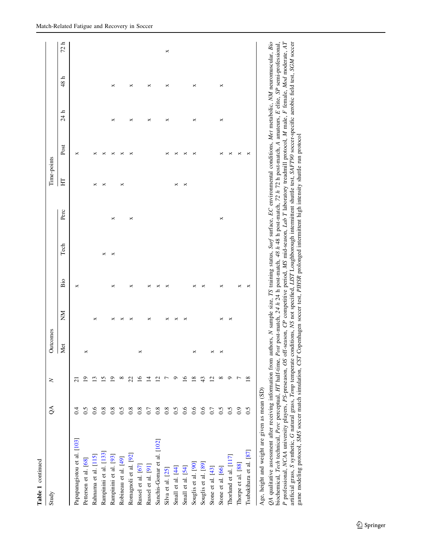| Table 1 continued           |                  |        |          |    |     |      |      |             |      |      |      |      |
|-----------------------------|------------------|--------|----------|----|-----|------|------|-------------|------|------|------|------|
| Study                       | $\mathcal{L}$    | $\geq$ | Outcomes |    |     |      |      | Time-points |      |      |      |      |
|                             |                  |        | Met      | ŠМ | Bio | Tech | Perc | E           | Post | 24 h | 48 h | 72 h |
| Papapanagiotou et al. [103] | $\overline{0.4}$ |        |          |    | ×   |      |      |             | ×    |      |      |      |
| Pettersen et al. [68]       | 0.5              |        | ×        |    |     |      |      |             |      |      |      |      |
| Rahnama et al. [115]        | 0.6              |        |          | ×  |     |      |      | ×           | ×    |      |      |      |
| Rampinini et al. [133]      | $0.8\,$          |        |          |    |     | ×    |      | ×           | ×    |      |      |      |
| Rampinini et al. [93]       | $0.8\,$          |        |          | ×  | ×   | ×    | ×    |             | ×    | ×    | ×    |      |
| Robineau et al. [49]        | 0.5              |        |          |    |     |      |      | ×           | ×    |      |      |      |
| Romagnoli et al. [92]       | $0.8\,$          |        |          | ×  | ×   |      | ×    |             | ×    | ×    | ×    |      |
| Russel et al. [67]          | $0.8\,$          | ٩      | ×        |    |     |      |      |             |      |      |      |      |
| Russel et al. [91]          | $0.7\,$          |        |          | ×  | ×   |      |      |             |      | ×    | ×    |      |
| Sanchis-Gomar et al. [102]  | 0.8              |        |          |    | ×   |      |      |             |      |      |      |      |
| Silva et al. [25]           | $0.8\,$          |        |          | ×  | ×   |      |      |             | ×    | ×    | ×    | ×    |
| Small et al. [44]           | 0.5              |        |          |    |     |      |      | ×           | ×    |      |      |      |
| Small et al. [54]           | 0.6              | ≗      |          | ×  |     |      |      | ×           | ×    |      |      |      |
| Souglis et al. [90]         | 0.6              | ≌      | ×        |    | ×   |      |      |             | ×    | ×    | ×    |      |
| Souglis et al. [89]         | 0.6              | 43     |          |    | ×   |      |      |             |      |      |      |      |
| Stone et al. [43]           | $0.7\,$          | ₫      | ×        |    |     |      |      |             |      |      |      |      |
| Stone et al. [66]           | $0.5$<br>0.5     | ∞      | ×        | ×  | ×   |      | ×    |             | ×    | ×    | ×    |      |
| Thorlund et al. [117]       |                  | ా      |          | ×  |     |      |      |             | ×    |      |      |      |
| Thorpe et al. [88]          | $_{0.9}$         |        |          |    |     |      |      |             | ×    |      |      |      |
| Tsubakihara et al. [87]     | 0.5              | ≌      |          |    | ×   |      |      |             | ×    |      |      |      |
|                             |                  |        |          |    |     |      |      |             |      |      |      |      |

Age, height and weight are given as mean (SD) Age, height and weight are given as mean (SD)

QA qualitative assessment after receiving information from authors, N sample size, TS training status, Surf surface, EC environmental conditions, Met metabolic, NM neuromuscular, Bio<br>biochemical, Tech technical, Perc perc P professional, NCAA university players, PS-preseason, OS off-season, CP competitive period, MS mid-season, Lab T laboratory treadmill protocol, M male, F female, Mod moderate, AT QA qualitative assessment after receiving information from authors, N sample size, TS training status, Surf surface, EC environmental conditions, Met metabolic, NM neuromuscular, Bio biochemical, Tech technical, Perc perceptual, HT half-time, Post post-match, 24 h 24 h post-match, 48 h 48 h post-match, 72 h 72 h post-match, A amateurs, E elite, SP semi-professional, artificial grass, S synthetic, G natural grass, Temp temperate conditions, NS not specified, LIST Loughborough intermittent shuttle test, SAFT90 soccer-specific aerobic field test, SGM soccergame modeling protocol, SMS soccer match simulation, CST Copenhagen soccer test, PIHSR prolonged intermittent high intensity shuttle run protocol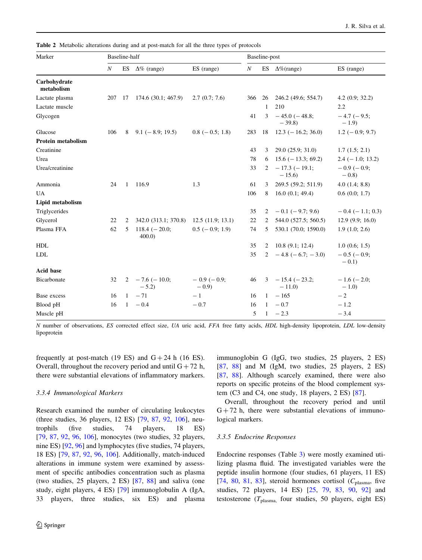<span id="page-15-0"></span>Table 2 Metabolic alterations during and at post-match for all the three types of protocols

| Marker                     |                  | Baseline-half |                              |                        |                  | Baseline-post |                                |                             |
|----------------------------|------------------|---------------|------------------------------|------------------------|------------------|---------------|--------------------------------|-----------------------------|
|                            | $\boldsymbol{N}$ | ES            | $\Delta\%$ (range)           | ES (range)             | $\boldsymbol{N}$ |               | ES $\Delta\%$ (range)          | ES (range)                  |
| Carbohydrate<br>metabolism |                  |               |                              |                        |                  |               |                                |                             |
| Lactate plasma             | 207              | 17            | 174.6(30.1; 467.9)           | 2.7(0.7; 7.6)          | 366              | 26            | 246.2 (49.6; 554.7)            | 4.2(0.9; 32.2)              |
| Lactate muscle             |                  |               |                              |                        |                  | 1             | 210                            | 2.2                         |
| Glycogen                   |                  |               |                              |                        | 41               | 3             | $-45.0$ ( $-48.8$ ;<br>$-39.8$ | $-4.7$ ( $-9.5$ ;<br>$-1.9$ |
| Glucose                    | 106              | 8             | $9.1 (-8.9; 19.5)$           | $0.8$ ( $-0.5$ ; 1.8)  | 283              | 18            | $12.3 (-16.2; 36.0)$           | $1.2 (-0.9; 9.7)$           |
| <b>Protein metabolism</b>  |                  |               |                              |                        |                  |               |                                |                             |
| Creatinine                 |                  |               |                              |                        | 43               | 3             | 29.0 (25.9; 31.0)              | 1.7(1.5; 2.1)               |
| Urea                       |                  |               |                              |                        | 78               | 6             | $15.6$ ( $-13.3$ ; 69.2)       | $2.4 (-1.0; 13.2)$          |
| Urea/creatinine            |                  |               |                              |                        | 33               | 2             | $-17.3$ ( $-19.1$ ;<br>$-15.6$ | $-0.9(-0.9;$<br>$-0.8$      |
| Ammonia                    | 24               | 1             | 116.9                        | 1.3                    | 61               | 3             | 269.5 (59.2; 511.9)            | 4.0(1.4; 8.8)               |
| <b>UA</b>                  |                  |               |                              |                        | 106              | 8             | 16.0(0.1; 49.4)                | 0.6(0.0; 1.7)               |
| Lipid metabolism           |                  |               |                              |                        |                  |               |                                |                             |
| Triglycerides              |                  |               |                              |                        | 35               | 2             | $-0.1$ (-9.7; 9.6)             | $-0.4$ ( $-1.1$ ; 0.3)      |
| Glycerol                   | 22               | 2             | 342.0 (313.1; 370.8)         | 12.5(11.9; 13.1)       | 22               | 2             | 544.0 (527.5; 560.5)           | 12.9(9.9; 16.0)             |
| Plasma FFA                 | 62               | 5             | $118.4 (-20.0;$<br>400.0     | $0.5$ ( $-0.9$ ; 1.9)  | 74               | 5             | 530.1 (70.0; 1590.0)           | 1.9(1.0; 2.6)               |
| <b>HDL</b>                 |                  |               |                              |                        | 35               | 2             | 10.8(9.1; 12.4)                | 1.0(0.6; 1.5)               |
| <b>LDL</b>                 |                  |               |                              |                        | 35               |               | 2 $-4.8$ $(-6.7; -3.0)$        | $-0.5$ ( $-0.9$ ;<br>$-0.1$ |
| <b>Acid base</b>           |                  |               |                              |                        |                  |               |                                |                             |
| Bicarbonate                | 32               | 2             | $-7.6$ ( $-10.0$ ;<br>$-5.2$ | $-0.9(-0.9)$<br>$-0.9$ | 46               | 3             | $-15.4$ ( $-23.2$ ;<br>$-11.0$ | $-1.6$ ( $-2.0$ ;<br>$-1.0$ |
| Base excess                | 16               | 1             | $-71$                        | $-1$                   | 16               | $\mathbf{1}$  | $-165$                         | $-2$                        |
| Blood pH                   | 16               | $\mathbf{1}$  | $-0.4$                       | $-0.7$                 | 16               | $\mathbf{1}$  | $-0.7$                         | $-1.2$                      |
| Muscle pH                  |                  |               |                              |                        | 5                | $\mathbf{1}$  | $-2.3$                         | $-3.4$                      |

N number of observations, ES corrected effect size, UA uric acid, FFA free fatty acids, HDL high-density lipoprotein, LDL low-density lipoprotein

frequently at post-match (19 ES) and  $G + 24$  h (16 ES). Overall, throughout the recovery period and until  $G + 72$  h, there were substantial elevations of inflammatory markers.

### 3.3.4 Immunological Markers

Research examined the number of circulating leukocytes (three studies, 36 players, 12 ES) [[79,](#page-41-0) [87,](#page-41-0) [92](#page-41-0), [106\]](#page-41-0), neutrophils (five studies, 74 players, 18 ES) [\[79](#page-41-0), [87](#page-41-0), [92](#page-41-0), [96](#page-41-0), [106\]](#page-41-0), monocytes (two studies, 32 players, nine ES) [\[92](#page-41-0), [96](#page-41-0)] and lymphocytes (five studies, 74 players, 18 ES) [[79,](#page-41-0) [87,](#page-41-0) [92](#page-41-0), [96](#page-41-0), [106](#page-41-0)]. Additionally, match-induced alterations in immune system were examined by assessment of specific antibodies concentration such as plasma (two studies, 25 players, 2 ES) [\[87](#page-41-0), [88](#page-41-0)] and saliva (one study, eight players, 4 ES) [\[79](#page-41-0)] immunoglobulin A (IgA, 33 players, three studies, six ES) and plasma immunoglobin G (IgG, two studies, 25 players, 2 ES) [\[87](#page-41-0), [88\]](#page-41-0) and M (IgM, two studies, 25 players, 2 ES) [\[87](#page-41-0), [88](#page-41-0)]. Although scarcely examined, there were also reports on specific proteins of the blood complement system (C3 and C4, one study, 18 players, 2 ES) [\[87](#page-41-0)].

Overall, throughout the recovery period and until  $G + 72$  h, there were substantial elevations of immunological markers.

### 3.3.5 Endocrine Responses

Endocrine responses (Table [3](#page-16-0)) were mostly examined utilizing plasma fluid. The investigated variables were the peptide insulin hormone (four studies, 61 players, 11 ES) [\[74](#page-40-0), [80](#page-41-0), [81](#page-41-0), [83](#page-41-0)], steroid hormones cortisol ( $C_{\text{plasma}}$ , five studies, 72 players, 14 ES) [\[25](#page-39-0), [79,](#page-41-0) [83](#page-41-0), [90,](#page-41-0) [92](#page-41-0)] and testosterone ( $T_{\text{plasma}}$ , four studies, 50 players, eight ES)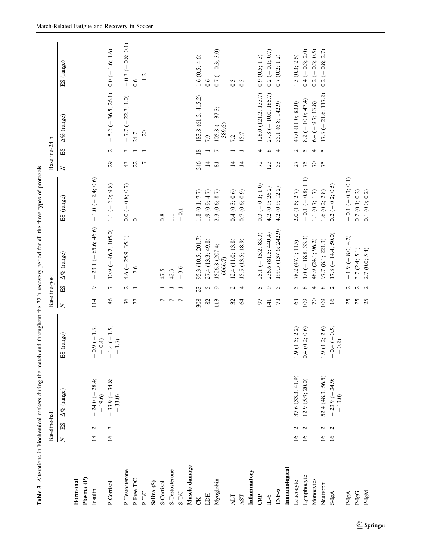<span id="page-16-0"></span>

| Plasma (P)<br>Hormonal |                                  | Baseline-half              |                             |                | Baseline-post  |                           |                    | Baseline-24 h      |                 |                                      |                    |
|------------------------|----------------------------------|----------------------------|-----------------------------|----------------|----------------|---------------------------|--------------------|--------------------|-----------------|--------------------------------------|--------------------|
| Insulin                | ES<br>$\geq$                     | $\Delta\%$ (range)         | ES (range)                  | $\geq$         | ES             | $\Delta\%$ (range)        | ES (range)         | $\geq$             | ЕS              | $\Delta\%$ (range)                   | ES (range)         |
|                        |                                  |                            |                             |                |                |                           |                    |                    |                 |                                      |                    |
|                        | $\mathbf{\Omega}$<br>18          | $24.0 (-28.4;$<br>$-19.6$  | $-0.9(-1.3;$<br>$-0.4$      | 114            | $\circ$        | $-23.1 (-65.6; 46.6)$     | $-1.0 (-2.4; 0.6)$ |                    |                 |                                      |                    |
| P-Cortisol             | $\mathbf{C}$<br>$\overline{16}$  | $-33.9(-34.8;$<br>$-33.0$  | $-1.4$ ( $-1.5$ ;<br>$-1.3$ | $86\,$         | $\overline{ }$ | $10.9 (-46.7; 105.0)$     | $1.1 (-2.0; 9.8)$  | 29                 | $\mathcal{L}$   | $-5.2$ (-36.5; 26.1) 0.0 (-1.6; 1.6) |                    |
| P-Testosterone         |                                  |                            |                             | 36             | $\mathcal{L}$  | $4.6$ ( $-25.9$ ; 35.1)   | $0.0 (-0.8; 0.7)$  | 43                 | $\omega$        | $-7.7 (-22.2; 1.0)$                  | $-0.3 (-0.8; 0.1)$ |
| P-Free T/C             |                                  |                            |                             | 22             |                | $-2.6$                    | $\circ$            | 22                 |                 | 24.7                                 | 0.6                |
| P-T/C                  |                                  |                            |                             |                |                |                           |                    | $\overline{r}$     |                 | $-20$                                | $-1.2$             |
| Saliva (S)             |                                  |                            |                             |                |                |                           |                    |                    |                 |                                      |                    |
| S-Cortisol             |                                  |                            |                             | 7              |                | 47.5                      | 0.8                |                    |                 |                                      |                    |
| S-Testosterone         |                                  |                            |                             | $\overline{r}$ |                | 42.3                      | $\Xi$              |                    |                 |                                      |                    |
| S-T/C                  |                                  |                            |                             | $\overline{ }$ |                | $-3.6$                    | $-0.1$             |                    |                 |                                      |                    |
| Muscle damage          |                                  |                            |                             |                |                |                           |                    |                    |                 |                                      |                    |
| CK                     |                                  |                            |                             | 308            | 23             | 95.3 (10.5; 201.7)        | 1.8(0.1; 7.7)      | 246                | $\overline{18}$ | 183.8 (61.2; 415.2)                  | 1.6(0.5; 4.6)      |
| HCLI                   |                                  |                            |                             | $82\,$         | S              | 27.4 (13.3; 49.8)         | 1.9(0.9; 4.7)      | $\overline{1}$     |                 | 7.9                                  | 0.6                |
| Myoglobin              |                                  |                            |                             | 113            | $\circ$        | 1526.8 (207.4;<br>6066.7) | 2.3 (0.6; 8.7)     | $\overline{\bf 8}$ | $\overline{r}$  | $105.8$ (-37.3;<br>389.6)            | $0.7 (-0.3; 3.0)$  |
| ALT                    |                                  |                            |                             | 32             | $\mathcal{L}$  | 12.4 (11.0; 13.8)         | 0.4(0.3; 0.6)      | $\overline{1}$     |                 | 7.2                                  | 0.3                |
| AST                    |                                  |                            |                             | $\mathcal{R}$  | $\overline{4}$ | 15.5 (13.5; 18.9)         | 0.7(0.6; 0.9)      | $\overline{1}$     |                 | 15.7                                 | 0.5                |
| Inflammatory           |                                  |                            |                             |                |                |                           |                    |                    |                 |                                      |                    |
| CRP                    |                                  |                            |                             | 57             | 5              | $25.1 (-15.2; 83.3)$      | $0.3 (-0.1; 1.0)$  | 72                 | 4               | 128.0 (121.2; 133.7)                 | 0.9(0.5; 1.3)      |
| $0$ -II                |                                  |                            |                             | 141            | $\sigma$       | 236.6 (81.5; 440.4)       | 4.2 (0.9; 26.2)    | 123                | $\infty$        | $27.8 (-10.0; 185.7)$                | $0.2 (-0.1; 0.7)$  |
| TNF- $\alpha$          |                                  |                            |                             | $\overline{7}$ | $\sim$         | 199.5 (137.6; 242.9)      | 4.2 (0.9; 12.2)    | 53                 | $\overline{4}$  | 55.1 (6.8; 142.9)                    | 0.7(0.2; 1.2)      |
| Immunological          |                                  |                            |                             |                |                |                           |                    |                    |                 |                                      |                    |
| Leucocyte              | $\mathcal{L}$<br>$\overline{16}$ | 37.6 (33.3; 41.9)          | 1.9(1.5; 2.2)               | $\overline{6}$ | 5              | 78.2 (47.1; 115)          | 2.0(1.6; 2.7)      | 27                 | $\mathcal{L}$   | 47.0 (11.0; 83.0)                    | 1.5(0.3; 2.6)      |
| Lymphocyte             | $\mathbf{C}$<br>$\overline{16}$  | 12.9(5.9; 20.0)            | 4(0.2; 0.6)<br>$\circ$      | 109            | $\infty$       | $1.0 (-18.8; 33.3)$       | $-0.1(-0.8; 1.1)$  | 75                 | 5               | $8.2 (-10.0; 47.4)$                  | $0.4 (-0.3; 2.0)$  |
| Monocytes              |                                  |                            |                             | $\sqrt{2}$     | $\overline{4}$ | 48.9 (24.1; 96.2)         | 1.1 $(0.7; 1.7)$   | 70                 | $\overline{4}$  | $6.4 (-9.7; 13.8)$                   | $0.2 (-0.3; 0.5)$  |
| Neutrophil             | $\mathcal{L}$<br>$\overline{16}$ | 52.4 (48.3; 56.5)          | 1.9(1.2; 2.6)               | 109            | ${}^{\circ}$   | 97.7 (8.1; 221.3)         | 1.6(0.2; 2.8)      | 75                 | $\overline{5}$  | $17.3 (-21.6; 117.2)$                | $0.2 (-0.8; 2.7)$  |
| $S-IgA$                | $\mathbf{C}$<br>16               | $-23.9(-34.9;$<br>$-13.0)$ | $-0.4(-0.5;$<br>$-0.2$      | 16             | $\sim$         | $17.8 (-14.4, 50.0)$      | $0.2 (-0.2; 0.5)$  |                    |                 |                                      |                    |
| $P-IgA$                |                                  |                            |                             | 25             | $\mathbf{c}$   | $-1.9(-8.0; 4.2)$         | $-0.1(-0.3; 0.1)$  |                    |                 |                                      |                    |
| $P\text{-}IgG$         |                                  |                            |                             | 25             |                | 3.7(2.4; 5.1)             | 0.2(0.1; 0.2)      |                    |                 |                                      |                    |
| $NgI-9$                |                                  |                            |                             | 25             | $\sim$ $\sim$  | 2.7(0.0; 5.4)             | 0.1(0.0; 0.2)      |                    |                 |                                      |                    |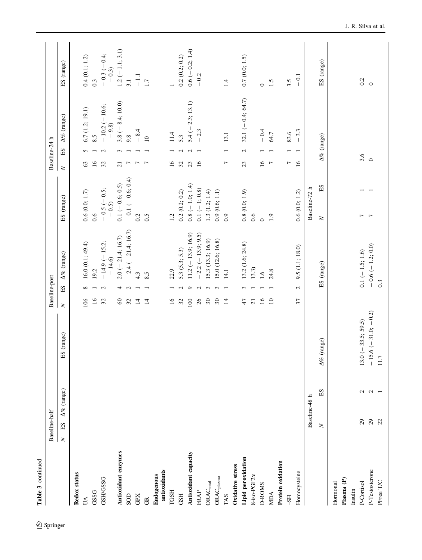| Table 3 continued               |                                  |                    |                             |                     |                                               |                               |                 |                                     |                          |
|---------------------------------|----------------------------------|--------------------|-----------------------------|---------------------|-----------------------------------------------|-------------------------------|-----------------|-------------------------------------|--------------------------|
|                                 | Baseline-half                    |                    |                             | Baseline-post       |                                               |                               |                 | Baseline-24 h                       |                          |
|                                 | $\mathbf{E}\mathbf{S}$<br>$\geq$ | $\Delta\%$ (range) | ES (range)                  | $\geq$              | $\Delta\%$ (range)<br>$\mathop{\hbox{\rm E}}$ | ES (range)                    | $\geq$          | A% (range)<br>$_{\rm H}$            | ES (range)               |
| Redox status                    |                                  |                    |                             |                     |                                               |                               |                 |                                     |                          |
| UA                              |                                  |                    |                             | 106                 | 16.0(0.1; 49.4)<br>$\infty$                   | 0.6(0.0; 1.7)                 | 63              | 6.7(1.2; 19.1)<br>5                 | 0.4(0.1; 1.2)            |
| GSSG                            |                                  |                    |                             | $\overline{16}$     | 19.2                                          | 0.6                           | $\overline{16}$ | 8.5<br>$\overline{\phantom{0}}$     | 0.3                      |
| <b>GSH/GSSG</b>                 |                                  |                    |                             | 32                  | $-14.9(-15.2;$<br>$-14.6$<br>$\mathbf{C}$     | $-0.5$ ( $-0.5$ ;<br>$-0.5$   | 32              | $-10.2$ (-10.6;<br>$-9.8$<br>$\sim$ | $-0.3 (-0.4;$<br>$-0.3)$ |
| Antioxidant enzymes             |                                  |                    |                             | $\pmb{\mathcal{S}}$ | $2.0 (-21.4; 16.7)$<br>4                      | $0.1 (-0.6; 0.5)$             | $\overline{21}$ | $3.8(-8.4;10.0)$<br>$\epsilon$      | $1.2 (-1.1; 3.1)$        |
| SOD                             |                                  |                    |                             | 32                  | $-2.4 (-21.4; 16.7)$<br>$\sim$                | $-0.1 (-0.6; 0.4)$            | $\overline{r}$  | 9.8                                 | 3.1                      |
| GPX                             |                                  |                    |                             | $\Xi$               | 4.3                                           | 0.2                           | $\overline{r}$  | $-8.4$                              | $\overline{-1}$          |
| $\widetilde{\mathbb{E}}$        |                                  |                    |                             | $\overline{1}$      | 8.5                                           | 0.5                           | $\overline{r}$  | $\supseteq$                         | 1.7                      |
| antioxidants<br>Endogenous      |                                  |                    |                             |                     |                                               |                               |                 |                                     |                          |
| TGSH                            |                                  |                    |                             | $16$                | 22.9                                          | 1.2                           | 16              | 11.4                                |                          |
| <b>GSH</b>                      |                                  |                    |                             | $32\,$              | 5.3(5.3; 5.3)<br>$\mathcal{L}$                | 0.2(0.2; 0.2)                 | 32              | 5.3<br>$\mathcal{L}$                | 0.2(0.2; 0.2)            |
| Antioxidant capacity            |                                  |                    |                             | 100                 | $11.2 (-13.9; 16.9)$<br>$\bullet$             | $0.8 (-1.0; 1.4)$             | 23              | $5.4 (-2.3; 13.1)$<br>$\mathbf{C}$  | $0.6 (-0.2; 1.4)$        |
| <b>FRAP</b>                     |                                  |                    |                             | 26                  | $-2.2 (-13.9; 9.5)$<br>$\mathbf{C}$           | $0.1 (-1; 0.8)$               | 16              | $-2.3$                              | $-0.2$                   |
| $\mathsf{ORAC}_\mathsf{total}$  |                                  |                    |                             | $30\,$              | 15.3 (13.3; 16.9)<br>$\mathfrak{S}$           | 1.3(1.2; 1.4)                 |                 |                                     |                          |
| $\mathsf{ORAC}_\mathsf{plasma}$ |                                  |                    |                             | $30\,$              | 15.0 (12.6; 16.8)<br>$\epsilon$               | 0.9(0.6; 1.1)                 |                 |                                     |                          |
| TAS                             |                                  |                    |                             | $\overline{1}$      | 14.1<br>$\overline{ }$                        | $_{0.9}$                      | $\overline{ }$  | 13.1                                | 1.4                      |
| Oxidative stress                |                                  |                    |                             |                     |                                               |                               |                 |                                     |                          |
| Lipid peroxidation              |                                  |                    |                             | 47                  | 13.2 (1.6; 24.8)<br>3                         | 0.8(0.0; 1.9)                 | 23              | 32.1 $(-0.4, 64.7)$<br>$\sim$       | 0.7(0.0; 1.5)            |
| 8-iso-PGF2a                     |                                  |                    |                             | $\overline{21}$     | 13.3)                                         | 0.6                           |                 |                                     |                          |
| <b>D-ROMS</b>                   |                                  |                    |                             | $\overline{16}$     | 1.6                                           | $\circ$                       | $\overline{16}$ | $-0.4$                              | $\circ$                  |
| <b>MIDA</b>                     |                                  |                    |                             | $\overline{10}$     | 24.8                                          | 1.9                           | $\overline{r}$  | 64.7                                | 1.5                      |
| Protein oxidation               |                                  |                    |                             |                     |                                               |                               |                 |                                     |                          |
| $-$ SH                          |                                  |                    |                             |                     |                                               |                               | Γ               | 83.6                                | 3.5                      |
| Homocysteine                    |                                  |                    |                             | 57                  | 9.5(1.1; 18.0)<br>$\mathcal{L}$               | 0.6(0.0; 1.2)                 | 16              | $-3.3$                              | $-0.1$                   |
|                                 |                                  | Baseline-48 h      |                             |                     |                                               | Baseline-72 h                 |                 |                                     |                          |
|                                 | $\geq$                           | ES                 | (range)<br>$\Delta\%$       |                     | ES (range)                                    | $\operatorname{ES}$<br>$\geq$ |                 | A% (range)                          | ES (range)               |
| Hormonal                        |                                  |                    |                             |                     |                                               |                               |                 |                                     |                          |
| Plasma (P)<br>Insulin           |                                  |                    |                             |                     |                                               |                               |                 |                                     |                          |
| P-Cortisol                      | $\mathfrak{S}$                   | $\mathbf{c}$       | $13.0$ (-33.5; 59.5)        |                     | $0.1 (-1.5; 1.6)$                             | $\overline{ }$                |                 |                                     | 0.2                      |
|                                 | $\mathbf{S}$                     |                    |                             |                     |                                               | $\overline{7}$                | 3.6             |                                     | $\circ$                  |
| P-Testosterone<br>PFree T/C     | $\overline{c}$                   | $\sim$             | $-15.6(-31.0,-0.2)$<br>11.7 |                     | $-0.6 (-1.2; 0.0)$<br>$0.\overline{3}$        |                               |                 |                                     |                          |
|                                 |                                  |                    |                             |                     |                                               |                               |                 |                                     |                          |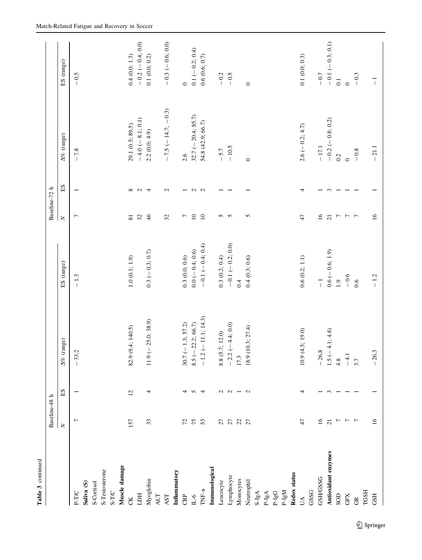| Table 3 continued                |                                               |                          |                          |                    |                          |                     |                             |                    |
|----------------------------------|-----------------------------------------------|--------------------------|--------------------------|--------------------|--------------------------|---------------------|-----------------------------|--------------------|
|                                  | Baseline-48 h                                 |                          |                          |                    | Baseline-72 h            |                     |                             |                    |
|                                  | $\geq$                                        | $\mathop{\hbox{\rm E}}$  | $\Delta\%$ (range)       | ES (range)         | $\geq$                   | $\operatorname{EI}$ | $\Delta\%$ (range)          | ES (range)         |
| P-T/C                            | Γ                                             |                          | $-33.2$                  | $-1.3$             | $\overline{ }$           |                     | $-7.8$                      | $-0.5$             |
| Saliva (S)                       |                                               |                          |                          |                    |                          |                     |                             |                    |
| S-Cortisol                       |                                               |                          |                          |                    |                          |                     |                             |                    |
| S-Testosterone                   |                                               |                          |                          |                    |                          |                     |                             |                    |
| S-T/C                            |                                               |                          |                          |                    |                          |                     |                             |                    |
| Muscle damage                    |                                               |                          |                          |                    |                          |                     |                             |                    |
| <b>CK</b>                        | 157                                           | $\overline{c}$           | 82.9 (9.4; 140.5)        | $1.0\ (0.1;\,1.9)$ | $\overline{\bf 8}$       | $\infty$            | 29.1 (0.5; 89.5)            | 0.4(0.0; 1.3)      |
| <b>HCT</b>                       |                                               |                          |                          |                    | 32                       | $\sim$              | $-4.0 (-8.1; 0.1)$          | $-0.2 (-0.4; 0.0)$ |
| Myoglobin                        | 33                                            | 4                        | $11.9 (-25.0; 38.9)$     | $0.3 (-0.3; 0.7)$  | 46                       | $\overline{4}$      | 2.2(0.0; 4.9)               | 0.1(0.0; 0.2)      |
| $\mathsf{ALT}$                   |                                               |                          |                          |                    |                          |                     |                             |                    |
| $\mathbf{A}\mathbf{S}\mathbf{T}$ |                                               |                          |                          |                    | 32                       | $\mathbf{c}$        | $-7.5$ ( $-14.7$ ; $-0.3$ ) | $-0.3 (-0.6; 0.0)$ |
| Inflammatory                     |                                               |                          |                          |                    |                          |                     |                             |                    |
| CRP                              |                                               | 4                        | $30.7 (-1.3; 57.2)$      | 0.3(0.0; 0.6)      | 7                        |                     | 2.6                         | $\circ$            |
| $\mathbb{L}\text{-}\!\mathsf{6}$ | $\begin{array}{c} 72 \\ 75 \\ 53 \end{array}$ | 5                        | $8.5$ (-22.2; 66.7)      | $0.0 (-0.4; 0.6)$  | $10$                     | $\mathbf{c}$        | $32.7 (-20.4; 85.7)$        | $0.1 (-0.2; 0.4)$  |
| TNF- $\alpha$                    |                                               | $\overline{4}$           | $-1.2 (-11.1; 14.3)$     | $-0.1(-0.4;0.4)$   | 10                       | $\sim$              | 54.8 (42.9; 66.7)           | 0.6(0.6; 0.7)      |
| Immunological                    |                                               |                          |                          |                    |                          |                     |                             |                    |
| Leucocyte                        |                                               | $\sim$                   | 8.8 (5.7; 12.0)          | 0.3(0.2; 0.4)      | 5                        |                     | $-5.7$                      | $-0.2$             |
| Lymphocyte                       | 2722                                          | $\sim$                   | $-2.2 (-4.4; 0.0)$       | $-0.1 (-0.2; 0.0)$ | $\sim$                   |                     | $-10.5$                     | $-0.5$             |
| Monocytes                        |                                               | $\overline{\phantom{a}}$ | 17.3                     | 0.4                |                          |                     |                             |                    |
| Neutrophil                       |                                               | $\sim$                   | 18.9 (10.3; 27.4)        | 0.4(0.3; 0.6)      | S                        |                     | $\circ$                     | $\circ$            |
| $S-IgA$                          |                                               |                          |                          |                    |                          |                     |                             |                    |
| $P-IgA$                          |                                               |                          |                          |                    |                          |                     |                             |                    |
| $P\text{-}IgG$                   |                                               |                          |                          |                    |                          |                     |                             |                    |
| $NgI-A$                          |                                               |                          |                          |                    |                          |                     |                             |                    |
| Redox status                     |                                               |                          |                          |                    |                          |                     |                             |                    |
| UA.                              | 47                                            | 4                        | 10.9(4.5; 19.0)          | 0.6(0.2; 1.1)      | 47                       | 4                   | $2.6 (-0.2; 4.7)$           | 0.1(0.0; 0.3)      |
| GSSG                             |                                               |                          |                          |                    |                          |                     |                             |                    |
| <b>GSH/GSSG</b>                  | $16$<br>21                                    |                          | $-26.8$                  | $\overline{1}$     | $\overline{16}$          |                     | $-17.1$                     | $-0.7$             |
| Antioxidant enzymes              |                                               | $\omega$                 | $1.5 (-4.1; 4.8)$<br>4.8 | $0.6 (-0.6; 1.9)$  | $\overline{c}$           | $\epsilon$          | $-0.2 (-0.8; 0.2)$          | $-0.1 (-0.3; 0.1)$ |
| SOD                              | $\overline{r}$                                |                          |                          | 1.9                | $\overline{\phantom{m}}$ |                     | 0.2                         | 0.1                |
| $\mbox{GPX}$                     | $\overline{r}$                                |                          | $-4.1$<br>3.7            | $-0.6$             | $\overline{r}$           |                     | $\circ$                     | $\circ$            |
| $\widetilde{\mathbb{G}}$         | $\overline{7}$                                |                          |                          | $0.6\,$            | $\overline{ }$           |                     | $-0.8$                      | $-0.3$             |
| TGSH                             |                                               |                          |                          |                    |                          |                     |                             |                    |
| <b>GSH</b>                       | 16                                            |                          | $-26.3$                  | $-1.2$             | 16                       |                     | $-21.1$                     | 7                  |
|                                  |                                               |                          |                          |                    |                          |                     |                             |                    |

Match-Related Fatigue and Recovery in Soccer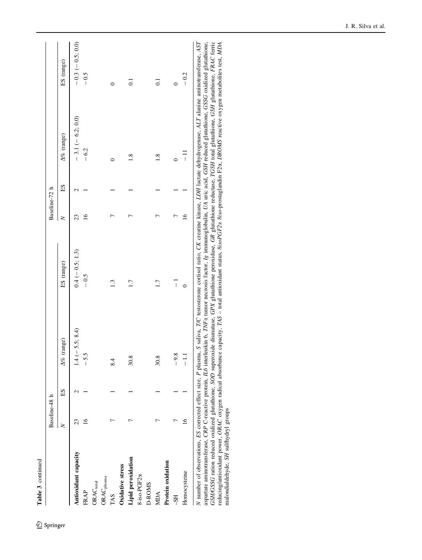Table 3 continued Table 3 continued

<sup>2</sup> Springer

|                                 | Baseline-48 h  |    |                                       |                                                                                                                                                                                  | Baseline-72 h |    |                    |                    |
|---------------------------------|----------------|----|---------------------------------------|----------------------------------------------------------------------------------------------------------------------------------------------------------------------------------|---------------|----|--------------------|--------------------|
|                                 | $\geq$         | ES | $\Delta\%$ (range)                    | ES (range)                                                                                                                                                                       | $\geq$        | ES | $\Delta\%$ (range) | ES (range)         |
| Antioxidant capacity            | 23             |    | $(-5.5; 8.4)$<br>$\bar{4}$            | $0.4 (-0.5; 1.3)$                                                                                                                                                                | 23            | ∾  | $-3.1 (-6.2; 0.0)$ | $-0.3 (-0.5; 0.0)$ |
| FRAP                            | $\overline{6}$ |    | $-5.5$                                | $-0.5$                                                                                                                                                                           | $\frac{6}{1}$ |    | $-6.2$             | $-0.5$             |
| ORACtotal                       |                |    |                                       |                                                                                                                                                                                  |               |    |                    |                    |
| $\mathsf{ORAC}_\mathsf{plasma}$ |                |    |                                       |                                                                                                                                                                                  |               |    |                    |                    |
| TAS                             |                |    | 8.4                                   | $\frac{3}{2}$                                                                                                                                                                    |               |    |                    |                    |
| Oxidative stress                |                |    |                                       |                                                                                                                                                                                  |               |    |                    |                    |
| Lipid peroxidation              |                |    | 30.8                                  | 1.7                                                                                                                                                                              | ŗ             |    | 1.8                | $\overline{0}$     |
| 8-iso-PGF2x                     |                |    |                                       |                                                                                                                                                                                  |               |    |                    |                    |
| <b>D-ROMS</b>                   |                |    |                                       |                                                                                                                                                                                  |               |    |                    |                    |
| MDA                             |                |    | 30.8                                  | 1.7                                                                                                                                                                              |               |    | $\frac{8}{1}$      | $\overline{0}$     |
| Protein oxidation               |                |    |                                       |                                                                                                                                                                                  |               |    |                    |                    |
| $-SS$                           |                |    | $\tilde{\mathbf{8}}$<br>$\frac{9}{1}$ | $\overline{1}$                                                                                                                                                                   | ŗ             |    | 0                  | $\circ$            |
| Homocysteine                    | $\overline{6}$ |    | $\overline{1}$                        | $\circ$                                                                                                                                                                          | $\frac{6}{1}$ |    | $\frac{1}{1}$      | $-0.2$             |
|                                 |                |    |                                       | N number of observations FC corrected effect size P plasma C saliva TVC testosterone corticol ratio CK creative Linase 1DH lactate debuotronase 417 alguine aminotransferase 457 |               |    |                    |                    |

N number of observations, *ES* corrected effect size, P plasma, S saliva, *II*C testosterone cortisol ratio, CK creatine kinase, *LDH* lactate dehydrogenase, ALT alanne aminotransterase, AST<br>aspartate aminotransferase, CRP N number of observations, ES corrected effect size, P plasma, S saliva, T/C testosterone cortisol ratio, CK creatine kinase, LDH lactate dehydrogenase, ALT alanine aminotransferase, AST aspartate aminotransferase, CRP C-reactive protein, IL6 interleukin 6, TNFa tumor necrosis factor, Ig immunoglobulin, UA uric acid, GSH reduced glutathione, GSSG oxidized glutathione, GSH/GSSG ration reduced oxidized glutathione, SOD superoxide dismutase, GPX glutathione peroxidase, GR glutathione reductase, TGSH total glutathione, GSH glutathione, FRAC ferric reducing/antioxidant power, ORAC oxygen radical absorbance capacity, TAS – total antioxidant status, 8isoPGF2a 8iso-prostaglandin F2a, DROMS reactive oxygen metabolites test, MDA malondialdehyde, SH sulfhydryl groups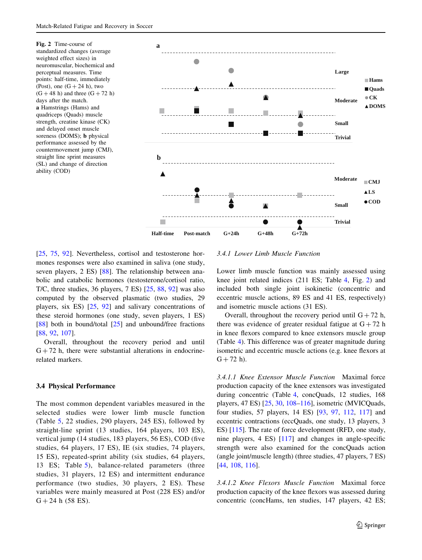<span id="page-20-0"></span>

[\[25](#page-39-0), [75](#page-40-0), [92](#page-41-0)]. Nevertheless, cortisol and testosterone hormones responses were also examined in saliva (one study, seven players, 2 ES) [\[88](#page-41-0)]. The relationship between anabolic and catabolic hormones (testosterone/cortisol ratio, T/C, three studies, 36 players, 7 ES) [\[25](#page-39-0), [88](#page-41-0), [92\]](#page-41-0) was also computed by the observed plasmatic (two studies, 29 players, six ES) [[25,](#page-39-0) [92\]](#page-41-0) and salivary concentrations of these steroid hormones (one study, seven players, 1 ES) [\[88](#page-41-0)] both in bound/total  $[25]$  $[25]$  and unbound/free fractions [\[88](#page-41-0), [92](#page-41-0), [107\]](#page-41-0).

Overall, throughout the recovery period and until  $G + 72$  h, there were substantial alterations in endocrinerelated markers.

### 3.4 Physical Performance

The most common dependent variables measured in the selected studies were lower limb muscle function (Table [5,](#page-25-0) 22 studies, 290 players, 245 ES), followed by straight-line sprint (13 studies, 164 players, 103 ES), vertical jump (14 studies, 183 players, 56 ES), COD (five studies, 64 players, 17 ES), IE (six studies, 74 players, 15 ES), repeated-sprint ability (six studies, 64 players, 13 ES; Table [5\)](#page-25-0), balance-related parameters (three studies, 31 players, 12 ES) and intermittent endurance performance (two studies, 30 players, 2 ES). These variables were mainly measured at Post (228 ES) and/or  $G + 24 h (58 ES).$ 

### 3.4.1 Lower Limb Muscle Function

Lower limb muscle function was mainly assessed using knee joint related indices (211 ES; Table [4,](#page-21-0) Fig. 2) and included both single joint isokinetic (concentric and eccentric muscle actions, 89 ES and 41 ES, respectively) and isometric muscle actions (31 ES).

Overall, throughout the recovery period until  $G + 72$  h, there was evidence of greater residual fatigue at  $G + 72$  h in knee flexors compared to knee extensors muscle group (Table [4\)](#page-21-0). This difference was of greater magnitude during isometric and eccentric muscle actions (e.g. knee flexors at  $G + 72 h$ .

3.4.1.1 Knee Extensor Muscle Function Maximal force production capacity of the knee extensors was investigated during concentric (Table [4,](#page-21-0) concQuads, 12 studies, 168 players, 47 ES) [[25,](#page-39-0) [30,](#page-39-0) [108–](#page-41-0)[116\]](#page-42-0), isometric (MVICQuads, four studies, 57 players, 14 ES) [[93,](#page-41-0) [97,](#page-41-0) [112,](#page-42-0) [117\]](#page-42-0) and eccentric contractions (eccQuads, one study, 13 players, 3 ES) [\[115](#page-42-0)]. The rate of force development (RFD, one study, nine players, 4 ES) [[117\]](#page-42-0) and changes in angle-specific strength were also examined for the concQuads action (angle joint/muscle length) (three studies, 47 players, 7 ES) [\[44](#page-40-0), [108](#page-41-0), [116](#page-42-0)].

3.4.1.2 Knee Flexors Muscle Function Maximal force production capacity of the knee flexors was assessed during concentric (concHams, ten studies, 147 players, 42 ES;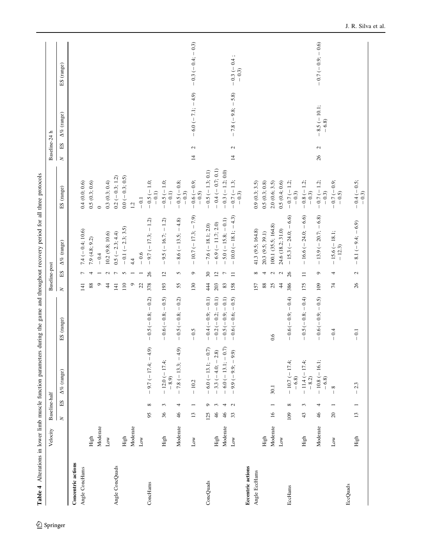<span id="page-21-0"></span>

|                          | Velocity     |                         | Baseline-half            |                                 |                        |            | Baseline-post  |                                   |                          | Baseline-24 h             |                            |                        |
|--------------------------|--------------|-------------------------|--------------------------|---------------------------------|------------------------|------------|----------------|-----------------------------------|--------------------------|---------------------------|----------------------------|------------------------|
|                          |              | $\overline{\mathbf{X}}$ | $\Xi$                    | $\Delta\%$ (range)              | (range)<br>$_{\rm ES}$ | $\geq$     | SE             | $\Delta\%$ (range)                | (range)<br>SE            | SE<br>$\geq$              | $\Delta\%$ (range)         | (range)<br>ES.         |
| Concentric actions       |              |                         |                          |                                 |                        |            |                |                                   |                          |                           |                            |                        |
| Angle ConcHams           |              |                         |                          |                                 |                        | 141        |                | $7.4 (-0.4; 10.6)$                | 0.4(0.0; 0.6)            |                           |                            |                        |
|                          | High         |                         |                          |                                 |                        | $88\,$     | 4              | 7.9(4.8; 9.2)                     | 0.5(0.3; 0.6)            |                           |                            |                        |
|                          | Moderate     |                         |                          |                                 |                        | $\circ$    |                | $-0.4$                            | $\circ$                  |                           |                            |                        |
|                          | $_{\rm Low}$ |                         |                          |                                 |                        | $\ddot{4}$ | $\mathcal{L}$  | 10.2 (9.8; 10.6)                  | 0.3(0.3; 0.4)            |                           |                            |                        |
| Angle ConcQuads          |              |                         |                          |                                 |                        | 141        | $\overline{ }$ | $0.5 (-2.3; 4.4)$                 | $0.2 (-0.3; 1.2)$        |                           |                            |                        |
|                          | High         |                         |                          |                                 |                        | 110        | $\sim$         | $-0.1 (-2.3; 3.5)$                | $0.0 (-0.3; 0.5)$        |                           |                            |                        |
|                          | Moderate     |                         |                          |                                 |                        | $\circ$    |                | 4.4                               | 1.2                      |                           |                            |                        |
|                          | Low          |                         |                          |                                 |                        | 22         |                | $-0.6$                            | $-0.1$                   |                           |                            |                        |
| ConcHams                 |              | 95                      | $^{\circ}$               | <u>.</u><br>$-9.7 (-17.4; -4)$  | $-0.5(-0.8; -0.2)$     | 378        | 26             | $-9.7(-17.3; -1.2)$               | $-0.5(-1.0;$<br>$-0.1)$  |                           |                            |                        |
|                          | High         | $\mathcal{S}$           | 3                        | $-12.0(-17.4;$<br>$-8.9$        | $-0.6(-0.8:-0.5)$      | 193        | $\overline{c}$ | $-9.5 (-16.7; -1.2)$              | $-0.5$ (-1.0;<br>$-0.1$  |                           |                            |                        |
|                          | Moderate     | $\partial_{\!+}$        | 4                        | $-7.8$ (-13.3; -4.9)            | $-0.5(-0.8; -0.2)$     | 55         | 5              | $-8.6(-13.5;-4.8)$                | $-0.5(-0.8;$<br>$-0.3)$  |                           |                            |                        |
|                          | $_{\rm Low}$ | 13                      | $\overline{ }$           | $-10.2$                         | $-0.5$                 | 130        | G              | $-10.7(-17.3; -7.9)$              | $-0.6(-0.9;$<br>$-0.5$   | $\mathbf{c}$<br>$\vec{r}$ | $6.0$ (-7.1; -4.9)         | $-0.3(-0.4; -0.3)$     |
| ConcQuads                |              | 125                     | Ó                        | $-6.0(-13.1; -0.7)$             | $-0.4(-0.9;-0.1)$      | 44         | $30\,$         | $-7.6 (-18.1; 2.0)$               | $-0.5 (-1.3; 0.1)$       |                           |                            |                        |
|                          | High         | $\frac{4}{5}$           | $\omega$                 | $-3.3(-4.0; -2.8)$              | $-0.2(-0.2; -0.1)$     | 203        | $\overline{c}$ | $-6.9 (-11.7; 2.0)$               | $-0.4 (-0.7; 0.1)$       |                           |                            |                        |
|                          | Moderate     | $\frac{4}{5}$           | $\overline{4}$           | $-6.0(-13.1;-0.7)$              | $-0.5(-0.9; -0.1)$     | 83         | $\overline{ }$ | $5.0 (-15.8; -0.1)$               | $-0.3 (-1.2; 0.0)$       |                           |                            |                        |
|                          | $_{\rm Low}$ | 33                      | $\mathbf{C}$             | $9.9(-9.9; -9.9)$               | $-0.6(-0.6; -0.5)$     | 158        | $\equiv$       | $-10.0(-18.1;-4.3)$               | $-0.7(-1.3;$<br>$-0.3$   | Z<br>$\overline{4}$       | $-7.8$ ( $-9.8$ ; $-5.8$ ) | $-0.3(-0.4;$<br>$-0.3$ |
| <b>Eccentric actions</b> |              |                         |                          |                                 |                        |            |                |                                   |                          |                           |                            |                        |
| Angle EccHams            |              |                         |                          |                                 |                        | 157        | ${}^{\circ}$   | 41.3 (9.5; 164.8)                 | 0.9(0.3; 3.5)            |                           |                            |                        |
|                          | High         |                         |                          |                                 |                        | $88\,$     | 4              | 20.3 (9.5; 39.1)                  | 0.5(0.3; 0.8)            |                           |                            |                        |
|                          | Moderate     | $\mathfrak{g}$          |                          | 30.1                            | 0.6                    | 25         | $\mathfrak{g}$ | 100.1 (35.5; 164.8)               | 2.0(0.6; 3.5)            |                           |                            |                        |
|                          | Low          |                         |                          |                                 |                        | $\ddot{4}$ | $\mathcal{L}$  | 24.6 (18.2; 31.0)                 | 0.5(0.4;0.6)             |                           |                            |                        |
| EccHams                  |              | 109                     | ${}^{\circ}$             | $-10.7 (-17.4;$<br>$-6.8$       | $-0.6(-0.9; -0.4)$     | 386        | 26             | $-15.3(-24.0,-6.6)$               | $-0.7(-1.2;$<br>$-0.3)$  |                           |                            |                        |
|                          | High         | $43\,$                  | 3                        | $-11.4 (-17.4;$<br>$-8.2$       | $-0.5(-0.8; -0.4)$     | 175        | $\equiv$       | $-16.6$ ( $-24.0$ ; $-6.6$ )      | $-0.8 (-1.2;$<br>$-0.3)$ |                           |                            |                        |
|                          | Moderate     | $\frac{4}{6}$           | 4                        | $-10.8(-16.1;$<br>$-6.8$        | $-0.6(-0.9;-0.5)$      | 109        | $\circ$        | $-13.9(-20.7; -6.8)$              | $-0.7(-1.2;$<br>$-0.3$   | 2<br>26                   | $-8.5(-10.1;$<br>$-6.8$    | $-0.7(-0.9; -0.6)$     |
| EccQuads                 | $_{\rm Low}$ | $\overline{c}$          |                          | ${}^{\circ}$                    | $-0.4$                 | 74         | 4              | $-15.6(-18.1;$<br>$-12.3$         | $-0.7(-0.9;$<br>$-0.5$   |                           |                            |                        |
|                          | High         | 13                      | $\overline{\phantom{0}}$ | 2.3<br>$\overline{\phantom{a}}$ | $-0.1$                 | 26         | $\mathcal{L}$  | 8.1 $(-9.4; -6.9)$<br>$\mathbb T$ | $-0.4 (-0.5;$<br>$-0.3)$ |                           |                            |                        |
|                          |              |                         |                          |                                 |                        |            |                |                                   |                          |                           |                            |                        |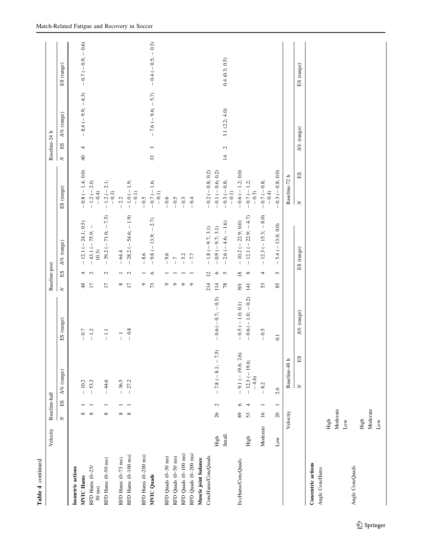| Table 4 continued                            |          |                         |                             |                      |                 |                          |                                            |                                    |                                |                     |                    |
|----------------------------------------------|----------|-------------------------|-----------------------------|----------------------|-----------------|--------------------------|--------------------------------------------|------------------------------------|--------------------------------|---------------------|--------------------|
|                                              | Velocity | Baseline-half           |                             |                      |                 | Baseline-post            |                                            |                                    | Baseline-24 h                  |                     |                    |
|                                              |          | $\geq$                  | $\Delta\%$ (range)<br>$\Xi$ | ES (range)           | $\geq$          | $_{ES}$                  | $\Delta\%$ (range)                         | ES (range)                         | $\Xi$<br>$\geq$                | $\Delta\%$ (range)  | ES (range)         |
| Isometric actions                            |          |                         |                             |                      |                 |                          |                                            |                                    |                                |                     |                    |
| <b>MVIC Hams</b>                             |          | $\infty$                | $-10.2$                     | $-0.7$               | 48              | 4                        | $-12.1 (-24.1; 0.5)$                       | $-0.8 (-1.4; 0.0)$                 | 4<br>$\overline{a}$            | $-8.4 (-9.9; -6.3)$ | $-0.7(-0.9; -0.6)$ |
| RFD Hams (0-25/<br>$30 \text{ ms}$           |          | $\infty$                | $-53.2$                     | $-1.2$               | $\overline{1}$  | $\mathbf{C}$             | $-43.1(-75.9;$<br>10.3)                    | $-1.2(-2.0;$<br>$-0.4)$            |                                |                     |                    |
| RFD Hams (0-50 ms)                           |          | ${}^{\circ}$            | 44.6<br>$\overline{1}$      | $\overline{-1}$      | $\overline{17}$ | $\mathcal{L}$            | $-39.2(-71.0; -7.5)$                       | $-1.2(-2.1;$<br>$-0.\overline{3})$ |                                |                     |                    |
| RFD Hams (0-75 ms)                           |          |                         | $-36.5$                     | $\frac{1}{\sqrt{2}}$ |                 |                          | $-64.4$                                    | $-2.2$                             |                                |                     |                    |
| RFD Hams (0-100 ms)                          |          | $\infty$ $\infty$       | $-27.2$                     | $-0.8$               | $rac{8}{17}$    | $ \sim$                  | $-28.2(-54.6;-1.9)$                        | $-1.0(-1.9;$<br>$-0.1)$            |                                |                     |                    |
| RFD Hams (0-200 ms)                          |          |                         |                             |                      | ٥               | $\overline{\phantom{0}}$ | $-8.6$                                     | $-0.5$                             |                                |                     |                    |
| <b>MVIC</b> Quads                            |          |                         |                             |                      | 73              | $\circ$                  | $-9.8 (-13.9; -2.7)$                       | $-0.7 (-1.6;$<br>$-0.1)$           | 3<br>33                        | $-7.6$ (-9.6; -5.7) | $-0.4(-0.5; -0.3)$ |
| RFD Quads (0-30 ms)                          |          |                         |                             |                      | $\circ$         |                          | $-9.6$                                     | $-0.6$                             |                                |                     |                    |
| RFD Quads (0-50 ms)                          |          |                         |                             |                      | $\circ$         |                          | $\overline{C}$<br>$\overline{\phantom{a}}$ | $-0.5$                             |                                |                     |                    |
| RFD Quads (0-100 ms)                         |          |                         |                             |                      | $\circ$         |                          | $-5.2$                                     | $-0.3$                             |                                |                     |                    |
| RFD Quads (0-200 ms)<br>Muscle joint balance |          |                         |                             |                      | $\circ$         |                          | $-77$                                      | $-0.4$                             |                                |                     |                    |
| ConcHams/ConcQuads                           |          |                         |                             |                      | 214             | $\overline{c}$           | $-1.8 (-9.7; 3.1)$                         | $-0.2 (-0.8; 0.2)$                 |                                |                     |                    |
|                                              |          |                         |                             |                      |                 |                          |                                            |                                    |                                |                     |                    |
|                                              | High     | $\mathcal{L}$<br>$26\,$ | $-7.8$ ( $-8.1$ ; $-7.5$ )  | $-0.6(-0.7; -0.5)$   | 114             | $\circ$                  | $-0.9(-9.7; 3.1)$                          | $-0.1 (-0.6; 0.2)$                 |                                |                     |                    |
|                                              | Small    |                         |                             |                      | $78\,$          | $\sim$                   | $-2.6(-4.6;-1.6)$                          | $-0.3(-0.8;$<br>$-0.1)$            | $\mathbf{c}$<br>$\overline{4}$ | 3.1 $(2.2; 4.0)$    | 0.4(0.3; 0.5)      |
| EccHams/ConcQuads                            |          | $\circ$<br>89           | 9.1 $(-19.6; 2.6)$          | $-0.5(-1.0; 0.1)$    | 301             | $18\,$                   | $-10.2 (-22.9; 0.0)$                       | $-0.6 (-1.2; 0.0)$                 |                                |                     |                    |
|                                              | High     | 4<br>53                 | $-12.3$ (-19.6;<br>$-4.6$   | $-0.6(-1.0; -0.2)$   | 141             | $\infty$                 | $-12.1(-22.9; -4.7)$                       | $-0.7 (-1.2;$<br>$-0.3$            |                                |                     |                    |
|                                              | Moderate | $\overline{16}$         | 8.2                         | $-0.5$               | 53              | 4                        | $-12.3(-15.3; -8.0)$                       | $-0.7(-0.8;$<br>$-0.4)$            |                                |                     |                    |
|                                              | Low      | $20\,$                  | 2.6                         | $\overline{c}$       | 85              | 5                        | $-5.4 (-13.0; 0.0)$                        | $-0.3 (-0.8; 0.0)$                 |                                |                     |                    |
|                                              |          | Velocity                | Baseline-48 $\,\mathrm{h}$  |                      |                 |                          |                                            | Baseline-72 h                      |                                |                     |                    |
|                                              |          |                         | $\mathbf{S} \Xi$<br>$\geq$  | $\Delta\%$ (range)   |                 |                          | ES (range)                                 | SE<br>$\geq$                       |                                | $\Delta\%$ (range)  | ES (range)         |
| <b>Concentric actions</b><br>Angle ConcHams  |          |                         |                             |                      |                 |                          |                                            |                                    |                                |                     |                    |
|                                              |          | High                    |                             |                      |                 |                          |                                            |                                    |                                |                     |                    |
|                                              |          | Moderate                |                             |                      |                 |                          |                                            |                                    |                                |                     |                    |
|                                              |          | $_{\rm Low}$            |                             |                      |                 |                          |                                            |                                    |                                |                     |                    |
| Angle ConcQuads                              |          |                         |                             |                      |                 |                          |                                            |                                    |                                |                     |                    |
|                                              |          | High                    |                             |                      |                 |                          |                                            |                                    |                                |                     |                    |
|                                              |          | Moderate                |                             |                      |                 |                          |                                            |                                    |                                |                     |                    |
|                                              |          | $_{\rm Low}$            |                             |                      |                 |                          |                                            |                                    |                                |                     |                    |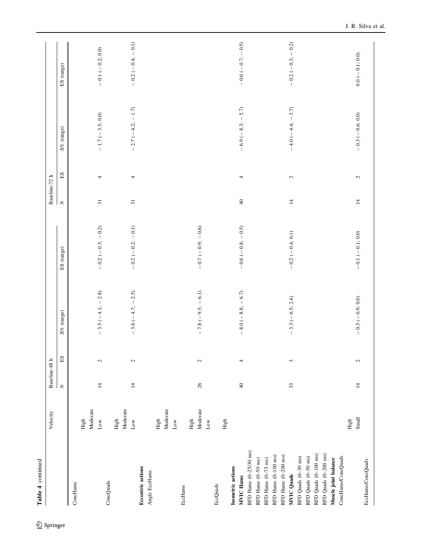Table 4 continued Table 4 continued

|                          | Velocity      | Baseline-48 h     |                |                     |                            | Baseline-72 h   |                    |                     |                     |
|--------------------------|---------------|-------------------|----------------|---------------------|----------------------------|-----------------|--------------------|---------------------|---------------------|
|                          |               | $\vert$ $\approx$ | $\Sigma$       | $\Delta\%$ (range)  | ES (range)                 | $\geq$          | $\Omega_{\square}$ | $\Delta\%$ (range)  | ES (range)          |
| ConcHams                 |               |                   |                |                     |                            |                 |                    |                     |                     |
|                          | High          |                   |                |                     |                            |                 |                    |                     |                     |
|                          | Moderate      |                   |                |                     |                            |                 |                    |                     |                     |
|                          | $_{\rm Low}$  | $\overline{4}$    | 2              | $-3.5(-4.1;-2.8)$   | $-0.2(-0.3; -0.2)$         | $\overline{31}$ | 4                  | $-1.7 (-3.5; 0.0)$  | $-0.1 (-0.2; 0.0)$  |
| ConcQuads                |               |                   |                |                     |                            |                 |                    |                     |                     |
|                          | High          |                   |                |                     |                            |                 |                    |                     |                     |
|                          | Moderate      |                   |                |                     |                            |                 |                    |                     |                     |
|                          | $_{\rm Low}$  | $\overline{4}$    | $\mathfrak{g}$ | $-3.6(-4.7;-2.5)$   | $-0.2(-0.2; -0.1)$         | $\overline{31}$ | 4                  | $-2.7(-4.2; -1.7)$  | $-0.2(-0.4; -0.1)$  |
| <b>Eccentric actions</b> |               |                   |                |                     |                            |                 |                    |                     |                     |
| Angle EccHams            |               |                   |                |                     |                            |                 |                    |                     |                     |
|                          | High          |                   |                |                     |                            |                 |                    |                     |                     |
|                          | Moderate      |                   |                |                     |                            |                 |                    |                     |                     |
|                          | $_{\rm Low}$  |                   |                |                     |                            |                 |                    |                     |                     |
| EccHams                  |               |                   |                |                     |                            |                 |                    |                     |                     |
|                          | High          |                   |                |                     |                            |                 |                    |                     |                     |
|                          | Moderate      | $26\,$            | $\sim$         | $-7.8$ (-9.5; -6.1) | $-0.7(-0.9; -0.6)$         |                 |                    |                     |                     |
|                          | $_{\rm Low}$  |                   |                |                     |                            |                 |                    |                     |                     |
|                          |               |                   |                |                     |                            |                 |                    |                     |                     |
| EccQuads                 |               |                   |                |                     |                            |                 |                    |                     |                     |
|                          | High          |                   |                |                     |                            |                 |                    |                     |                     |
| Isometric actions        |               |                   |                |                     |                            |                 |                    |                     |                     |
| <b>MVIC Hams</b>         |               | $\Theta$          | 4              | $-8.0(-8.8; -6.7)$  | $-0.6$ ( $-0.8$ ; $-0.5$ ) | $\overline{40}$ | 4                  | $-6.9(-8.3; -5.7)$  | $-0.6$ (-0.7; -0.5) |
| RFD Hams (0-25/30 ms)    |               |                   |                |                     |                            |                 |                    |                     |                     |
| RFD Hams (0-50 ms)       |               |                   |                |                     |                            |                 |                    |                     |                     |
| RFD Hams (0-75 ms)       |               |                   |                |                     |                            |                 |                    |                     |                     |
| RFD Hams (0-100 ms)      |               |                   |                |                     |                            |                 |                    |                     |                     |
| RFD Hams (0-200 ms)      |               |                   |                |                     |                            |                 |                    |                     |                     |
| MVIC Quads               |               | 33                | 3              | $-3.3 (-6.5; 2.4)$  | $-0.2 (-0.4; 0.1)$         | $\overline{4}$  | $\sim$             | $-4.0 (-4.4; -3.7)$ | $-0.2(-0.3; -0.2)$  |
| RFD Quads (0-30 ms)      |               |                   |                |                     |                            |                 |                    |                     |                     |
| RFD Quads (0-50 ms)      |               |                   |                |                     |                            |                 |                    |                     |                     |
| RFD Quads (0-100 ms)     |               |                   |                |                     |                            |                 |                    |                     |                     |
| RFD Quads (0-200 ms)     |               |                   |                |                     |                            |                 |                    |                     |                     |
| Muscle joint balance     |               |                   |                |                     |                            |                 |                    |                     |                     |
| ConcHams/ConcQuads       |               |                   |                |                     |                            |                 |                    |                     |                     |
|                          | Small<br>High | $\overline{4}$    | $\sim$         | $-0.5 (-0.9; 0.0)$  | $-0.1 (-0.1; 0.0)$         | $\overline{4}$  | $\sim$             | $-0.3 (-0.6; 0.0)$  | $0.0 (-0.1; 0.0)$   |
| EccHams/ConcQuads        |               |                   |                |                     |                            |                 |                    |                     |                     |
|                          |               |                   |                |                     |                            |                 |                    |                     |                     |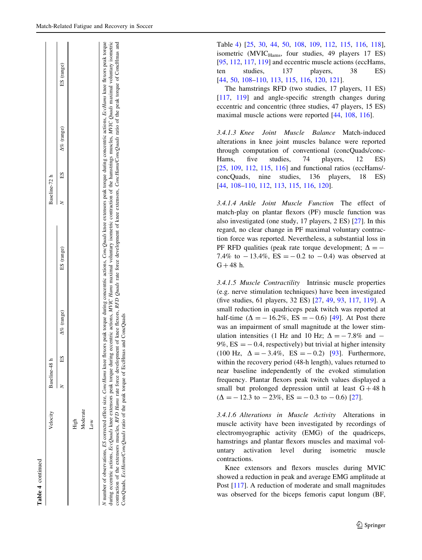| э      |
|--------|
|        |
| 4<br>ω |
| ⋍      |
| ٥      |

|                                                                                                                                                                                                                                                                                                | Velocity        | Baseline-48 h |    |                    |                                                                                                                                        | Baseline-72 h |         |                    |            |
|------------------------------------------------------------------------------------------------------------------------------------------------------------------------------------------------------------------------------------------------------------------------------------------------|-----------------|---------------|----|--------------------|----------------------------------------------------------------------------------------------------------------------------------------|---------------|---------|--------------------|------------|
|                                                                                                                                                                                                                                                                                                |                 | ξ             | SE | $\Delta\%$ (range) | ES (range)                                                                                                                             |               | ES<br>E | $\Delta\%$ (range) | ES (range) |
|                                                                                                                                                                                                                                                                                                | High            |               |    |                    |                                                                                                                                        |               |         |                    |            |
|                                                                                                                                                                                                                                                                                                | <b>Aoderate</b> |               |    |                    |                                                                                                                                        |               |         |                    |            |
|                                                                                                                                                                                                                                                                                                | Š               |               |    |                    |                                                                                                                                        |               |         |                    |            |
| I number of observations, ES corrected effect size, ConcHams knee flexors peak torque during concents actions, ComcQuads knee extensors peak torque during concentric actions, EccHams knee flexors peak torque<br>luring eccentric actions, <i>EccQuads</i> knee extensors peak torque during |                 |               |    |                    | eccentric actions, MVIC Hams maximal voluntary isometric contraction of the hamstrings muscles, MVIC Quads maximal voluntary isometric |               |         |                    |            |

contraction of the extensors muscles, RFD Hams rate force development of knee flexors, RFD Quads rate force development of knee extensors, ConcHams/ConcQuads ratio of the peak torque of ConcHmas and

contraction of the extensors muscles, RFD Hams rate force development of knee flexors, RFD Quads rate force development of knee extensors, ConcHams/ConcQuads ratio of the peak torque of ConcHams and

ConcQuads, EccHams/ConcQuads ratio of the peak torque of EccHmas and ConcQuads

ConcQuads, EccHams/ConcQuads ratio of the peak torque of EccHmas and ConcQuads

Table [4](#page-21-0)) [\[25](#page-39-0), [30,](#page-39-0) [44,](#page-40-0) [50](#page-40-0), [108,](#page-41-0) [109,](#page-41-0) [112](#page-42-0), [115](#page-42-0), [116,](#page-42-0) [118](#page-42-0)], isometric (MVIC $_{\text{Hams}}$ , four studies, 49 players 17 ES) [\[95](#page-41-0), [112](#page-42-0), [117](#page-42-0), [119\]](#page-42-0) and eccentric muscle actions (eccHams, ten studies, 137 players, 38 ES) [\[44](#page-40-0), [50](#page-40-0), [108–110,](#page-41-0) [113,](#page-42-0) [115,](#page-42-0) [116](#page-42-0), [120](#page-42-0), [121\]](#page-42-0).

The hamstrings RFD (two studies, 17 players, 11 ES) [\[117](#page-42-0), [119](#page-42-0)] and angle-specific strength changes during eccentric and concentric (three studies, 47 players, 15 ES) maximal muscle actions were reported [[44,](#page-40-0) [108,](#page-41-0) [116](#page-42-0)].

3.4.1.3 Knee Joint Muscle Balance Match-induced alterations in knee joint muscles balance were reported through computation of conventional (concQuads/conc-Hams, five studies, 74 players, 12 ES) [\[25](#page-39-0), [109](#page-41-0), [112](#page-42-0), [115](#page-42-0), [116](#page-42-0)] and functional ratios (eccHams/ concQuads, nine studies, 136 players, 18 ES) [\[44](#page-40-0), [108–110](#page-41-0), [112,](#page-42-0) [113,](#page-42-0) [115,](#page-42-0) [116](#page-42-0), [120](#page-42-0)].

3.4.1.4 Ankle Joint Muscle Function The effect of match-play on plantar flexors (PF) muscle function was also investigated (one study, 17 players, 2 ES) [[27\]](#page-39-0). In this regard, no clear change in PF maximal voluntary contraction force was reported. Nevertheless, a substantial loss in PF RFD qualities (peak rate torque development;  $\Delta = -$ 7.4% to  $-13.4\%$ , ES =  $-0.2$  to  $-0.4$ ) was observed at  $G + 48 h$ .

3.4.1.5 Muscle Contractility Intrinsic muscle properties (e.g. nerve stimulation techniques) have been investigated (five studies, 61 players, 32 ES) [[27,](#page-39-0) [49](#page-40-0), [93](#page-41-0), [117](#page-42-0), [119\]](#page-42-0). A small reduction in quadriceps peak twitch was reported at half-time ( $\Delta = -16.2\%$ , ES = -0.6) [[49\]](#page-40-0). At Post there was an impairment of small magnitude at the lower stimulation intensities (1 Hz and 10 Hz;  $\Delta = -7.8\%$  and -9%,  $ES = -0.4$ , respectively) but trivial at higher intensity (100 Hz,  $\Delta = -3.4\%$ , ES = -0.2) [[93\]](#page-41-0). Furthermore, within the recovery period (48-h length), values returned to near baseline independently of the evoked stimulation frequency. Plantar flexors peak twitch values displayed a small but prolonged depression until at least  $G + 48$  h  $(\Delta = -12.3 \text{ to } -23\%, \text{ ES} = -0.3 \text{ to } -0.6)$  [\[27](#page-39-0)].

3.4.1.6 Alterations in Muscle Activity Alterations in muscle activity have been investigated by recordings of electromyographic activity (EMG) of the quadriceps, hamstrings and plantar flexors muscles and maximal voluntary activation level during isometric muscle contractions.

Knee extensors and flexors muscles during MVIC showed a reduction in peak and average EMG amplitude at Post [[117\]](#page-42-0). A reduction of moderate and small magnitudes was observed for the biceps femoris caput longum (BF,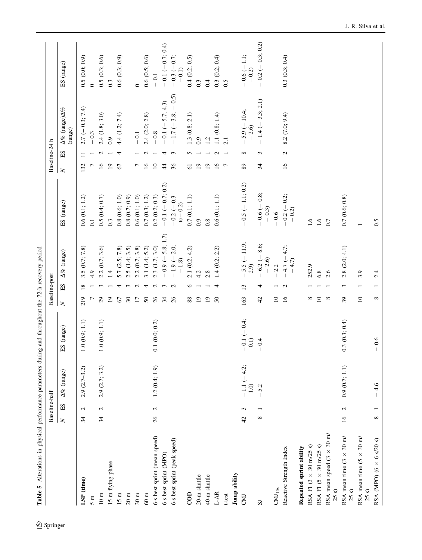<span id="page-25-0"></span>

|                                                  | Baseline-half                   |                       |                         |                 | Baseline-post                                                         |                   |                                                    | Baseline-24 h   |                   |                                          |                        |
|--------------------------------------------------|---------------------------------|-----------------------|-------------------------|-----------------|-----------------------------------------------------------------------|-------------------|----------------------------------------------------|-----------------|-------------------|------------------------------------------|------------------------|
|                                                  |                                 |                       |                         |                 |                                                                       |                   |                                                    |                 |                   |                                          |                        |
|                                                  | $\operatorname{SI}$<br>$\geq$   | $\Delta\%$ (range)    | ES (range)              | $\geq$          | $\Delta\%$ (range)<br>$_{\rm EI}$                                     |                   | ES (range)                                         | $\geq$          | ES                | $\Delta\%$ (range) $\Delta\%$<br>(range) | ES (range)             |
| LSP (time)                                       | $\mathbf{c}$<br>34              | $2.9(2.7-3.2)$        | 1.0(0.9; 1.1)           | 219             | 3.5(0.7; 7.8)<br>$\overline{18}$                                      |                   | 0.6(0.1; 1.2)                                      | 132             | $\Xi$             | $2.7 (-0.3; 7.4)$                        | 0.5(0.0; 0.9)          |
| 5m                                               |                                 |                       |                         |                 | 4.9                                                                   |                   | $\overline{0}$ .                                   |                 |                   | $-0.3$                                   | $\circ$                |
| $10~\mathrm{m}$                                  | $\mathcal{L}$<br>34             | 2.9(2.7; 3.2)         | 1.0(0.9; 1.1)           | 29              | 2.2(0.7; 3.6)<br>S                                                    |                   | 0.5(0.4; 0.7)                                      | $\tilde{16}$    | $\mathbf 2$       | 2.4(1.8; 3.0)                            | 0.5(0.3; 0.6)          |
| 15 m flying phase                                |                                 |                       |                         | $\overline{19}$ | 1.4                                                                   |                   | $0.\overline{3}$                                   | $\overline{0}$  |                   | $_{0.9}$                                 | 0.3                    |
| 15 m                                             |                                 |                       |                         | 67              | 5.7(2.5; 7.8)<br>4                                                    |                   | 0.8(0.6; 1.0)                                      | $\mathcal{L}$   | 4                 | 4.4 (1.2; 7.4)                           | 0.6(0.3; 0.9)          |
| $20 \text{ m}$                                   |                                 |                       |                         | $30\,$          | 2.5(1.4; 3.5)<br>3                                                    |                   | 0.8(0.7;0.9)                                       |                 |                   |                                          |                        |
| 30 <sub>m</sub>                                  |                                 |                       |                         | $\overline{17}$ | 2.2(0.7; 3.8)<br>$\mathbf{c}$                                         |                   | 0.6(0.1; 1.0)                                      | $\overline{ }$  |                   | $-0.1$                                   | $\circ$                |
| $60~\mathrm{m}$                                  |                                 |                       |                         | $50\,$          | 3.1 (1.4; 5.2)<br>4                                                   |                   | $0.7\ (0.3;\,1.2)$                                 | $\tilde{a}$     | $\mathbf{\Omega}$ | 2.4(2.0; 2.8)                            | 0.6(0.5;0.6)           |
| 6-s best sprint (mean speed)                     | $\mathcal{L}$<br>26             | 1.2(0.4; 1.9)         | 0.1(0.0; 0.2)           | 26              | $2.3$ $(1.7; 3.0)$<br>$\mathbf{C}$                                    |                   | 0.2(0.2; 0.3)                                      | $\Xi$           |                   | $-0.8$                                   | $-0.1$                 |
| 6-s best sprint (MPO)                            |                                 |                       |                         | 34              | $\epsilon$                                                            | $-0.9(-5.8; 1.7)$ | $-0.1 (-0.7; 0.2)$                                 | $\ddot{4}$      | 4                 | $-0.1 (-5.7; 4.3)$                       | $-0.1 (-0.7; 0.4)$     |
| 6-s best sprint (peak speed)                     |                                 |                       |                         | 26              | $-1.9(-2.0;$<br>$-1.8$<br>$\mathbf{C}$                                |                   | $-0.2(-0.3)$<br>$to -0.2$                          | 36              | $\mathfrak{c}$    | $-1.7(-3.8; -0.5)$                       | $-0.3(-0.7;$<br>$-0.1$ |
| $\overline{c}$                                   |                                 |                       |                         | 88              | 2.1(0.2; 4.2)<br>७                                                    |                   | 0.7(0.1; 1.1)                                      | $\overline{6}$  | 5                 | 1.3(0.8; 2.1)                            | 0.4(0.2; 0.5)          |
| 20-m shuttle                                     |                                 |                       |                         | $\overline{19}$ | 4.2                                                                   |                   | 0.9                                                | $\overline{1}9$ |                   | $_{0.9}$                                 | 0.3                    |
| 40-m shuttle                                     |                                 |                       |                         | $\overline{19}$ | 2.8                                                                   |                   | 0.8                                                | $\overline{19}$ |                   | 1.2                                      | 0.4                    |
| $L-AR$                                           |                                 |                       |                         | 50              | 1.4(0.2; 2.2)                                                         |                   | 0.6(0.1; 1.1)                                      | $\tilde{a}$     | $\mathbf{\Omega}$ | 1.1(0.8; 1.4)                            | 0.3(0.2; 0.4)          |
| t-test                                           |                                 |                       |                         |                 |                                                                       |                   |                                                    | $\overline{r}$  |                   | 2.1                                      | 0.5                    |
| Jump ability                                     |                                 |                       |                         |                 |                                                                       |                   |                                                    |                 |                   |                                          |                        |
| <b>CMD</b>                                       | 3<br>42                         | $-1.1 (-4.2;$<br>1.0) | $-0.1 (-0.4;$<br>(1, 0) | 163             | $-5.5$ (-11.9;<br>2.9)<br>$\begin{array}{c} \hline \end{array}$<br>13 |                   | $-0.5(-1.1;0.2)$                                   | 89              | ∞                 | $-5.9(-10.4;$<br>$-2.6$                  | $-0.6(-1.1;$<br>$-0.2$ |
| $\overline{S}$                                   | ${}^{\circ}$                    | $-5.2$                | $-0.4$                  | 42              | $-6.2 (-8.6;$<br>-2.6)<br>4                                           |                   | $-0.6(-0.8;$<br>$-0.3$                             | 34              | 3                 | $-1.4 (-3.3; 2.1)$                       | $-0.2 (-0.3; 0.2)$     |
| $\rm CMI_{15s}$                                  |                                 |                       |                         | $\overline{10}$ | 2.2                                                                   |                   | $-0.6$                                             |                 |                   |                                          |                        |
| Reactive Strength Index                          |                                 |                       |                         | 16              | $4.7 (-4.7;$<br>$-4.7$<br>$\mathbf{C}$                                |                   | $0.2 (-0.2;$<br>$-0.2$<br>$\overline{\phantom{a}}$ | $\tilde{16}$    | $\mathcal{L}$     | 8.2 (7.0; 9.4)                           | 0.3(0.3; 0.4)          |
| Repeated sprint ability                          |                                 |                       |                         |                 |                                                                       |                   |                                                    |                 |                   |                                          |                        |
| RSA FI (3 × 30 m/25 s)                           |                                 |                       |                         | ∞               | 252.9                                                                 |                   | 1.6                                                |                 |                   |                                          |                        |
| RSA FI $(5 \times 30 \text{ m}/25 \text{ s})$    |                                 |                       |                         | $\overline{10}$ | 6.8                                                                   |                   | 1.6                                                |                 |                   |                                          |                        |
| RSA mean speed $(3 \times 30 \text{ m})$<br>25 s |                                 |                       |                         | $^{\circ}$      | 2.6                                                                   |                   | 0.7                                                |                 |                   |                                          |                        |
| RSA mean time $(3 \times 30 \text{ m})$<br>25 s  | $\mathcal{L}$<br>$\frac{16}{1}$ | 0.9(0.7; 1.1)         | 0.3(0.3; 0.4)           | 39              | 2.8(2.0; 4.1)<br>3                                                    |                   | 0.7(0.6; 0.8)                                      |                 |                   |                                          |                        |
| RSA mean time (5 $\times$ 30 m/<br>25 s          |                                 |                       |                         | $\overline{10}$ | 3.9                                                                   |                   |                                                    |                 |                   |                                          |                        |
| RSA (MPO) (6 $\times$ 6 s/20 s)                  | ${}^{\circ}$                    | 4.6                   | 0.6                     | $^{\circ}$      | 2.4                                                                   |                   | 0.5                                                |                 |                   |                                          |                        |

Table 5 Alterations in physical performance parameters during and throughout the 72-h recovery period Table 5 Alterations in physical performance parameters during and throughout the 72-h recovery period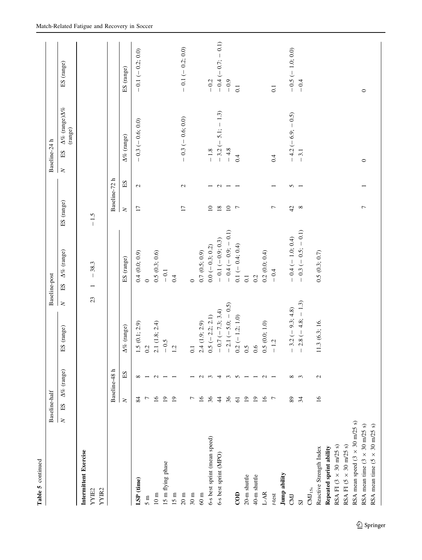| Table 5 continued                                     |                       |                          |                          |                       |                                    |                         |               |                                                             |                         |
|-------------------------------------------------------|-----------------------|--------------------------|--------------------------|-----------------------|------------------------------------|-------------------------|---------------|-------------------------------------------------------------|-------------------------|
|                                                       | Baseline-half         |                          |                          |                       | Baseline-post                      |                         |               | Baseline-24 h                                               |                         |
|                                                       | $_{\rm SI}$<br>$\geq$ |                          | $\Delta\%$ (range)       | ES (range)            | $\Delta\%$ (range)<br>ES<br>$\geq$ | ES (range)              |               | $\Delta\%$ (range)<br>$\Delta\%$<br>(range)<br>ES<br>$\geq$ | ES (range)              |
| Intermittent Exercise                                 |                       |                          |                          |                       |                                    |                         |               |                                                             |                         |
| YYIR2<br>YYIE2                                        |                       |                          |                          |                       | $-38.3$<br>23                      | $-1.5$                  |               |                                                             |                         |
|                                                       |                       | Baseline-48 h            |                          |                       |                                    |                         | Baseline-72 h |                                                             |                         |
|                                                       |                       | $\geq$                   | ES                       | $\Delta\%$ (range)    | ES (range)                         | $\overline{\mathbf{X}}$ | ES            | $\Delta\%$ (range)                                          | ES (range)              |
| LSP (time)                                            |                       | 84                       | $\infty$                 | .5(0.1; 2.9)          | 0.4(0.0; 0.9)                      | $\overline{17}$         | $\mathbf{C}$  | $-0.3 (-0.6; 0.0)$                                          | $-0.1(-0.2; 0.0)$       |
| 5m                                                    |                       | $\overline{ }$           |                          | 0.2                   | $\circ$                            |                         |               |                                                             |                         |
| $10~\mathrm{m}$                                       |                       | 16                       | $\mathbf{C}$             | 2.1(1.8; 2.4)         | 0.5(0.3; 0.6)                      |                         |               |                                                             |                         |
| 15 m flying phase                                     |                       | $\overline{19}$          |                          | $-0.5$                | $-0.1$                             |                         |               |                                                             |                         |
| 15 m                                                  |                       | $\overline{19}$          |                          | $\dot{a}$             | 0.4                                |                         |               |                                                             |                         |
| $20\ {\rm m}$                                         |                       |                          |                          |                       |                                    | $\overline{17}$         | $\mathcal{L}$ | $-0.3 (-0.6; 0.0)$                                          | $-0.1(-0.2;0.0)$        |
| 30m                                                   |                       | $\overline{ }$           |                          |                       | $\circ$                            |                         |               |                                                             |                         |
| $60~\mathrm{m}$                                       |                       | $\overline{16}$          | $\sim$                   | 2.4(1.9; 2.9)         | 0.7(0.5; 0.9)                      |                         |               |                                                             |                         |
| 6-s best sprint (mean speed)                          |                       | 36                       | $\epsilon$               | $.5 (-2.2; 2.1)$      | $0.0 (-0.3; 0.2)$                  | $\overline{10}$         |               | $-1.8$                                                      | $-0.2$                  |
| 6-s best sprint (MPO)                                 |                       | $\ddot{4}$               | 4                        | $-0.7 (-7.3; 3.4)$    | $-0.1(-0.9; 0.3)$                  | $18\,$                  | $\mathbf{c}$  | $-3.2$ ( $-5.1$ ; $-1.3$ )                                  | $-0.1$<br>$-0.4 (-0.7;$ |
|                                                       |                       | 36                       | $\epsilon$               | (5)<br>$-2.1(-5.0; -$ | $0.1)$<br>$-0.4(-0.9; -$           | $\overline{10}$         |               | $-4.8$                                                      | $-0.9$                  |
| $\overline{C}$ OD                                     |                       | $61\,$                   | $\sim$                   | $0.2 (-1.2; 1.0)$     | $0.1 (-0.4; 0.4)$                  | $\overline{r}$          |               | 0.4                                                         | $\overline{0}$ .        |
| 20-m shuttle                                          |                       | $\overline{19}$          |                          | $\ddot{\Omega}$       | $\overline{0}$ .                   |                         |               |                                                             |                         |
| 40-m shuttle                                          |                       | $\overline{19}$          | $\overline{\phantom{0}}$ | 0.6                   | 0.2                                |                         |               |                                                             |                         |
| $L-AR$                                                |                       | $\overline{16}$          | $\sim$                   | .5(0.0; 1.0)          | 0.2(0.0; 0.4)                      |                         |               |                                                             |                         |
| t-test                                                |                       | $\overline{r}$           | $\overline{\phantom{0}}$ | $-1.2$                | $-0.4$                             | $\overline{ }$          |               | 0.4                                                         | $\overline{0}$ .        |
| Jump ability                                          |                       |                          |                          |                       |                                    |                         |               |                                                             |                         |
| <b>CMJ</b>                                            |                       | $\rm 89$                 | ${}^{\circ}$             | $-3.2(-9.3; 4.8)$     | $-0.4 (-1.0; 0.4)$                 | 42                      | 5             | $-4.2 (-6.9; -0.5)$                                         | $-0.5 (-1.0; 0.0)$      |
| $\overline{S}$                                        |                       | $\overline{\mathcal{Z}}$ | $\epsilon$               | $-2.8(-4.8;-1.3)$     | $-0.3(-0.5; -0.1)$                 | $\infty$                |               | $-3.1$                                                      | $-0.4$                  |
| $\rm CMI_{15s}$                                       |                       |                          |                          |                       |                                    |                         |               |                                                             |                         |
| Reactive Strength Index                               |                       | $\overline{16}$          | $\mathbf{C}$             | 1.3(6.3; 16.          | 0.5(0.3; 0.7)                      |                         |               |                                                             |                         |
| Repeated sprint ability                               |                       |                          |                          |                       |                                    |                         |               |                                                             |                         |
| RSA FI $(3 \times 30 \text{ m}/25 \text{ s})$         |                       |                          |                          |                       |                                    |                         |               |                                                             |                         |
| RSA FI $(5 \times 30 \text{ m}/25 \text{ s})$         |                       |                          |                          |                       |                                    |                         |               |                                                             |                         |
| RSA mean speed $(3 \times 30 \text{ m}/25 \text{ s})$ |                       |                          |                          |                       |                                    |                         |               |                                                             |                         |
| RSA mean time $(3 \times 30 \text{ m}/25 \text{ s})$  |                       |                          |                          |                       |                                    | $\overline{ }$          |               | $\circ$                                                     | $\circ$                 |
| RSA mean time $(5 \times 30 \text{ m}/25 \text{ s})$  |                       |                          |                          |                       |                                    |                         |               |                                                             |                         |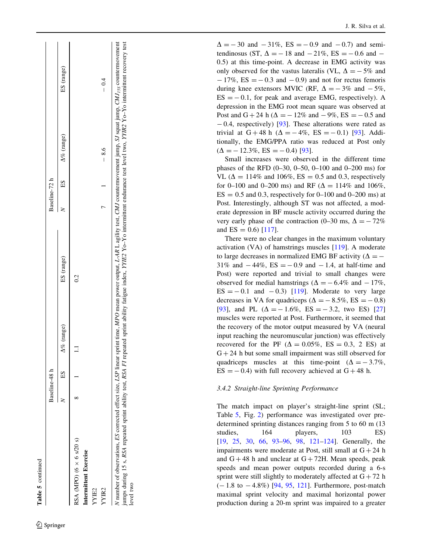| c |
|---|
|   |
|   |

್ಗ

|        | . . |  |
|--------|-----|--|
|        |     |  |
|        |     |  |
|        |     |  |
|        |     |  |
|        |     |  |
|        |     |  |
|        |     |  |
|        |     |  |
|        |     |  |
|        |     |  |
|        |     |  |
|        |     |  |
| $\sim$ |     |  |
|        |     |  |
|        |     |  |

Baseline-48 h Baseline-48 h

 $\Delta\%$  (range) ES  $N$  ES (range) ES  $N$  ES  $\Delta\%$  (range) ES (range)

ES (range)

(range)

 $\Delta\%$  $\Box$ 

 $\mathop{\hbox{\rm E}}$ 

 $\infty$  $\geq$ 

3aseline-48

 $0.2$ 

(range) SE.

(range)  $\Delta\%$ 

 $_{\rm SI}$ 

 $\geq$ 

Baseline-72

| 88A (MPO) (6 $\times$ 6 s/20 s)                                                                                                                                                                                                                                           | $\propto$ |  | င |   |        |                                                                                                                                      |
|---------------------------------------------------------------------------------------------------------------------------------------------------------------------------------------------------------------------------------------------------------------------------|-----------|--|---|---|--------|--------------------------------------------------------------------------------------------------------------------------------------|
| ntermittent Exercise                                                                                                                                                                                                                                                      |           |  |   |   |        |                                                                                                                                      |
| (YIE2                                                                                                                                                                                                                                                                     |           |  |   |   |        |                                                                                                                                      |
| YIR2                                                                                                                                                                                                                                                                      |           |  |   | ŗ | $-8.6$ | $-0.4$                                                                                                                               |
| umps during 15 s, RSA repeated sprint ability test, RSA FI repeated sprint ability fatigue index, YYIE2 Yo-Yo intermittent endurance test level two, YYIE2 Yo-Yo intermittent recovery test<br>I number of observations, ES corrected effect size, LSP linear<br>evel two |           |  |   |   |        | sprint time, MPO mean power output, L-AR L agility test, CMJ countermovement jump, SJ squat jump, CMJ <sub>155</sub> countermovement |

 $\mathcal{L}$  Springer

RSA (MPO) (6  $\times$  6 s/20 s)

|  | J. R. Silva et al. |  |
|--|--------------------|--|
|  |                    |  |

 $\Delta = -30$  and  $-31\%$ , ES = -0.9 and -0.7) and semitendinosus (ST,  $\Delta = -18$  and  $-21\%$ , ES =  $-0.6$  and  $-$ 0.5) at this time-point. A decrease in EMG activity was only observed for the vastus lateralis (VL,  $\Delta = -5\%$  and  $-17\%$ , ES =  $-0.3$  and  $-0.9$ ) and not for rectus femoris during knee extensors MVIC (RF,  $\Delta = -3\%$  and  $-5\%$ ,  $ES = -0.1$ , for peak and average EMG, respectively). A depression in the EMG root mean square was observed at Post and  $G + 24 h (\Delta = -12\% \text{ and } -9\%, ES = -0.5 \text{ and }$  $-0.4$ , respectively) [[93\]](#page-41-0). These alterations were rated as trivial at  $G + 48$  h ( $\Delta = -4\%$ ,  $ES = -0.1$ ) [\[93](#page-41-0)]. Additionally, the EMG/PPA ratio was reduced at Post only  $(\Delta = -12.3\%, ES = -0.4)$  [\[93](#page-41-0)].

Small increases were observed in the different time phases of the RFD (0–30, 0–50, 0–100 and 0–200 ms) for VL ( $\Delta = 114\%$  and 106%, ES = 0.5 and 0.3, respectively for 0–100 and 0–200 ms) and RF ( $\Delta = 114\%$  and 106%,  $ES = 0.5$  and 0.3, respectively for 0–100 and 0–200 ms) at Post. Interestingly, although ST was not affected, a moderate depression in BF muscle activity occurred during the very early phase of the contraction (0–30 ms,  $\Delta = -72\%$ and  $ES = 0.6$  [\[117](#page-42-0)].

There were no clear changes in the maximum voluntary activation (VA) of hamstrings muscles [[119\]](#page-42-0). A moderate to large decreases in normalized EMG BF activity ( $\Delta = -$ 31% and  $-44\%$ ,  $ES = -0.9$  and  $-1.4$ , at half-time and Post) were reported and trivial to small changes were observed for medial hamstrings ( $\Delta = -6.4\%$  and  $-17\%$ ,  $ES = -0.1$  and  $-0.3$ ) [\[119](#page-42-0)]. Moderate to very large decreases in VA for quadriceps ( $\Delta = -8.5\%$ , ES = -0.8) [\[93](#page-41-0)], and PL  $(\Delta = -1.6\%, ES = -3.2, two ES)$  [[27](#page-39-0)] muscles were reported at Post. Furthermore, it seemed that the recovery of the motor output measured by VA (neural input reaching the neuromuscular junction) was effectively recovered for the PF  $(\Delta = 0.05\%, ES = 0.3, 2 ES)$  at  $G + 24$  h but some small impairment was still observed for quadriceps muscles at this time-point ( $\Delta = -3.7\%$ ,  $ES = -0.4$ ) with full recovery achieved at  $G + 48$  h.

# 3.4.2 Straight-line Sprinting Performance

The match impact on player's straight-line sprint (SL; Table [5](#page-25-0), Fig. [2\)](#page-20-0) performance was investigated over predetermined sprinting distances ranging from 5 to 60 m (13 studies, 164 players, 103 ES) [\[19](#page-39-0), [25](#page-39-0), [30,](#page-39-0) [66,](#page-40-0) [93–96](#page-41-0), [98](#page-41-0), [121–124\]](#page-42-0). Generally, the impairments were moderate at Post, still small at  $G + 24$  h and  $G + 48$  h and unclear at  $G + 72H$ . Mean speeds, peak speeds and mean power outputs recorded during a 6-s sprint were still slightly to moderately affected at  $G + 72$  h  $(-1.8 \text{ to } -4.8\%)$  [[94](#page-41-0), [95](#page-41-0), [121](#page-42-0)]. Furthermore, post-match maximal sprint velocity and maximal horizontal power production during a 20-m sprint was impaired to a greater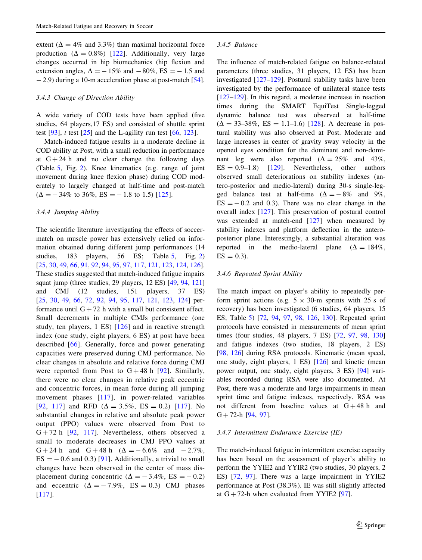extent ( $\Delta = 4\%$  and 3.3%) than maximal horizontal force production  $(\Delta = 0.8\%)$  [[122\]](#page-42-0). Additionally, very large changes occurred in hip biomechanics (hip flexion and extension angles,  $\Delta = -15\%$  and  $-80\%$ , ES = -1.5 and - 2.9) during a 10-m acceleration phase at post-match [\[54](#page-40-0)].

### 3.4.3 Change of Direction Ability

A wide variety of COD tests have been applied (five studies, 64 players,17 ES) and consisted of shuttle sprint test  $[93]$  $[93]$ , t test  $[25]$  $[25]$  and the L-agility run test  $[66, 123]$  $[66, 123]$  $[66, 123]$ .

Match-induced fatigue results in a moderate decline in COD ability at Post, with a small reduction in performance at  $G + 24 h$  and no clear change the following days (Table [5](#page-25-0), Fig. [2\)](#page-20-0). Knee kinematics (e.g. range of joint movement during knee flexion phase) during COD moderately to largely changed at half-time and post-match  $(\Delta = -34\% \text{ to } 36\%, \text{ES} = -1.8 \text{ to } 1.5)$  [\[125](#page-42-0)].

#### 3.4.4 Jumping Ability

The scientific literature investigating the effects of soccermatch on muscle power has extensively relied on information obtained during different jump performances (14 studies, 183 players, 56 ES; Table [5,](#page-25-0) Fig. [2\)](#page-20-0) [\[25](#page-39-0), [30](#page-39-0), [49](#page-40-0), [66](#page-40-0), [91](#page-41-0), [92,](#page-41-0) [94,](#page-41-0) [95,](#page-41-0) [97,](#page-41-0) [117,](#page-42-0) [121,](#page-42-0) [123](#page-42-0), [124](#page-42-0), [126](#page-42-0)]. These studies suggested that match-induced fatigue impairs squat jump (three studies, 29 players, 12 ES) [[49,](#page-40-0) [94](#page-41-0), [121\]](#page-42-0) and CMJ (12 studies, 151 players, 37 ES) [\[25](#page-39-0), [30,](#page-39-0) [49](#page-40-0), [66,](#page-40-0) [72](#page-40-0), [92,](#page-41-0) [94](#page-41-0), [95,](#page-41-0) [117](#page-42-0), [121,](#page-42-0) [123](#page-42-0), [124\]](#page-42-0) performance until  $G + 72$  h with a small but consistent effect. Small decrements in multiple CMJs performance (one study, ten players, 1 ES) [[126\]](#page-42-0) and in reactive strength index (one study, eight players, 6 ES) at post have been described [\[66\]](#page-40-0). Generally, force and power generating capacities were preserved during CMJ performance. No clear changes in absolute and relative force during CMJ were reported from Post to  $G + 48$  h [[92\]](#page-41-0). Similarly, there were no clear changes in relative peak eccentric and concentric forces, in mean force during all jumping movement phases [[117\]](#page-42-0), in power-related variables [[92,](#page-41-0) [117](#page-42-0)] and RFD  $(\Delta = 3.5\%, ES = 0.2)$  [117]. No substantial changes in relative and absolute peak power output (PPO) values were observed from Post to  $G + 72$  h [\[92,](#page-41-0) [117](#page-42-0)]. Nevertheless, others observed a small to moderate decreases in CMJ PPO values at  $G + 24 h$  and  $G + 48 h$   $(\Delta = -6.6\%$  and  $-2.7\%$ ,  $ES = -0.6$  and 0.3) [[91\]](#page-41-0). Additionally, a trivial to small changes have been observed in the center of mass displacement during concentric ( $\Delta = -3.4\%$ , ES = -0.2) and eccentric  $(\Delta = -7.9\%, ES = 0.3)$  CMJ phases [[117](#page-42-0)].

### 3.4.5 Balance

The influence of match-related fatigue on balance-related parameters (three studies, 31 players, 12 ES) has been investigated [[127–129\]](#page-42-0). Postural stability tasks have been investigated by the performance of unilateral stance tests [\[127–129](#page-42-0)]. In this regard, a moderate increase in reaction times during the SMART EquiTest Single-legged dynamic balance test was observed at half-time  $(\Delta = 33 - 38\%, ES = 1.1 - 1.6)$  [\[128](#page-42-0)]. A decrease in postural stability was also observed at Post. Moderate and large increases in center of gravity sway velocity in the opened eyes condition for the dominant and non-dominant leg were also reported  $(\Delta = 25\%$  and 43%,  $ES = 0.9-1.8$  [\[129](#page-42-0)]. Nevertheless, other authors observed small deteriorations on stability indexes (antero-posterior and medio-lateral) during 30-s single-legged balance test at half-time  $(\Delta = -8\%$  and 9%,  $ES = -0.2$  and 0.3). There was no clear change in the overall index [\[127](#page-42-0)]. This preservation of postural control was extended at match-end [[127\]](#page-42-0) when measured by stability indexes and platform deflection in the anteroposterior plane. Interestingly, a substantial alteration was reported in the medio-lateral plane  $(\Delta = 184\%$ ,  $ES = 0.3$ ).

#### 3.4.6 Repeated Sprint Ability

The match impact on player's ability to repeatedly perform sprint actions (e.g.  $5 \times 30$ -m sprints with 25 s of recovery) has been investigated (6 studies, 64 players, 15 ES; Table [5\)](#page-25-0) [[72,](#page-40-0) [94](#page-41-0), [97](#page-41-0), [98,](#page-41-0) [126](#page-42-0), [130\]](#page-42-0). Repeated sprint protocols have consisted in measurements of mean sprint times (four studies, 48 players, 7 ES) [[72,](#page-40-0) [97,](#page-41-0) [98,](#page-41-0) [130\]](#page-42-0) and fatigue indexes (two studies, 18 players, 2 ES) [\[98](#page-41-0), [126\]](#page-42-0) during RSA protocols. Kinematic (mean speed, one study, eight players, 1 ES) [[126\]](#page-42-0) and kinetic (mean power output, one study, eight players, 3 ES) [[94\]](#page-41-0) variables recorded during RSA were also documented. At Post, there was a moderate and large impairments in mean sprint time and fatigue indexes, respectively. RSA was not different from baseline values at  $G + 48 h$  and  $G + 72-h [94, 97]$  $G + 72-h [94, 97]$  $G + 72-h [94, 97]$  $G + 72-h [94, 97]$  $G + 72-h [94, 97]$ .

#### 3.4.7 Intermittent Endurance Exercise (IE)

The match-induced fatigue in intermittent exercise capacity has been based on the assessment of player's ability to perform the YYIE2 and YYIR2 (two studies, 30 players, 2 ES) [\[72](#page-40-0), [97\]](#page-41-0). There was a large impairment in YYIE2 performance at Post (38.3%). IE was still slightly affected at  $G + 72$ -h when evaluated from YYIE2 [[97\]](#page-41-0).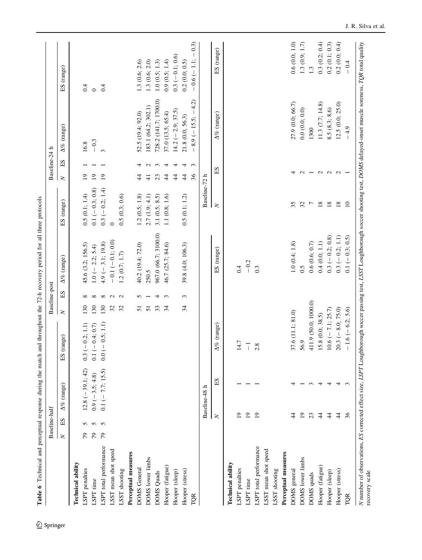<span id="page-29-0"></span>

| recumenta and bercebinan response many and many and many and the series of the series of the person and an under<br><b>Lature U</b>                                                                        |        | Baseline-half                    |                       |                      |               | Baseline-post |                      |                   |                 | Baseline-24 h  |                                                 |                        |
|------------------------------------------------------------------------------------------------------------------------------------------------------------------------------------------------------------|--------|----------------------------------|-----------------------|----------------------|---------------|---------------|----------------------|-------------------|-----------------|----------------|-------------------------------------------------|------------------------|
|                                                                                                                                                                                                            | $\geq$ | $\mathop{\hbox{\rm E}}\nolimits$ | $\Delta\%$ (range)    | ES (range)           | $\geq$        | $_{\rm SI}$   | $\Delta\%$ (range)   | ES (range)        | $\geq$          | $_{\rm H}$     | $\Delta\%$ (range)                              | ES (range)             |
| Technical ability                                                                                                                                                                                          |        |                                  |                       |                      |               |               |                      |                   |                 |                |                                                 |                        |
| LSPT penalties                                                                                                                                                                                             | 79     | 5                                | $12.8 (-39.1; 42)$    | $0.3 (-0.2; 1.1)$    | 130           | ∞             | 45.6 (3.2; 156.5)    | 0.5(0.1; 1.4)     | $\overline{1}$  |                | 16.8                                            | 0.4                    |
| LSPT time                                                                                                                                                                                                  | 79     | n n                              | $0.9$ ( $-3.5; 4.8$ ) | $0.1 (-0.4; 0.7)$    | 130           | ${}^{\circ}$  | $1.0 (- 2.2; 5.4)$   | $0.1 (-0.3; 0.8)$ | $\overline{19}$ |                | $-0.3$                                          | $\circ$                |
| LSPT total performance                                                                                                                                                                                     | 79     |                                  | $0.1 (- 7.7; 15.5)$   | $0.0 (- 0.5; 1.1)$   | 130           | $^{\circ}$    | $4.9(-3.1; 19.8)$    | $0.3 (-0.2; 1.4)$ | $\overline{19}$ |                | $\infty$                                        | 0.4                    |
| LSST mean shot speed                                                                                                                                                                                       |        |                                  |                       |                      | 32            | $\sim$        | $-0.1 (-0.1; 0.0)$   | $\circ$           |                 |                |                                                 |                        |
| LSST shooting                                                                                                                                                                                              |        |                                  |                       |                      | 32            | $\sim$        | 1.2(0.7; 1.7)        | 0.5(0.3; 0.6)     |                 |                |                                                 |                        |
| Perceptual measures                                                                                                                                                                                        |        |                                  |                       |                      |               |               |                      |                   |                 |                |                                                 |                        |
| DOMS General                                                                                                                                                                                               |        |                                  |                       |                      | 51            | 5             | 40.2 (19.4; 72.0)    | 1.2(0.5; 1.8)     | 4               | 4              | 52.5 (19.4; 92.0)                               | 1.3(0.6; 2.6)          |
| DOMS lower limbs                                                                                                                                                                                           |        |                                  |                       |                      | 51            |               | 250.5                | 2.7(1.9; 4.1)     | $\frac{1}{4}$   |                | 183.1 (64.2; 302.1)                             | 1.3(0.6; 2.0)          |
| DOMS Quads                                                                                                                                                                                                 |        |                                  |                       |                      | 33            | 4             | 967.0 (66.7; 3100.0) | 3.1 $(0.5; 8.5)$  | 23              | 3              | 728.2 (141.7; 1700.0)                           | 1.0(0.5; 1.3)          |
| Hooper (fatigue)                                                                                                                                                                                           |        |                                  |                       |                      | $\mathcal{L}$ | 3             | 46.7 (25.7; 84.6)    | 1.1(0.8; 1.6)     | $\ddot{4}$      | 4              | 37.0 (13.5; 65.4)                               | 0.9(0.5; 1.4)          |
| Hooper (sleep)                                                                                                                                                                                             |        |                                  |                       |                      |               |               |                      |                   | $\ddot{4}$      | 4              | $14.2 (-2.9; 37.5)$                             | $0.3(-0.1;0.6)$        |
| Hooper (stress)                                                                                                                                                                                            |        |                                  |                       |                      | 34            | 3             | 39.8 (4.0; 106.3)    | 0.5(0.1; 1.2)     | $\ddot{4}$      | 4              | 21.8 (0.0; 56.3)                                | 0.2(0.0; 0.5)          |
| TQR                                                                                                                                                                                                        |        |                                  |                       |                      |               |               |                      |                   | 36              | $\mathfrak{c}$ | $8.9$ (-15.5; -4.2)<br>$\overline{\phantom{a}}$ | $-0.3$<br>$-0.6(-1.1;$ |
|                                                                                                                                                                                                            |        |                                  | ᅩ<br>Baseline-48      |                      |               |               |                      | Baseline-72 h     |                 |                |                                                 |                        |
|                                                                                                                                                                                                            |        | $\geq$                           | ЕS                    | $\Delta\%$ (range)   |               |               | ES (range)           | $\geq$            | ES              |                | $\Delta\%$ (range)                              | ES (range)             |
| Technical ability                                                                                                                                                                                          |        |                                  |                       |                      |               |               |                      |                   |                 |                |                                                 |                        |
| LSPT penalties                                                                                                                                                                                             |        | ≘                                |                       | 14.7                 |               |               | 0.4                  |                   |                 |                |                                                 |                        |
| LSPT time                                                                                                                                                                                                  |        | $\overline{1}$                   |                       | $\overline{1}$       |               |               | $-0.2$               |                   |                 |                |                                                 |                        |
| LSPT total performance                                                                                                                                                                                     |        | $\overline{19}$                  |                       | 2.8                  |               |               | $0.\overline{3}$     |                   |                 |                |                                                 |                        |
| LSST mean shot speed                                                                                                                                                                                       |        |                                  |                       |                      |               |               |                      |                   |                 |                |                                                 |                        |
| LSST shooting                                                                                                                                                                                              |        |                                  |                       |                      |               |               |                      |                   |                 |                |                                                 |                        |
| Perceptual measures                                                                                                                                                                                        |        |                                  |                       |                      |               |               |                      |                   |                 |                |                                                 |                        |
| DOMS general                                                                                                                                                                                               |        | 4                                | 4                     | 37.6 (11.1; 81.0)    |               |               | 1.0(0.4; 1.8)        | 35                | 4               |                | 27.9 (0.0; 66.7)                                | 0.6(0.0; 1.0)          |
| DOMS lower limbs                                                                                                                                                                                           |        | $\overline{19}$                  |                       | 56.9                 |               |               | 0.5                  | 32                | $\sim$          |                | 0.0(0.0; 0.0)                                   | 1.3(0.9; 1.7)          |
| DOMS quads                                                                                                                                                                                                 |        | 23                               |                       | 411.9 (50.0; 1000.0) |               |               | 0.6(0.6; 0.7)        | $\overline{ }$    |                 |                | 1300                                            | 1.3                    |
| Hooper (fatigue)                                                                                                                                                                                           |        | $\ddot{4}$                       | $\omega$ 4            | 15.8 (0.0; 38.5)     |               |               | 0.4(0.0; 1.1)        | $18\,$            | $\mathbf{c}$    |                | 11.3(7.7; 14.8)                                 | 0.3(0.2; 0.4)          |
| Hooper (sleep)                                                                                                                                                                                             |        | $\ddot{4}$                       | 4                     | $10.6$ (-7.1; 25.7)  |               |               | $0.3 (-0.2; 0.8)$    | $18\,$            | $\sim$          |                | 8.5(8.3; 8.6)                                   | 0.2(0.1; 0.3)          |
| Hooper (stress)                                                                                                                                                                                            |        | $\ddot{4}$                       | 4                     | $20.3 (- 8.0; 75.0)$ |               |               | $0.3 (-0.2; 1.1)$    | $18\,$            | $\sim$          |                | 12.5(0.0; 25.0)                                 | 0.2(0.0; 0.4)          |
| TQR                                                                                                                                                                                                        |        | 36                               |                       | $-1.6(-6.2; 5.6)$    |               |               | $0.1 (-0.3; 0.5)$    | $\overline{10}$   |                 |                | $-4.9$                                          | $-0.4$                 |
| N number of observations, ES corrected effect size, LSPT Loughborough soccer passing test, LSST Loughborough soccer shooting test, DOMS delayed-onset muscle soreness, TQR total quality<br>recovery scale |        |                                  |                       |                      |               |               |                      |                   |                 |                |                                                 |                        |

**Table 6** Technical and perceptual response during the match and throughout the  $72\text{-}h$  recovery period for all three protocols Table 6 Technical and perceptual response during the match and throughout the 72-h recovery period for all three protocols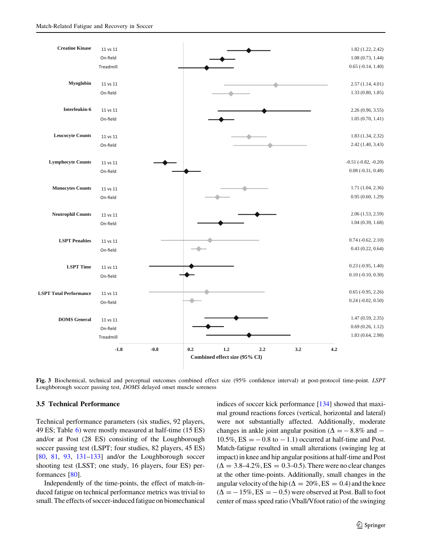<span id="page-30-0"></span>

Fig. 3 Biochemical, technical and perceptual outcomes combined effect size (95% confidence interval) at post-protocol time-point. LSPT Loughborough soccer passing test, DOMS delayed onset muscle soreness

### 3.5 Technical Performance

Technical performance parameters (six studies, 92 players, 49 ES; Table [6](#page-29-0)) were mostly measured at half-time (15 ES) and/or at Post (28 ES) consisting of the Loughborough soccer passing test (LSPT; four studies, 82 players, 45 ES) [\[80](#page-41-0), [81,](#page-41-0) [93,](#page-41-0) [131–133](#page-42-0)] and/or the Loughborough soccer shooting test (LSST; one study, 16 players, four ES) performances [\[80](#page-41-0)].

Independently of the time-points, the effect of match-induced fatigue on technical performance metrics was trivial to small. The effects of soccer-induced fatigue on biomechanical

indices of soccer kick performance [\[134](#page-42-0)] showed that maximal ground reactions forces (vertical, horizontal and lateral) were not substantially affected. Additionally, moderate changes in ankle joint angular position ( $\Delta = -8.8\%$  and  $-$ 10.5%,  $ES = -0.8$  to  $-1.1$ ) occurred at half-time and Post. Match-fatigue resulted in small alterations (swinging leg at impact) in knee and hip angular positions at half-time and Post  $(\Delta = 3.8 - 4.2\%, ES = 0.3 - 0.5)$ . There were no clear changes at the other time-points. Additionally, small changes in the angular velocity of the hip ( $\Delta = 20\%$ , ES = 0.4) and the knee  $(\Delta = -15\%, ES = -0.5)$  were observed at Post. Ball to foot center of mass speed ratio (Vball/Vfoot ratio) of the swinging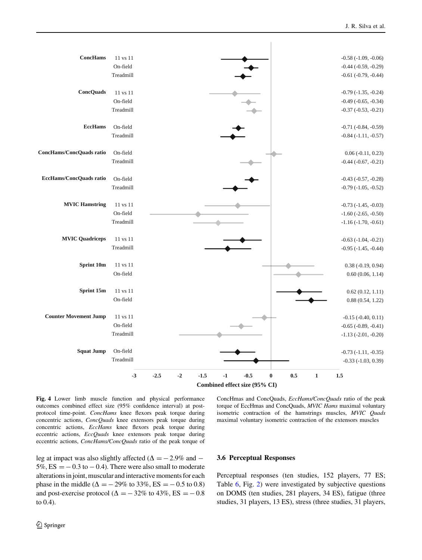<span id="page-31-0"></span>

Fig. 4 Lower limb muscle function and physical performance outcomes combined effect size (95% confidence interval) at postprotocol time-point. ConcHams knee flexors peak torque during concentric actions, ConcQuads knee extensors peak torque during concentric actions, EccHams knee flexors peak torque during eccentric actions, EccQuads knee extensors peak torque during eccentric actions, ConcHams/ConcQuads ratio of the peak torque of

ConcHmas and ConcQuads, EccHams/ConcQuads ratio of the peak torque of EccHmas and ConcQuads, MVIC Hams maximal voluntary isometric contraction of the hamstrings muscles, MVIC Quads maximal voluntary isometric contraction of the extensors muscles

leg at impact was also slightly affected ( $\Delta = -2.9\%$  and  $5\%$ ,  $ES = -0.3$  to  $-0.4$ ). There were also small to moderate alterations in joint, muscular and interactive moments for each phase in the middle ( $\Delta = -29\%$  to 33%, ES =  $-0.5$  to 0.8) and post-exercise protocol ( $\Delta = -32\%$  to 43%, ES =  $-0.8$ ) to 0.4).

### 3.6 Perceptual Responses

Perceptual responses (ten studies, 152 players, 77 ES; Table [6](#page-29-0), Fig. [2](#page-20-0)) were investigated by subjective questions on DOMS (ten studies, 281 players, 34 ES), fatigue (three studies, 31 players, 13 ES), stress (three studies, 31 players,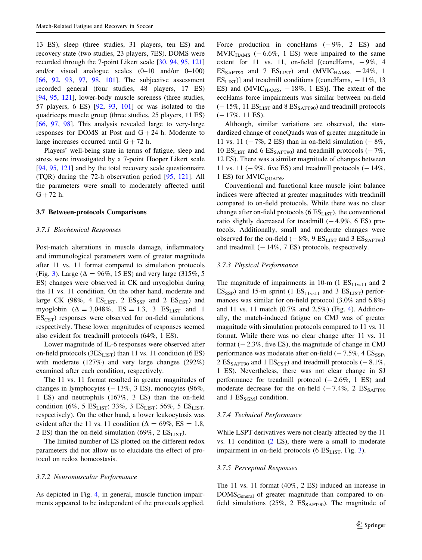13 ES), sleep (three studies, 31 players, ten ES) and recovery state (two studies, 23 players, 7ES). DOMS were recorded through the 7-point Likert scale [\[30](#page-39-0), [94,](#page-41-0) [95](#page-41-0), [121\]](#page-42-0) and/or visual analogue scales (0–10 and/or 0–100) [\[66](#page-40-0), [92](#page-41-0), [93](#page-41-0), [97,](#page-41-0) [98,](#page-41-0) [101\]](#page-41-0). The subjective assessment recorded general (four studies, 48 players, 17 ES) [\[94](#page-41-0), [95,](#page-41-0) [121](#page-42-0)], lower-body muscle soreness (three studies, 57 players, 6 ES) [[92,](#page-41-0) [93](#page-41-0), [101\]](#page-41-0) or was isolated to the quadriceps muscle group (three studies, 25 players, 11 ES) [\[66](#page-40-0), [97,](#page-41-0) [98\]](#page-41-0). This analysis revealed large to very-large responses for DOMS at Post and  $G + 24$  h. Moderate to large increases occurred until  $G + 72$  h.

Players' well-being state in terms of fatigue, sleep and stress were investigated by a 7-point Hooper Likert scale [\[94](#page-41-0), [95,](#page-41-0) [121](#page-42-0)] and by the total recovery scale questionnaire (TQR) during the 72-h observation period [[95,](#page-41-0) [121](#page-42-0)]. All the parameters were small to moderately affected until  $G + 72 h$ .

#### 3.7 Between-protocols Comparisons

### 3.7.1 Biochemical Responses

Post-match alterations in muscle damage, inflammatory and immunological parameters were of greater magnitude after 11 vs. 11 format compared to simulation protocols (Fig. [3](#page-30-0)). Large ( $\Delta = 96\%$ , 15 ES) and very large (315%, 5) ES) changes were observed in CK and myoglobin during the 11 vs. 11 condition. On the other hand, moderate and large CK (98%, 4  $ES_{LIST}$ , 2  $ES_{SSP}$  and 2  $ES_{CST}$ ) and myoglobin  $(\Delta = 3.048\%, ES = 1.3, 3 ES<sub>LIST</sub>$  and 1  $ES_{\text{CST}}$ ) responses were observed for on-field simulations, respectively. These lower magnitudes of responses seemed also evident for treadmill protocols (64%, 1 ES).

Lower magnitude of IL-6 responses were observed after on-field protocols ( $3ES<sub>LIST</sub>$ ) than 11 vs. 11 condition (6 ES) with moderate (127%) and very large changes (292%) examined after each condition, respectively.

The 11 vs. 11 format resulted in greater magnitudes of changes in lymphocytes  $(-13\%, 3 \text{ ES})$ , monocytes  $(96\%,$ 1 ES) and neutrophils (167%, 3 ES) than the on-field condition (6%, 5  $ES_{LIST}$ ; 33%, 3  $ES_{LIST}$ ; 56%, 5  $ES_{LIST}$ , respectively). On the other hand, a lower leukocytosis was evident after the 11 vs. 11 condition ( $\Delta = 69\%$ , ES = 1.8, 2 ES) than the on-field simulation (69%, 2  $ES_{LIST}$ ).

The limited number of ES plotted on the different redox parameters did not allow us to elucidate the effect of protocol on redox homeostasis.

#### 3.7.2 Neuromuscular Performance

As depicted in Fig. [4](#page-31-0), in general, muscle function impairments appeared to be independent of the protocols applied. Force production in concHams  $(-9\%, 2 \text{ ES})$  and  $MVIC<sub>HAMS</sub>$  (-6.6%, 1 ES) were impaired to the same extent for 11 vs. 11, on-field  $[(conCHams, -9\%, 4$  $ES_{SART90}$  and 7  $ES_{LIST}$ ) and (MVIC<sub>HAMS</sub>,  $-24\%$ , 1  $ES_{LIST}$ )] and treadmill conditions [(concHams,  $-11\%$ , 13 ES) and (MVIC $_{\text{HAMS}}$ ,  $-18\%$ , 1 ES)]. The extent of the eccHams force impairments was similar between on-field  $(-15\%, 11 \text{ ES}_{\text{LIST}}$  and  $8 \text{ ES}_{\text{SAFT90}})$  and treadmill protocols  $(-17\%, 11$  ES).

Although, similar variations are observed, the standardized change of concQuads was of greater magnitude in 11 vs. 11 ( $-7\%$ , 2 ES) than in on-field simulation ( $-8\%$ , 10  $ES_{LIST}$  and 6  $ES_{SAFT90}$ ) and treadmill protocols (-7%, 12 ES). There was a similar magnitude of changes between 11 vs. 11 ( $-9\%$ , five ES) and treadmill protocols ( $-14\%$ . 1 ES) for MVIC<sub>QUADS</sub>.

Conventional and functional knee muscle joint balance indices were affected at greater magnitudes with treadmill compared to on-field protocols. While there was no clear change after on-field protocols ( $6 ES<sub>LIST</sub>$ ), the conventional ratio slightly decreased for treadmill  $(-4.9\%, 6 \text{ ES})$  protocols. Additionally, small and moderate changes were observed for the on-field  $(-8\%, 9 \text{ ES}_{\text{LIST}}$  and  $3 \text{ ES}_{\text{SAFF90}})$ and treadmill  $(-14\%, 7 \text{ ES})$  protocols, respectively.

### 3.7.3 Physical Performance

The magnitude of impairments in 10-m (1  $ES<sub>11</sub>$ <sub>11vs11</sub> and 2  $ES_{SSP}$ ) and 15-m sprint (1  $ES_{11vs11}$  and 3  $ES_{LIST}$ ) performances was similar for on-field protocol (3.0% and 6.8%) and 11 vs. 11 match (0.7% and 2.5%) (Fig. [4\)](#page-31-0). Additionally, the match-induced fatigue on CMJ was of greater magnitude with simulation protocols compared to 11 vs. 11 format. While there was no clear change after 11 vs. 11 format  $(-2.3\%$ , five ES), the magnitude of change in CMJ performance was moderate after on-field  $(-7.5\%, 4 \text{ ES}_{SSP},$ 2  $ES_{SART90}$  and 1  $ES_{CST}$ ) and treadmill protocols (-8.1%, 1 ES). Nevertheless, there was not clear change in SJ performance for treadmill protocol  $(-2.6\%, 1 \text{ ES})$  and moderate decrease for the on-field  $(-7.4\%, 2 \text{ ES}_{\text{SAFT90}})$ and 1  $ES_{SGM}$ ) condition.

#### 3.7.4 Technical Performance

While LSPT derivatives were not clearly affected by the 11 vs. 11 condition [\(2](#page-4-0) ES), there were a small to moderate impairment in on-field protocols (6  $ES_{LIST}$ , Fig. [3\)](#page-30-0).

#### 3.7.5 Perceptual Responses

The 11 vs. 11 format (40%, 2 ES) induced an increase in DOMSGeneral of greater magnitude than compared to onfield simulations (25%, 2  $ES_{SAFT90}$ ). The magnitude of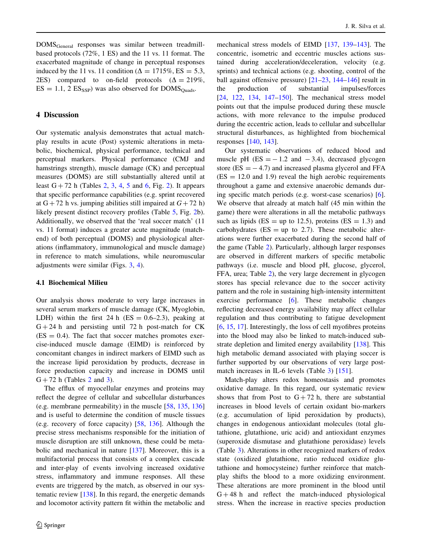DOMSGeneral responses was similar between treadmillbased protocols (72%, 1 ES) and the 11 vs. 11 format. The exacerbated magnitude of change in perceptual responses induced by the 11 vs. 11 condition ( $\Delta = 1715\%$ , ES = 5.3, 2ES) compared to on-field protocols  $(\Delta = 219\%$ ,  $ES = 1.1$ , 2  $ES_{SSP}$ ) was also observed for DOMS<sub>Ouads</sub>.

# 4 Discussion

Our systematic analysis demonstrates that actual matchplay results in acute (Post) systemic alterations in metabolic, biochemical, physical performance, technical and perceptual markers. Physical performance (CMJ and hamstrings strength), muscle damage (CK) and perceptual measures (DOMS) are still substantially altered until at least  $G + 72$  $G + 72$  h (Tables 2, [3,](#page-16-0) [4,](#page-21-0) [5](#page-25-0) and [6,](#page-29-0) Fig. [2\)](#page-20-0). It appears that specific performance capabilities (e.g. sprint recovered at  $G + 72$  h vs. jumping abilities still impaired at  $G + 72$  h) likely present distinct recovery profiles (Table [5](#page-25-0), Fig. [2](#page-20-0)b). Additionally, we observed that the 'real soccer match' (11 vs. 11 format) induces a greater acute magnitude (matchend) of both perceptual (DOMS) and physiological alterations (inflammatory, immunological and muscle damage) in reference to match simulations, while neuromuscular adjustments were similar (Figs. [3](#page-30-0), [4](#page-31-0)).

### 4.1 Biochemical Milieu

Our analysis shows moderate to very large increases in several serum markers of muscle damage (CK, Myoglobin, LDH) within the first 24 h (ES =  $0.6-2.3$ ), peaking at  $G + 24$  h and persisting until 72 h post-match for CK  $(ES = 0.4)$ . The fact that soccer matches promotes exercise-induced muscle damage (EIMD) is reinforced by concomitant changes in indirect markers of EIMD such as the increase lipid peroxidation by products, decrease in force production capacity and increase in DOMS until  $G + 72$  $G + 72$  h (Tables 2 and [3](#page-16-0)).

The efflux of myocellular enzymes and proteins may reflect the degree of cellular and subcellular disturbances (e.g. membrane permeability) in the muscle [[58,](#page-40-0) [135](#page-42-0), [136\]](#page-42-0) and is useful to determine the condition of muscle tissues (e.g. recovery of force capacity) [\[58](#page-40-0), [136](#page-42-0)]. Although the precise stress mechanisms responsible for the initiation of muscle disruption are still unknown, these could be metabolic and mechanical in nature [\[137\]](#page-42-0). Moreover, this is a multifactorial process that consists of a complex cascade and inter-play of events involving increased oxidative stress, inflammatory and immune responses. All these events are triggered by the match, as observed in our systematic review [[138\]](#page-42-0). In this regard, the energetic demands and locomotor activity pattern fit within the metabolic and

mechanical stress models of EIMD [[137,](#page-42-0) [139–143\]](#page-42-0). The concentric, isometric and eccentric muscles actions sustained during acceleration/deceleration, velocity (e.g. sprints) and technical actions (e.g. shooting, control of the ball against offensive pressure) [\[21–23](#page-39-0), [144–146\]](#page-42-0) result in the production of substantial impulses/forces [\[24](#page-39-0), [122](#page-42-0), [134](#page-42-0), [147–150](#page-42-0)]. The mechanical stress model points out that the impulse produced during these muscle actions, with more relevance to the impulse produced during the eccentric action, leads to cellular and subcellular structural disturbances, as highlighted from biochemical responses [[140,](#page-42-0) [143](#page-42-0)].

Our systematic observations of reduced blood and muscle pH  $(ES = -1.2$  and  $-3.4)$ , decreased glycogen store ( $ES = -4.7$ ) and increased plasma glycerol and FFA  $(ES = 12.0$  and 1.9) reveal the high aerobic requirements throughout a game and extensive anaerobic demands during specific match periods (e.g. worst-case scenarios) [\[6](#page-39-0)]. We observe that already at match half (45 min within the game) there were alterations in all the metabolic pathways such as lipids ( $ES = up$  to 12.5), proteins ( $ES = 1.3$ ) and carbohydrates ( $ES = up$  to 2.7). These metabolic alterations were further exacerbated during the second half of the game (Table [2](#page-15-0)). Particularly, although larger responses are observed in different markers of specific metabolic pathways (i.e. muscle and blood pH, glucose, glycerol, FFA, urea; Table [2](#page-15-0)), the very large decrement in glycogen stores has special relevance due to the soccer activity pattern and the role in sustaining high-intensity intermittent exercise performance [[6\]](#page-39-0). These metabolic changes reflecting decreased energy availability may affect cellular regulation and thus contributing to fatigue development [\[6](#page-39-0), [15](#page-39-0), [17\]](#page-39-0). Interestingly, the loss of cell myofibres proteins into the blood may also be linked to match-induced substrate depletion and limited energy availability [[138\]](#page-42-0). This high metabolic demand associated with playing soccer is further supported by our observations of very large postmatch increases in IL-6 levels (Table [3](#page-16-0)) [\[151](#page-42-0)].

Match-play alters redox homeostasis and promotes oxidative damage. In this regard, our systematic review shows that from Post to  $G + 72$  h, there are substantial increases in blood levels of certain oxidant bio-markers (e.g. accumulation of lipid peroxidation by products), changes in endogenous antioxidant molecules (total glutathione, glutathione, uric acid) and antioxidant enzymes (superoxide dismutase and glutathione peroxidase) levels (Table [3\)](#page-16-0). Alterations in other recognized markers of redox state (oxidized glutathione, ratio reduced oxidize glutathione and homocysteine) further reinforce that matchplay shifts the blood to a more oxidizing environment. These alterations are more prominent in the blood until  $G + 48$  h and reflect the match-induced physiological stress. When the increase in reactive species production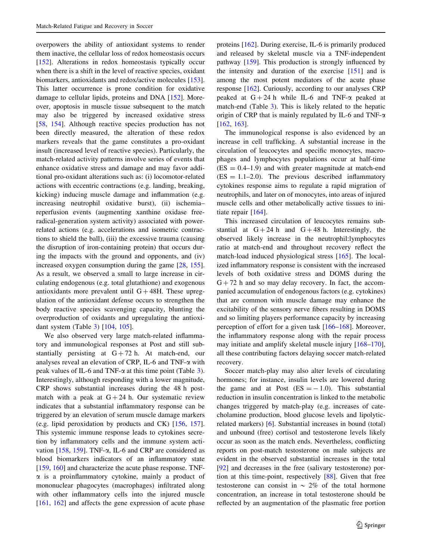overpowers the ability of antioxidant systems to render them inactive, the cellular loss of redox homeostasis occurs [\[152](#page-42-0)]. Alterations in redox homeostasis typically occur when there is a shift in the level of reactive species, oxidant biomarkers, antioxidants and redox/active molecules [\[153](#page-42-0)]. This latter occurrence is prone condition for oxidative damage to cellular lipids, proteins and DNA [\[152](#page-42-0)]. Moreover, apoptosis in muscle tissue subsequent to the match may also be triggered by increased oxidative stress [\[58](#page-40-0), [154\]](#page-43-0). Although reactive species production has not been directly measured, the alteration of these redox markers reveals that the game constitutes a pro-oxidant insult (increased level of reactive species). Particularly, the match-related activity patterns involve series of events that enhance oxidative stress and damage and may favor additional pro-oxidant alterations such as: (i) locomotor-related actions with eccentric contractions (e.g. landing, breaking, kicking) inducing muscle damage and inflammation (e.g. increasing neutrophil oxidative burst), (ii) ischemia– reperfusion events (augmenting xanthine oxidase freeradical-generation system activity) associated with powerrelated actions (e.g. accelerations and isometric contractions to shield the ball), (iii) the excessive trauma (causing the disruption of iron-containing protein) that occurs during the impacts with the ground and opponents, and (iv) increased oxygen consumption during the game [[28,](#page-39-0) [155](#page-43-0)]. As a result, we observed a small to large increase in circulating endogenous (e.g. total glutathione) and exogenous antioxidants more prevalent until  $G + 48H$ . These upregulation of the antioxidant defense occurs to strengthen the body reactive species scavenging capacity, blunting the overproduction of oxidants and upregulating the antioxidant system (Table [3](#page-16-0)) [\[104](#page-41-0), [105\]](#page-41-0).

We also observed very large match-related inflammatory and immunological responses at Post and still substantially persisting at  $G + 72$  h. At match-end, our analyses reveal an elevation of CRP, IL-6 and TNF- $\alpha$  with peak values of IL-6 and TNF- $\alpha$  at this time point (Table [3](#page-16-0)). Interestingly, although responding with a lower magnitude, CRP shows substantial increases during the 48 h postmatch with a peak at  $G + 24$  h. Our systematic review indicates that a substantial inflammatory response can be triggered by an elevation of serum muscle damage markers (e.g. lipid peroxidation by products and CK) [[156,](#page-43-0) [157](#page-43-0)]. This systemic immune response leads to cytokines secretion by inflammatory cells and the immune system acti-vation [\[158](#page-43-0), [159\]](#page-43-0). TNF- $\alpha$ , IL-6 and CRP are considered as blood biomarkers indicators of an inflammatory state  $[159, 160]$  $[159, 160]$  $[159, 160]$  $[159, 160]$  and characterize the acute phase response. TNF- $\alpha$  is a proinflammatory cytokine, mainly a product of mononuclear phagocytes (macrophages) infiltrated along with other inflammatory cells into the injured muscle [\[161](#page-43-0), [162](#page-43-0)] and affects the gene expression of acute phase and released by skeletal muscle via a TNF-independent pathway [\[159](#page-43-0)]. This production is strongly influenced by the intensity and duration of the exercise [\[151](#page-42-0)] and is among the most potent mediators of the acute phase response [[162\]](#page-43-0). Curiously, according to our analyses CRP peaked at  $G + 24 h$  while IL-6 and TNF- $\alpha$  peaked at match-end (Table [3\)](#page-16-0). This is likely related to the hepatic origin of CRP that is mainly regulated by IL-6 and TNF- $\alpha$ [\[162](#page-43-0), [163](#page-43-0)].

proteins [\[162](#page-43-0)]. During exercise, IL-6 is primarily produced

The immunological response is also evidenced by an increase in cell trafficking. A substantial increase in the circulation of leucocytes and specific monocytes, macrophages and lymphocytes populations occur at half-time  $(ES = 0.4-1.9)$  and with greater magnitude at match-end  $(ES = 1.1-2.0)$ . The previous described inflammatory cytokines response aims to regulate a rapid migration of neutrophils, and later on of monocytes, into areas of injured muscle cells and other metabolically active tissues to initiate repair [[164\]](#page-43-0).

This increased circulation of leucocytes remains substantial at  $G + 24 h$  and  $G + 48 h$ . Interestingly, the observed likely increase in the neutrophil:lymphocytes ratio at match-end and throughout recovery reflect the match-load induced physiological stress [\[165](#page-43-0)]. The localized inflammatory response is consistent with the increased levels of both oxidative stress and DOMS during the  $G + 72$  h and so may delay recovery. In fact, the accompanied accumulation of endogenous factors (e.g. cytokines) that are common with muscle damage may enhance the excitability of the sensory nerve fibers resulting in DOMS and so limiting players performance capacity by increasing perception of effort for a given task [\[166–168](#page-43-0)]. Moreover, the inflammatory response along with the repair process may initiate and amplify skeletal muscle injury [\[168–170](#page-43-0)], all these contributing factors delaying soccer match-related recovery.

Soccer match-play may also alter levels of circulating hormones; for instance, insulin levels are lowered during the game and at Post  $(ES = -1.0)$ . This substantial reduction in insulin concentration is linked to the metabolic changes triggered by match-play (e.g. increases of catecholamine production, blood glucose levels and lipolyticrelated markers) [[6\]](#page-39-0). Substantial increases in bound (total) and unbound (free) cortisol and testosterone levels likely occur as soon as the match ends. Nevertheless, conflicting reports on post-match testosterone on male subjects are evident in the observed substantial increases in the total [\[92](#page-41-0)] and decreases in the free (salivary testosterone) portion at this time-point, respectively [[88\]](#page-41-0). Given that free testosterone can consist in  $\sim 2\%$  of the total hormone concentration, an increase in total testosterone should be reflected by an augmentation of the plasmatic free portion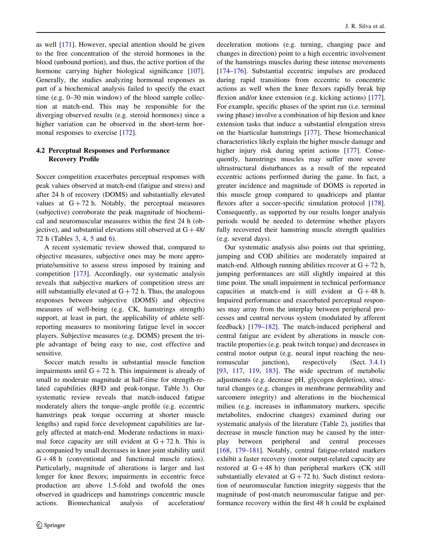as well [[171\]](#page-43-0). However, special attention should be given to the free concentration of the steroid hormones in the blood (unbound portion), and thus, the active portion of the hormone carrying higher biological significance [\[107](#page-41-0)]. Generally, the studies analyzing hormonal responses as part of a biochemical analysis failed to specify the exact time (e.g. 0–30 min window) of the blood sample collection at match-end. This may be responsible for the diverging observed results (e.g. steroid hormones) since a higher variation can be observed in the short-term hormonal responses to exercise [\[172](#page-43-0)].

# 4.2 Perceptual Responses and Performance Recovery Profile

Soccer competition exacerbates perceptual responses with peak values observed at match-end (fatigue and stress) and after 24 h of recovery (DOMS) and substantially elevated values at  $G + 72$  h. Notably, the perceptual measures (subjective) corroborate the peak magnitude of biochemical and neuromuscular measures within the first 24 h (objective), and substantial elevations still observed at  $G + 48/$ 72 h (Tables [3,](#page-16-0) [4,](#page-21-0) [5](#page-25-0) and [6\)](#page-29-0).

A recent systematic review showed that, compared to objective measures, subjective ones may be more appropriate/sensitive to assess stress imposed by training and competition [\[173](#page-43-0)]. Accordingly, our systematic analysis reveals that subjective markers of competition stress are still substantially elevated at  $G + 72$  h. Thus, the analogous responses between subjective (DOMS) and objective measures of well-being (e.g. CK, hamstrings strength) support, at least in part, the applicability of athlete selfreporting measures to monitoring fatigue level in soccer players. Subjective measures (e.g. DOMS) present the triple advantage of being easy to use, cost effective and sensitive.

Soccer match results in substantial muscle function impairments until  $G + 72$  h. This impairment is already of small to moderate magnitude at half-time for strength-related capabilities (RFD and peak-torque, Table [3](#page-16-0)). Our systematic review reveals that match-induced fatigue moderately alters the torque–angle profile (e.g. eccentric hamstrings peak torque occurring at shorter muscle lengths) and rapid force development capabilities are largely affected at match-end. Moderate reductions in maximal force capacity are still evident at  $G + 72$  h. This is accompanied by small decreases in knee joint stability until  $G + 48$  h (conventional and functional muscle ratios). Particularly, magnitude of alterations is larger and last longer for knee flexors; impairments in eccentric force production are above 1.5-fold and twofold the ones observed in quadriceps and hamstrings concentric muscle actions. Biomechanical analysis of acceleration/ deceleration motions (e.g. turning, changing pace and changes in direction) point to a high eccentric involvement of the hamstrings muscles during these intense movements [\[174–176](#page-43-0)]. Substantial eccentric impulses are produced during rapid transitions from eccentric to concentric actions as well when the knee flexors rapidly break hip flexion and/or knee extension (e.g. kicking actions) [\[177](#page-43-0)]. For example, specific phases of the sprint run (i.e. terminal swing phase) involve a combination of hip flexion and knee extension tasks that induce a substantial elongation stress on the biarticular hamstrings [[177\]](#page-43-0). These biomechanical characteristics likely explain the higher muscle damage and higher injury risk during sprint actions [[177\]](#page-43-0). Consequently, hamstrings muscles may suffer more severe ultrastructural disturbances as a result of the repeated eccentric actions performed during the game. In fact, a greater incidence and magnitude of DOMS is reported in this muscle group compared to quadriceps and plantar flexors after a soccer-specific simulation protocol [\[178](#page-43-0)]. Consequently, as supported by our results longer analysis periods would be needed to determine whether players fully recovered their hamstring muscle strength qualities (e.g. several days).

Our systematic analysis also points out that sprinting, jumping and COD abilities are moderately impaired at match-end. Although running abilities recover at  $G + 72$  h, jumping performances are still slightly impaired at this time point. The small impairment in technical performance capacities at match-end is still evident at  $G + 48$  h. Impaired performance and exacerbated perceptual responses may array from the interplay between peripheral processes and central nervous system (modulated by afferent feedback) [[179–182\]](#page-43-0). The match-induced peripheral and central fatigue are evident by alterations in muscle contractile properties (e.g. peak twitch torque) and decreases in central motor output (e.g. neural input reaching the neu-romuscular junction), respectively (Sect. [3.4.1\)](#page-20-0) [\[93](#page-41-0), [117,](#page-42-0) [119](#page-42-0), [183](#page-43-0)]. The wide spectrum of metabolic adjustments (e.g. decrease pH, glycogen depletion), structural changes (e.g. changes in membrane permeability and sarcomere integrity) and alterations in the biochemical milieu (e.g. increases in inflammatory markers, specific metabolites, endocrine changes) examined during our systematic analysis of the literature (Table [2](#page-15-0)), justifies that decrease in muscle function may be caused by the interplay between peripheral and central processes [\[168](#page-43-0), [179–181\]](#page-43-0). Notably, central fatigue-related markers exhibit a faster recovery (motor output-related capacity are restored at  $G + 48$  h) than peripheral markers (CK still substantially elevated at  $G + 72$  h). Such distinct restoration of neuromuscular function integrity suggests that the magnitude of post-match neuromuscular fatigue and performance recovery within the first 48 h could be explained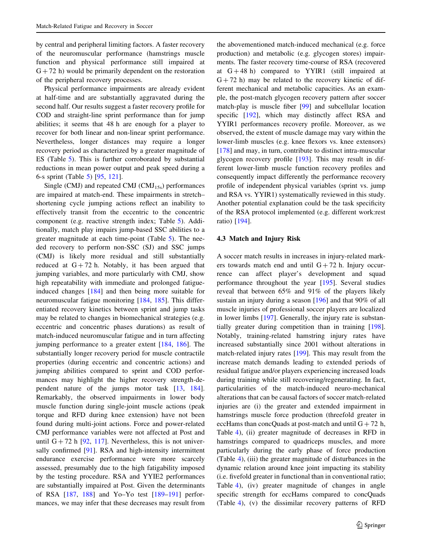by central and peripheral limiting factors. A faster recovery of the neuromuscular performance (hamstrings muscle function and physical performance still impaired at  $G + 72$  h) would be primarily dependent on the restoration of the peripheral recovery processes.

Physical performance impairments are already evident at half-time and are substantially aggravated during the second half. Our results suggest a faster recovery profile for COD and straight-line sprint performance than for jump abilities; it seems that 48 h are enough for a player to recover for both linear and non-linear sprint performance. Nevertheless, longer distances may require a longer recovery period as characterized by a greater magnitude of ES (Table [5](#page-25-0)). This is further corroborated by substantial reductions in mean power output and peak speed during a 6-s sprint (Table [5](#page-25-0)) [\[95](#page-41-0), [121\]](#page-42-0).

Single (CMJ) and repeated CMJ (CMJ<sub>15s</sub>) performances are impaired at match-end. These impairments in stretch– shortening cycle jumping actions reflect an inability to effectively transit from the eccentric to the concentric component (e.g. reactive strength index; Table [5\)](#page-25-0). Additionally, match play impairs jump-based SSC abilities to a greater magnitude at each time-point (Table [5\)](#page-25-0). The needed recovery to perform non-SSC (SJ) and SSC jumps (CMJ) is likely more residual and still substantially reduced at  $G + 72$  h. Notably, it has been argued that jumping variables, and more particularly with CMJ, show high repeatability with immediate and prolonged fatigueinduced changes [\[184](#page-43-0)] and then being more suitable for neuromuscular fatigue monitoring [[184,](#page-43-0) [185\]](#page-43-0). This differentiated recovery kinetics between sprint and jump tasks may be related to changes in biomechanical strategies (e.g. eccentric and concentric phases durations) as result of match-induced neuromuscular fatigue and in turn affecting jumping performance to a greater extent [\[184](#page-43-0), [186\]](#page-43-0). The substantially longer recovery period for muscle contractile properties (during eccentric and concentric actions) and jumping abilities compared to sprint and COD performances may highlight the higher recovery strength-dependent nature of the jumps motor task [\[13](#page-39-0), [184](#page-43-0)]. Remarkably, the observed impairments in lower body muscle function during single-joint muscle actions (peak torque and RFD during knee extension) have not been found during multi-joint actions. Force and power-related CMJ performance variables were not affected at Post and until  $G + 72$  h [[92,](#page-41-0) [117\]](#page-42-0). Nevertheless, this is not univer-sally confirmed [[91\]](#page-41-0). RSA and high-intensity intermittent endurance exercise performance were more scarcely assessed, presumably due to the high fatigability imposed by the testing procedure. RSA and YYIE2 performances are substantially impaired at Post. Given the determinants of RSA [\[187](#page-43-0), [188](#page-43-0)] and Yo–Yo test [[189–191\]](#page-43-0) performances, we may infer that these decreases may result from

the abovementioned match-induced mechanical (e.g. force production) and metabolic (e.g. glycogen stores) impairments. The faster recovery time-course of RSA (recovered at  $G + 48$  h) compared to YYIR1 (still impaired at  $G + 72$  h) may be related to the recovery kinetic of different mechanical and metabolic capacities. As an example, the post-match glycogen recovery pattern after soccer match-play is muscle fiber [\[99](#page-41-0)] and subcellular location specific [[192\]](#page-43-0), which may distinctly affect RSA and YYIR1 performances recovery profile. Moreover, as we observed, the extent of muscle damage may vary within the lower-limb muscles (e.g. knee flexors vs. knee extensors) [\[178](#page-43-0)] and may, in turn, contribute to distinct intra-muscular glycogen recovery profile [\[193](#page-43-0)]. This may result in different lower-limb muscle function recovery profiles and consequently impact differently the performance recovery profile of independent physical variables (sprint vs. jump and RSA vs. YYIR1) systematically reviewed in this study. Another potential explanation could be the task specificity of the RSA protocol implemented (e.g. different work:rest ratio) [[194\]](#page-43-0).

### 4.3 Match and Injury Risk

A soccer match results in increases in injury-related markers towards match end and until  $G + 72$  h. Injury occurrence can affect player's development and squad performance throughout the year [[195\]](#page-43-0). Several studies reveal that between 65% and 91% of the players likely sustain an injury during a season [\[196](#page-44-0)] and that 90% of all muscle injuries of professional soccer players are localized in lower limbs [[197\]](#page-44-0). Generally, the injury rate is substantially greater during competition than in training [\[198](#page-44-0)]. Notably, training-related hamstring injury rates have increased substantially since 2001 without alterations in match-related injury rates [[199\]](#page-44-0). This may result from the increase match demands leading to extended periods of residual fatigue and/or players experiencing increased loads during training while still recovering/regenerating. In fact, particularities of the match-induced neuro-mechanical alterations that can be causal factors of soccer match-related injuries are (i) the greater and extended impairment in hamstrings muscle force production (threefold greater in eccHams than concQuads at post-match and until  $G + 72$  h, Table [4](#page-21-0)), (ii) greater magnitude of decreases in RFD in hamstrings compared to quadriceps muscles, and more particularly during the early phase of force production (Table [4\)](#page-21-0), (iii) the greater magnitude of disturbances in the dynamic relation around knee joint impacting its stability (i.e. fivefold greater in functional than in conventional ratio; Table [4](#page-21-0)), (iv) greater magnitude of changes in angle specific strength for eccHams compared to concQuads (Table [4\)](#page-21-0), (v) the dissimilar recovery patterns of RFD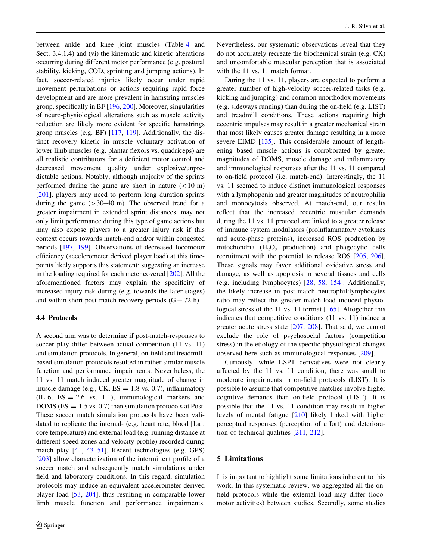between ankle and knee joint muscles (Table [4](#page-21-0) and Sect. 3.4.1.4) and (vi) the kinematic and kinetic alterations occurring during different motor performance (e.g. postural stability, kicking, COD, sprinting and jumping actions). In fact, soccer-related injuries likely occur under rapid movement perturbations or actions requiring rapid force development and are more prevalent in hamstring muscles group, specifically in BF [[196,](#page-44-0) [200](#page-44-0)]. Moreover, singularities of neuro-physiological alterations such as muscle activity reduction are likely more evident for specific hamstrings group muscles (e.g. BF) [[117,](#page-42-0) [119\]](#page-42-0). Additionally, the distinct recovery kinetic in muscle voluntary activation of lower limb muscles (e.g. plantar flexors vs. quadriceps) are all realistic contributors for a deficient motor control and decreased movement quality under explosive/unpredictable actions. Notably, although majority of the sprints performed during the game are short in nature  $(< 10 \text{ m})$ [\[201](#page-44-0)], players may need to perform long duration sprints during the game  $(>30-40 \text{ m})$ . The observed trend for a greater impairment in extended sprint distances, may not only limit performance during this type of game actions but may also expose players to a greater injury risk if this context occurs towards match-end and/or within congested periods [\[197,](#page-44-0) [199\]](#page-44-0). Observations of decreased locomotor efficiency (accelerometer derived player load) at this timepoints likely supports this statement; suggesting an increase in the loading required for each meter covered [\[202](#page-44-0)]. All the aforementioned factors may explain the specificity of increased injury risk during (e.g. towards the later stages) and within short post-match recovery periods  $(G + 72 h)$ .

# 4.4 Protocols

A second aim was to determine if post-match-responses to soccer play differ between actual competition  $(11 \text{ vs. } 11)$ and simulation protocols. In general, on-field and treadmillbased simulation protocols resulted in rather similar muscle function and performance impairments. Nevertheless, the 11 vs. 11 match induced greater magnitude of change in muscle damage (e.g., CK,  $ES = 1.8$  vs. 0.7), inflammatory  $(IL-6, ES = 2.6 vs. 1.1), immunological markers and$ DOMS ( $ES = 1.5$  vs. 0.7) than simulation protocols at Post. These soccer match simulation protocols have been validated to replicate the internal- (e.g. heart rate, blood [La], core temperature) and external load (e.g. running distance at different speed zones and velocity profile) recorded during match play [\[41](#page-40-0), [43–51](#page-40-0)]. Recent technologies (e.g. GPS) [\[203](#page-44-0)] allow characterization of the intermittent profile of a soccer match and subsequently match simulations under field and laboratory conditions. In this regard, simulation protocols may induce an equivalent accelerometer derived player load [\[53](#page-40-0), [204](#page-44-0)], thus resulting in comparable lower limb muscle function and performance impairments. Nevertheless, our systematic observations reveal that they do not accurately recreate the biochemical strain (e.g. CK) and uncomfortable muscular perception that is associated with the 11 vs. 11 match format.

During the 11 vs. 11, players are expected to perform a greater number of high-velocity soccer-related tasks (e.g. kicking and jumping) and common unorthodox movements (e.g. sideways running) than during the on-field (e.g. LIST) and treadmill conditions. These actions requiring high eccentric impulses may result in a greater mechanical strain that most likely causes greater damage resulting in a more severe EIMD [\[135](#page-42-0)]. This considerable amount of lengthening based muscle actions is corroborated by greater magnitudes of DOMS, muscle damage and inflammatory and immunological responses after the 11 vs. 11 compared to on-field protocol (i.e. match-end). Interestingly, the 11 vs. 11 seemed to induce distinct immunological responses with a lymphopenia and greater magnitudes of neutrophilia and monocytosis observed. At match-end, our results reflect that the increased eccentric muscular demands during the 11 vs. 11 protocol are linked to a greater release of immune system modulators (proinflammatory cytokines and acute-phase proteins), increased ROS production by mitochondria  $(H_2O_2)$  production) and phagocytic cells recruitment with the potential to release ROS [\[205](#page-44-0), [206](#page-44-0)]. These signals may favor additional oxidative stress and damage, as well as apoptosis in several tissues and cells (e.g. including lymphocytes) [\[28](#page-39-0), [58](#page-40-0), [154\]](#page-43-0). Additionally, the likely increase in post-match neutrophil:lymphocytes ratio may reflect the greater match-load induced physiological stress of the 11 vs. 11 format [\[165](#page-43-0)]. Altogether this indicates that competitive conditions (11 vs. 11) induce a greater acute stress state [\[207](#page-44-0), [208](#page-44-0)]. That said, we cannot exclude the role of psychosocial factors (competition stress) in the etiology of the specific physiological changes observed here such as immunological responses [[209\]](#page-44-0).

Curiously, while LSPT derivatives were not clearly affected by the 11 vs. 11 condition, there was small to moderate impairments in on-field protocols (LIST). It is possible to assume that competitive matches involve higher cognitive demands than on-field protocol (LIST). It is possible that the 11 vs. 11 condition may result in higher levels of mental fatigue [[210\]](#page-44-0) likely linked with higher perceptual responses (perception of effort) and deterioration of technical qualities [[211,](#page-44-0) [212\]](#page-44-0).

### 5 Limitations

It is important to highlight some limitations inherent to this work. In this systematic review, we aggregated all the onfield protocols while the external load may differ (locomotor activities) between studies. Secondly, some studies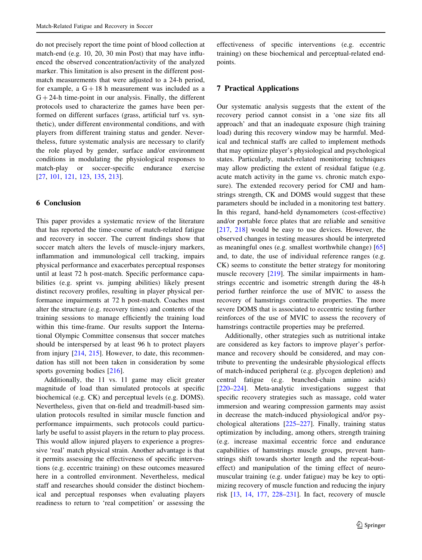do not precisely report the time point of blood collection at match-end (e.g. 10, 20, 30 min Post) that may have influenced the observed concentration/activity of the analyzed marker. This limitation is also present in the different postmatch measurements that were adjusted to a 24-h period, for example, a  $G + 18$  h measurement was included as a  $G + 24$ -h time-point in our analysis. Finally, the different protocols used to characterize the games have been performed on different surfaces (grass, artificial turf vs. synthetic), under different environmental conditions, and with players from different training status and gender. Nevertheless, future systematic analysis are necessary to clarify the role played by gender, surface and/or environment conditions in modulating the physiological responses to match-play or soccer-specific endurance exercise [\[27](#page-39-0), [101](#page-41-0), [121,](#page-42-0) [123,](#page-42-0) [135,](#page-42-0) [213](#page-44-0)].

# 6 Conclusion

This paper provides a systematic review of the literature that has reported the time-course of match-related fatigue and recovery in soccer. The current findings show that soccer match alters the levels of muscle-injury markers, inflammation and immunological cell tracking, impairs physical performance and exacerbates perceptual responses until at least 72 h post-match. Specific performance capabilities (e.g. sprint vs. jumping abilities) likely present distinct recovery profiles, resulting in player physical performance impairments at 72 h post-match. Coaches must alter the structure (e.g. recovery times) and contents of the training sessions to manage efficiently the training load within this time-frame. Our results support the International Olympic Committee consensus that soccer matches should be interspersed by at least 96 h to protect players from injury [\[214](#page-44-0), [215](#page-44-0)]. However, to date, this recommendation has still not been taken in consideration by some sports governing bodies [[216\]](#page-44-0).

Additionally, the 11 vs. 11 game may elicit greater magnitude of load than simulated protocols at specific biochemical (e.g. CK) and perceptual levels (e.g. DOMS). Nevertheless, given that on-field and treadmill-based simulation protocols resulted in similar muscle function and performance impairments, such protocols could particularly be useful to assist players in the return to play process. This would allow injured players to experience a progressive 'real' match physical strain. Another advantage is that it permits assessing the effectiveness of specific interventions (e.g. eccentric training) on these outcomes measured here in a controlled environment. Nevertheless, medical staff and researches should consider the distinct biochemical and perceptual responses when evaluating players readiness to return to 'real competition' or assessing the effectiveness of specific interventions (e.g. eccentric training) on these biochemical and perceptual-related endpoints.

# 7 Practical Applications

Our systematic analysis suggests that the extent of the recovery period cannot consist in a 'one size fits all approach' and that an inadequate exposure (high training load) during this recovery window may be harmful. Medical and technical staffs are called to implement methods that may optimize player's physiological and psychological states. Particularly, match-related monitoring techniques may allow predicting the extent of residual fatigue (e.g. acute match activity in the game vs. chronic match exposure). The extended recovery period for CMJ and hamstrings strength, CK and DOMS would suggest that these parameters should be included in a monitoring test battery. In this regard, hand-held dynamometers (cost-effective) and/or portable force plates that are reliable and sensitive [\[217](#page-44-0), [218\]](#page-44-0) would be easy to use devices. However, the observed changes in testing measures should be interpreted as meaningful ones (e.g. smallest worthwhile change) [[65\]](#page-40-0) and, to date, the use of individual reference ranges (e.g. CK) seems to constitute the better strategy for monitoring muscle recovery [\[219](#page-44-0)]. The similar impairments in hamstrings eccentric and isometric strength during the 48-h period further reinforce the use of MVIC to assess the recovery of hamstrings contractile properties. The more severe DOMS that is associated to eccentric testing further reinforces of the use of MVIC to assess the recovery of hamstrings contractile properties may be preferred.

Additionally, other strategies such as nutritional intake are considered as key factors to improve player's performance and recovery should be considered, and may contribute to preventing the undesirable physiological effects of match-induced peripheral (e.g. glycogen depletion) and central fatigue (e.g. branched-chain amino acids) [\[220–224](#page-44-0)]. Meta-analytic investigations suggest that specific recovery strategies such as massage, cold water immersion and wearing compression garments may assist in decrease the match-induced physiological and/or psychological alterations [\[225–227](#page-44-0)]. Finally, training status optimization by including, among others, strength training (e.g. increase maximal eccentric force and endurance capabilities of hamstrings muscle groups, prevent hamstrings shift towards shorter length and the repeat-bouteffect) and manipulation of the timing effect of neuromuscular training (e.g. under fatigue) may be key to optimizing recovery of muscle function and reducing the injury risk [[13,](#page-39-0) [14,](#page-39-0) [177](#page-43-0), [228–231](#page-44-0)]. In fact, recovery of muscle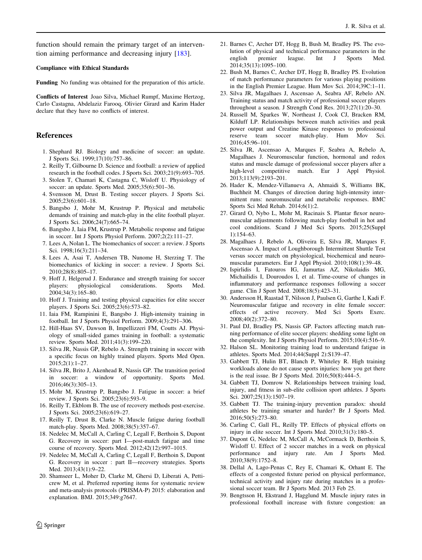<span id="page-39-0"></span>function should remain the primary target of an intervention aiming performance and decreasing injury [[183\]](#page-43-0).

#### Compliance with Ethical Standards

Funding No funding was obtained for the preparation of this article.

Conflicts of Interest Joao Silva, Michael Rumpf, Maxime Hertzog, Carlo Castagna, Abdelaziz Farooq, Olivier Girard and Karim Hader declare that they have no conflicts of interest.

### References

- 1. Shephard RJ. Biology and medicine of soccer: an update. J Sports Sci. 1999;17(10):757–86.
- 2. Reilly T, Gilbourne D. Science and football: a review of applied research in the football codes. J Sports Sci. 2003;21(9):693–705.
- 3. Stolen T, Chamari K, Castagna C, Wisloff U. Physiology of soccer: an update. Sports Med. 2005;35(6):501–36.
- 4. Svensson M, Drust B. Testing soccer players. J Sports Sci. 2005;23(6):601–18.
- 5. Bangsbo J, Mohr M, Krustrup P. Physical and metabolic demands of training and match-play in the elite football player. J Sports Sci. 2006;24(7):665–74.
- 6. Bangsbo J, Iaia FM, Krustrup P. Metabolic response and fatigue in soccer. Int J Sports Physiol Perform. 2007;2(2):111–27.
- 7. Lees A, Nolan L. The biomechanics of soccer: a review. J Sports Sci. 1998;16(3):211–34.
- 8. Lees A, Asai T, Andersen TB, Nunome H, Sterzing T. The biomechanics of kicking in soccer: a review. J Sports Sci. 2010;28(8):805–17.
- 9. Hoff J, Helgerud J. Endurance and strength training for soccer players: physiological considerations. Sports Med. 2004;34(3):165–80.
- 10. Hoff J. Training and testing physical capacities for elite soccer players. J Sports Sci. 2005;23(6):573–82.
- 11. Iaia FM, Rampinini E, Bangsbo J. High-intensity training in football. Int J Sports Physiol Perform. 2009;4(3):291–306.
- 12. Hill-Haas SV, Dawson B, Impellizzeri FM, Coutts AJ. Physiology of small-sided games training in football: a systematic review. Sports Med. 2011;41(3):199–220.
- 13. Silva JR, Nassis GP, Rebelo A. Strength training in soccer with a specific focus on highly trained players. Sports Med Open. 2015;2(1):1–27.
- 14. Silva JR, Brito J, Akenhead R, Nassis GP. The transition period in soccer: a window of opportunity. Sports Med. 2016;46(3):305–13.
- 15. Mohr M, Krustrup P, Bangsbo J. Fatigue in soccer: a brief review. J Sports Sci. 2005;23(6):593–9.
- 16. Reilly T, Ekblom B. The use of recovery methods post-exercise. J Sports Sci. 2005;23(6):619–27.
- 17. Reilly T, Drust B, Clarke N. Muscle fatigue during football match-play. Sports Med. 2008;38(5):357–67.
- 18. Nedelec M, McCall A, Carling C, Legall F, Berthoin S, Dupont G. Recovery in soccer: part I—post-match fatigue and time course of recovery. Sports Med. 2012;42(12):997–1015.
- 19. Nedelec M, McCall A, Carling C, Legall F, Berthoin S, Dupont G. Recovery in soccer : part II—recovery strategies. Sports Med. 2013;43(1):9–22.
- 20. Shamseer L, Moher D, Clarke M, Ghersi D, Liberati A, Petticrew M, et al. Preferred reporting items for systematic review and meta-analysis protocols (PRISMA-P) 2015: elaboration and explanation. BMJ. 2015;349:g7647.
- 21. Barnes C, Archer DT, Hogg B, Bush M, Bradley PS. The evolution of physical and technical performance parameters in the english premier league. Int J Sports Med. 2014;35(13):1095–100.
- 22. Bush M, Barnes C, Archer DT, Hogg B, Bradley PS. Evolution of match performance parameters for various playing positions in the English Premier League. Hum Mov Sci. 2014;39C:1–11.
- 23. Silva JR, Magalhaes J, Ascensao A, Seabra AF, Rebelo AN. Training status and match activity of professional soccer players throughout a season. J Strength Cond Res. 2013;27(1):20–30.
- 24. Russell M, Sparkes W, Northeast J, Cook CJ, Bracken RM, Kilduff LP. Relationships between match activities and peak power output and Creatine Kinase responses to professional reserve team soccer match-play. Hum Mov Sci. 2016;45:96–101.
- 25. Silva JR, Ascensao A, Marques F, Seabra A, Rebelo A, Magalhaes J. Neuromuscular function, hormonal and redox status and muscle damage of professional soccer players after a high-level competitive match. Eur J Appl Physiol. 2013;113(9):2193–201.
- 26. Hader K, Mendez-Villanueva A, Ahmaidi S, Williams BK, Buchheit M. Changes of direction during high-intensity intermittent runs: neuromuscular and metabolic responses. BMC Sports Sci Med Rehab. 2014;6(1):2.
- 27. Girard O, Nybo L, Mohr M, Racinais S. Plantar flexor neuromuscular adjustments following match-play football in hot and cool conditions. Scand J Med Sci Sports. 2015;25(Suppl 1):154–63.
- 28. Magalhaes J, Rebelo A, Oliveira E, Silva JR, Marques F, Ascensao A. Impact of Loughborough Intermittent Shuttle Test versus soccer match on physiological, biochemical and neuromuscular parameters. Eur J Appl Physiol. 2010;108(1):39–48.
- 29. Ispirlidis I, Fatouros IG, Jamurtas AZ, Nikolaidis MG, Michailidis I, Douroudos I, et al. Time-course of changes in inflammatory and performance responses following a soccer game. Clin J Sport Med. 2008;18(5):423–31.
- 30. Andersson H, Raastad T, Nilsson J, Paulsen G, Garthe I, Kadi F. Neuromuscular fatigue and recovery in elite female soccer: effects of active recovery. Med Sci Sports Exerc. 2008;40(2):372–80.
- 31. Paul DJ, Bradley PS, Nassis GP. Factors affecting match running performance of elite soccer players: shedding some light on the complexity. Int J Sports Physiol Perform. 2015;10(4):516–9.
- 32. Halson SL. Monitoring training load to understand fatigue in athletes. Sports Med. 2014;44(Suppl 2):S139–47.
- 33. Gabbett TJ, Hulin BT, Blanch P, Whiteley R. High training workloads alone do not cause sports injuries: how you get there is the real issue. Br J Sports Med. 2016;50(8):444–5.
- 34. Gabbett TJ, Domrow N. Relationships between training load, injury, and fitness in sub-elite collision sport athletes. J Sports Sci. 2007;25(13):1507–19.
- 35. Gabbett TJ. The training-injury prevention paradox: should athletes be training smarter and harder? Br J Sports Med. 2016;50(5):273–80.
- 36. Carling C, Gall FL, Reilly TP. Effects of physical efforts on injury in elite soccer. Int J Sports Med. 2010;31(3):180–5.
- 37. Dupont G, Nedelec M, McCall A, McCormack D, Berthoin S, Wisloff U. Effect of 2 soccer matches in a week on physical performance and injury rate. Am J Sports Med. 2010;38(9):1752–8.
- 38. Dellal A, Lago-Penas C, Rey E, Chamari K, Orhant E. The effects of a congested fixture period on physical performance, technical activity and injury rate during matches in a professional soccer team. Br J Sports Med. 2013 Feb 25.
- 39. Bengtsson H, Ekstrand J, Hagglund M. Muscle injury rates in professional football increase with fixture congestion: an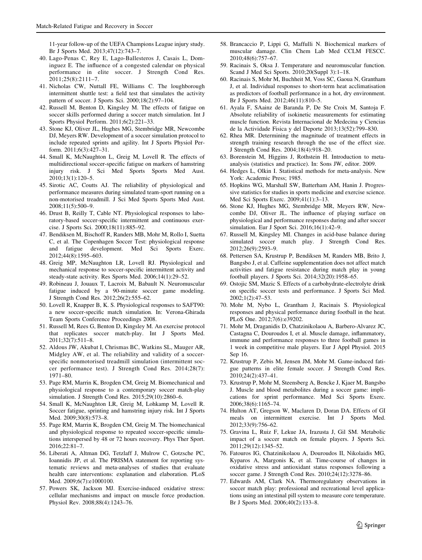<span id="page-40-0"></span>11-year follow-up of the UEFA Champions League injury study. Br J Sports Med. 2013;47(12):743–7.

- 40. Lago-Penas C, Rey E, Lago-Ballesteros J, Casais L, Dominguez E. The influence of a congested calendar on physical performance in elite soccer. J Strength Cond Res. 2011;25(8):2111–7.
- 41. Nicholas CW, Nuttall FE, Williams C. The loughborough intermittent shuttle test: a field test that simulates the activity pattern of soccer. J Sports Sci. 2000;18(2):97–104.
- 42. Russell M, Benton D, Kingsley M. The effects of fatigue on soccer skills performed during a soccer match simulation. Int J Sports Physiol Perform. 2011;6(2):221–33.
- 43. Stone KJ, Oliver JL, Hughes MG, Stembridge MR, Newcombe DJ, Meyers RW. Development of a soccer simulation protocol to include repeated sprints and agility. Int J Sports Physiol Perform. 2011;6(3):427–31.
- 44. Small K, McNaughton L, Greig M, Lovell R. The effects of multidirectional soccer-specific fatigue on markers of hamstring injury risk. J Sci Med Sports Sports Med Aust. 2010;13(1):120–5.
- 45. Sirotic AC, Coutts AJ. The reliability of physiological and performance measures during simulated team-sport running on a non-motorised treadmill. J Sci Med Sports Sports Med Aust. 2008;11(5):500–9.
- 46. Drust B, Reilly T, Cable NT. Physiological responses to laboratory-based soccer-specific intermittent and continuous exercise. J Sports Sci. 2000;18(11):885–92.
- 47. Bendiksen M, Bischoff R, Randers MB, Mohr M, Rollo I, Suetta C, et al. The Copenhagen Soccer Test: physiological response and fatigue development. Med Sci Sports Exerc. 2012;44(8):1595–603.
- 48. Greig MP, McNaughton LR, Lovell RJ. Physiological and mechanical response to soccer-specific intermittent activity and steady-state activity. Res Sports Med. 2006;14(1):29–52.
- 49. Robineau J, Jouaux T, Lacroix M, Babault N. Neuromuscular fatigue induced by a 90-minute soccer game modeling. J Strength Cond Res. 2012;26(2):555–62.
- 50. Lovell R, Knapper B, K. S. Physiological responses to SAFT90: a new soccer-specific match simulation. In: Verona-Ghirada Team Sports Conference Proceedings 2008.
- 51. Russell M, Rees G, Benton D, Kingsley M. An exercise protocol that replicates soccer match-play. Int J Sports Med. 2011;32(7):511–8.
- 52. Aldous JW, Akubat I, Chrismas BC, Watkins SL, Mauger AR, Midgley AW, et al. The reliability and validity of a soccerspecific nonmotorised treadmill simulation (intermittent soccer performance test). J Strength Cond Res. 2014;28(7): 1971–80.
- 53. Page RM, Marrin K, Brogden CM, Greig M. Biomechanical and physiological response to a contemporary soccer match-play simulation. J Strength Cond Res. 2015;29(10):2860–6.
- 54. Small K, McNaughton LR, Greig M, Lohkamp M, Lovell R. Soccer fatigue, sprinting and hamstring injury risk. Int J Sports Med. 2009;30(8):573–8.
- 55. Page RM, Marrin K, Brogden CM, Greig M. The biomechanical and physiological response to repeated soccer-specific simulations interspersed by 48 or 72 hours recovery. Phys Ther Sport. 2016;22:81–7.
- 56. Liberati A, Altman DG, Tetzlaff J, Mulrow C, Gotzsche PC, Ioannidis JP, et al. The PRISMA statement for reporting systematic reviews and meta-analyses of studies that evaluate health care interventions: explanation and elaboration. PLoS Med. 2009;6(7):e1000100.
- 57. Powers SK, Jackson MJ. Exercise-induced oxidative stress: cellular mechanisms and impact on muscle force production. Physiol Rev. 2008;88(4):1243–76.
- 58. Brancaccio P, Lippi G, Maffulli N. Biochemical markers of muscular damage. Clin Chem Lab Med CCLM FESCC. 2010;48(6):757–67.
- 59. Racinais S, Oksa J. Temperature and neuromuscular function. Scand J Med Sci Sports. 2010;20(Suppl 3):1–18.
- 60. Racinais S, Mohr M, Buchheit M, Voss SC, Gaoua N, Grantham J, et al. Individual responses to short-term heat acclimatisation as predictors of football performance in a hot, dry environment. Br J Sports Med. 2012;46(11):810–5.
- 61. Ayala F, SAainz de Baranda P, De Ste Croix M, Santoja F. Absolute reliability of isokinetic measurements for estimating muscle function. Revista Internacional de Medecina y Ciencias de la Actividade Fisica y del Deporte 2013;13(52):799–830.
- 62. Rhea MR. Determining the magnitude of treatment effects in strength training research through the use of the effect size. J Strength Cond Res. 2004;18(4):918–20.
- 63. Borenstein M, Higgins J, Rothstein H. Introduction to metaanalysis (statistics and practice). In: Sons JW, editor. 2009.
- 64. Hedges L, Olkin I. Statistical methods for meta-analysis. New York: Academic Press; 1985.
- 65. Hopkins WG, Marshall SW, Batterham AM, Hanin J. Progressive statistics for studies in sports medicine and exercise science. Med Sci Sports Exerc. 2009;41(1):3–13.
- 66. Stone KJ, Hughes MG, Stembridge MR, Meyers RW, Newcombe DJ, Oliver JL. The influence of playing surface on physiological and performance responses during and after soccer simulation. Eur J Sport Sci. 2016;16(1):42–9.
- 67. Russell M, Kingsley MI. Changes in acid-base balance during simulated soccer match play. J Strength Cond Res. 2012;26(9):2593–9.
- 68. Pettersen SA, Krustrup P, Bendiksen M, Randers MB, Brito J, Bangsbo J, et al. Caffeine supplementation does not affect match activities and fatigue resistance during match play in young football players. J Sports Sci. 2014;32(20):1958–65.
- 69. Ostojic SM, Mazic S. Effects of a carbohydrate-electrolyte drink on specific soccer tests and performance. J Sports Sci Med. 2002;1(2):47–53.
- 70. Mohr M, Nybo L, Grantham J, Racinais S. Physiological responses and physical performance during football in the heat. PLoS One. 2012;7(6):e39202.
- 71. Mohr M, Draganidis D, Chatzinikolaou A, Barbero-Alvarez JC, Castagna C, Douroudos I, et al. Muscle damage, inflammatory, immune and performance responses to three football games in 1 week in competitive male players. Eur J Appl Physiol. 2015 Sep 16.
- 72. Krustrup P, Zebis M, Jensen JM, Mohr M. Game-induced fatigue patterns in elite female soccer. J Strength Cond Res. 2010;24(2):437–41.
- 73. Krustrup P, Mohr M, Steensberg A, Bencke J, Kjaer M, Bangsbo J. Muscle and blood metabolites during a soccer game: implications for sprint performance. Med Sci Sports Exerc. 2006;38(6):1165–74.
- 74. Hulton AT, Gregson W, Maclaren D, Doran DA. Effects of GI meals on intermittent exercise. Int J Sports Med. 2012;33(9):756–62.
- 75. Gravina L, Ruiz F, Lekue JA, Irazusta J, Gil SM. Metabolic impact of a soccer match on female players. J Sports Sci. 2011;29(12):1345–52.
- 76. Fatouros IG, Chatzinikolaou A, Douroudos II, Nikolaidis MG, Kyparos A, Margonis K, et al. Time-course of changes in oxidative stress and antioxidant status responses following a soccer game. J Strength Cond Res. 2010;24(12):3278–86.
- 77. Edwards AM, Clark NA. Thermoregulatory observations in soccer match play: professional and recreational level applications using an intestinal pill system to measure core temperature. Br J Sports Med. 2006;40(2):133–8.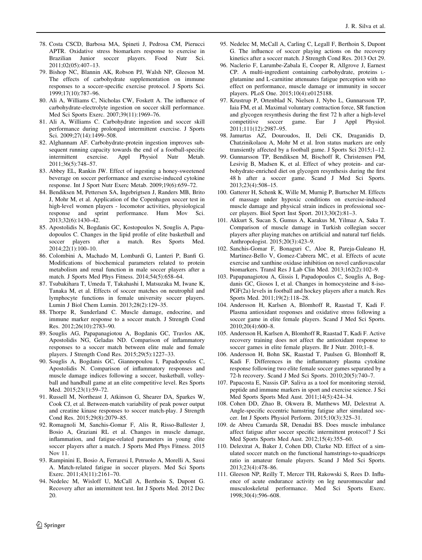- <span id="page-41-0"></span>78. Costa CSCD, Barbosa MA, Spineti J, Pedrosa CM, Pierucci APTR. Oxidative stress biomarkers response to exercise in Brazilian Junior soccer players. Food Nutr Sci. 2011;02(05):407–13.
- 79. Bishop NC, Blannin AK, Robson PJ, Walsh NP, Gleeson M. The effects of carbohydrate supplementation on immune responses to a soccer-specific exercise protocol. J Sports Sci. 1999;17(10):787–96.
- 80. Ali A, Williams C, Nicholas CW, Foskett A. The influence of carbohydrate-electrolyte ingestion on soccer skill performance. Med Sci Sports Exerc. 2007;39(11):1969–76.
- 81. Ali A, Williams C. Carbohydrate ingestion and soccer skill performance during prolonged intermittent exercise. J Sports Sci. 2009;27(14):1499–508.
- 82. Alghannam AF. Carbohydrate-protein ingestion improves subsequent running capacity towards the end of a football-specific intermittent exercise. Appl Physiol Nutr Metab. 2011;36(5):748–57.
- 83. Abbey EL, Rankin JW. Effect of ingesting a honey-sweetened beverage on soccer performance and exercise-induced cytokine response. Int J Sport Nutr Exerc Metab. 2009;19(6):659–72.
- 84. Bendiksen M, Pettersen SA, Ingebrigtsen J, Randers MB, Brito J, Mohr M, et al. Application of the Copenhagen soccer test in high-level women players - locomotor activities, physiological response and sprint performance. Hum Mov Sci. 2013;32(6):1430–42.
- 85. Apostolidis N, Bogdanis GC, Kostopoulos N, Souglis A, Papadopoulos C. Changes in the lipid profile of elite basketball and soccer players after a match. Res Sports Med. 2014;22(1):100–10.
- 86. Colombini A, Machado M, Lombardi G, Lanteri P, Banfi G. Modifications of biochemical parameters related to protein metabolism and renal function in male soccer players after a match. J Sports Med Phys Fitness. 2014;54(5):658–64.
- 87. Tsubakihara T, Umeda T, Takahashi I, Matsuzaka M, Iwane K, Tanaka M, et al. Effects of soccer matches on neutrophil and lymphocyte functions in female university soccer players. Lumin J Biol Chem Lumin. 2013;28(2):129–35.
- 88. Thorpe R, Sunderland C. Muscle damage, endocrine, and immune marker response to a soccer match. J Strength Cond Res. 2012;26(10):2783–90.
- 89. Souglis AG, Papapanagiotou A, Bogdanis GC, Travlos AK, Apostolidis NG, Geladas ND. Comparison of inflammatory responses to a soccer match between elite male and female players. J Strength Cond Res. 2015;29(5):1227–33.
- 90. Souglis A, Bogdanis GC, Giannopoulou I, Papadopoulos C, Apostolidis N. Comparison of inflammatory responses and muscle damage indices following a soccer, basketball, volleyball and handball game at an elite competitive level. Res Sports Med. 2015;23(1):59–72.
- 91. Russell M, Northeast J, Atkinson G, Shearer DA, Sparkes W, Cook CJ, et al. Between-match variability of peak power output and creatine kinase responses to soccer match-play. J Strength Cond Res. 2015;29(8):2079–85.
- 92. Romagnoli M, Sanchis-Gomar F, Alis R, Risso-Ballester J, Bosio A, Graziani RL et al. Changes in muscle damage, inflammation, and fatigue-related parameters in young elite soccer players after a match. J Sports Med Phys Fitness. 2015 Nov 11.
- 93. Rampinini E, Bosio A, Ferraresi I, Petruolo A, Morelli A, Sassi A. Match-related fatigue in soccer players. Med Sci Sports Exerc. 2011;43(11):2161–70.
- 94. Nedelec M, Wisloff U, McCall A, Berthoin S, Dupont G. Recovery after an intermittent test. Int J Sports Med. 2012 Dec 20.
- 95. Nedelec M, McCall A, Carling C, Legall F, Berthoin S, Dupont G. The influence of soccer playing actions on the recovery kinetics after a soccer match. J Strength Cond Res. 2013 Oct 29.
- 96. Naclerio F, Larumbe-Zabala E, Cooper R, Allgrove J, Earnest CP. A multi-ingredient containing carbohydrate, proteins Lglutamine and L-carnitine attenuates fatigue perception with no effect on performance, muscle damage or immunity in soccer players. PLoS One. 2015;10(4):e0125188.
- 97. Krustrup P, Ortenblad N, Nielsen J, Nybo L, Gunnarsson TP, Iaia FM, et al. Maximal voluntary contraction force, SR function and glycogen resynthesis during the first 72 h after a high-level competitive soccer game. Eur J Appl Physiol. 2011;111(12):2987–95.
- 98. Jamurtas AZ, Douroudos, II, Deli CK, Draganidis D, Chatzinikolaou A, Mohr M et al. Iron status markers are only transiently affected by a football game. J Sports Sci 2015;1–12.
- 99. Gunnarsson TP, Bendiksen M, Bischoff R, Christensen PM, Lesivig B, Madsen K, et al. Effect of whey protein- and carbohydrate-enriched diet on glycogen resynthesis during the first 48 h after a soccer game. Scand J Med Sci Sports. 2013;23(4):508–15.
- 100. Gatterer H, Schenk K, Wille M, Murnig P, Burtscher M. Effects of massage under hypoxic conditions on exercise-induced muscle damage and physical strain indices in professional soccer players. Biol Sport Inst Sport. 2013;30(2):81–3.
- 101. Akkurt S, Sucan S, Gumus A, Karakus M, Yilmaz A, Saka T. Comparison of muscle damage in Turkish collegian soccer players after playing matches on artificial and natural turf fields. Anthropologist. 2015;20(3):423–9.
- 102. Sanchis-Gomar F, Bonaguri C, Aloe R, Pareja-Galeano H, Martinez-Bello V, Gomez-Cabrera MC, et al. Effects of acute exercise and xanthine oxidase inhibition on novel cardiovascular biomarkers. Transl Res J Lab Clin Med. 2013;162(2):102–9.
- 103. Papapanagiotou A, Gissis I, Papadopoulos C, Souglis A, Bogdanis GC, Giosos I, et al. Changes in homocysteine and 8-iso-PGF(2a) levels in football and hockey players after a match. Res Sports Med. 2011;19(2):118–28.
- 104. Andersson H, Karlsen A, Blomhoff R, Raastad T, Kadi F. Plasma antioxidant responses and oxidative stress following a soccer game in elite female players. Scand J Med Sci Sports. 2010;20(4):600–8.
- 105. Andersson H, Karlsen A, Blomhoff R, Raastad T, Kadi F. Active recovery training does not affect the antioxidant response to soccer games in elite female players. Br J Nutr. 2010;1–8.
- 106. Andersson H, Bohn SK, Raastad T, Paulsen G, Blomhoff R, Kadi F. Differences in the inflammatory plasma cytokine response following two elite female soccer games separated by a 72-h recovery. Scand J Med Sci Sports. 2010;20(5):740–7.
- 107. Papacosta E, Nassis GP. Saliva as a tool for monitoring steroid, peptide and immune markers in sport and exercise science. J Sci Med Sports Sports Med Aust. 2011;14(5):424–34.
- 108. Cohen DD, Zhao B, Okwera B, Matthews MJ, Delextrat A. Angle-specific eccentric hamstring fatigue after simulated soccer. Int J Sports Physiol Perform. 2015;10(3):325–31.
- 109. de Abreu Camarda SR, Denadai BS. Does muscle imbalance affect fatigue after soccer specific intermittent protocol? J Sci Med Sports Sports Med Aust. 2012;15(4):355–60.
- 110. Delextrat A, Baker J, Cohen DD, Clarke ND. Effect of a simulated soccer match on the functional hamstrings-to-quadriceps ratio in amateur female players. Scand J Med Sci Sports. 2013;23(4):478–86.
- 111. Gleeson NP, Reilly T, Mercer TH, Rakowski S, Rees D. Influence of acute endurance activity on leg neuromuscular and musculoskeletal performance. Med Sci Sports Exerc. 1998;30(4):596–608.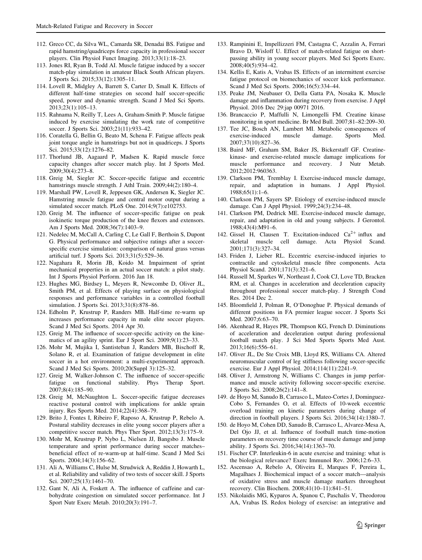- <span id="page-42-0"></span>112. Greco CC, da Silva WL, Camarda SR, Denadai BS. Fatigue and rapid hamstring/quadriceps force capacity in professional soccer players. Clin Physiol Funct Imaging. 2013;33(1):18–23.
- 113. Jones RI, Ryan B, Todd AI. Muscle fatigue induced by a soccer match-play simulation in amateur Black South African players. J Sports Sci. 2015;33(12):1305–11.
- 114. Lovell R, Midgley A, Barrett S, Carter D, Small K. Effects of different half-time strategies on second half soccer-specific speed, power and dynamic strength. Scand J Med Sci Sports. 2013;23(1):105–13.
- 115. Rahnama N, Reilly T, Lees A, Graham-Smith P. Muscle fatigue induced by exercise simulating the work rate of competitive soccer. J Sports Sci. 2003;21(11):933–42.
- 116. Coratella G, Bellin G, Beato M, Schena F. Fatigue affects peak joint torque angle in hamstrings but not in quadriceps. J Sports Sci. 2015;33(12):1276–82.
- 117. Thorlund JB, Aagaard P, Madsen K. Rapid muscle force capacity changes after soccer match play. Int J Sports Med. 2009;30(4):273–8.
- 118. Greig M, Siegler JC. Soccer-specific fatigue and eccentric hamstrings muscle strength. J Athl Train. 2009;44(2):180-4.
- 119. Marshall PW, Lovell R, Jeppesen GK, Andersen K, Siegler JC. Hamstring muscle fatigue and central motor output during a simulated soccer match. PLoS One. 2014;9(7):e102753.
- 120. Greig M. The influence of soccer-specific fatigue on peak isokinetic torque production of the knee flexors and extensors. Am J Sports Med. 2008;36(7):1403–9.
- 121. Nedelec M, McCall A, Carling C, Le Gall F, Berthoin S, Dupont G. Physical performance and subjective ratings after a soccerspecific exercise simulation: comparison of natural grass versus artificial turf. J Sports Sci. 2013;31(5):529–36.
- 122. Nagahara R, Morin JB, Koido M. Impairment of sprint mechanical properties in an actual soccer match: a pilot study. Int J Sports Physiol Perform. 2016 Jan 18.
- 123. Hughes MG, Birdsey L, Meyers R, Newcombe D, Oliver JL, Smith PM, et al. Effects of playing surface on physiological responses and performance variables in a controlled football simulation. J Sports Sci. 2013;31(8):878–86.
- 124. Edholm P, Krustrup P, Randers MB. Half-time re-warm up increases performance capacity in male elite soccer players. Scand J Med Sci Sports. 2014 Apr 30.
- 125. Greig M. The influence of soccer-specific activity on the kinematics of an agility sprint. Eur J Sport Sci. 2009;9(1):23–33.
- 126. Mohr M, Mujika I, Santisteban J, Randers MB, Bischoff R, Solano R, et al. Examination of fatigue development in elite soccer in a hot environment: a multi-experimental approach. Scand J Med Sci Sports. 2010;20(Suppl 3):125–32.
- 127. Greig M, Walker-Johnson C. The influence of soccer-specific fatigue on functional stability. Phys Therap Sport. 2007;8(4):185–90.
- 128. Greig M, McNaughton L. Soccer-specific fatigue decreases reactive postural control with implications for ankle sprain injury. Res Sports Med. 2014;22(4):368–79.
- 129. Brito J, Fontes I, Ribeiro F, Raposo A, Krustrup P, Rebelo A. Postural stability decreases in elite young soccer players after a competitive soccer match. Phys Ther Sport. 2012;13(3):175–9.
- 130. Mohr M, Krustrup P, Nybo L, Nielsen JJ, Bangsbo J. Muscle temperature and sprint performance during soccer matches– beneficial effect of re-warm-up at half-time. Scand J Med Sci Sports. 2004;14(3):156–62.
- 131. Ali A, Williams C, Hulse M, Strudwick A, Reddin J, Howarth L, et al. Reliability and validity of two tests of soccer skill. J Sports Sci. 2007;25(13):1461–70.
- 132. Gant N, Ali A, Foskett A. The influence of caffeine and carbohydrate coingestion on simulated soccer performance. Int J Sport Nutr Exerc Metab. 2010;20(3):191–7.
- 133. Rampinini E, Impellizzeri FM, Castagna C, Azzalin A, Ferrari Bravo D, Wisloff U. Effect of match-related fatigue on shortpassing ability in young soccer players. Med Sci Sports Exerc. 2008;40(5):934–42.
- 134. Kellis E, Katis A, Vrabas IS. Effects of an intermittent exercise fatigue protocol on biomechanics of soccer kick performance. Scand J Med Sci Sports. 2006;16(5):334–44.
- 135. Peake JM, Neubauer O, Della Gatta PA, Nosaka K. Muscle damage and inflammation during recovery from exercise. J Appl Physiol. 2016 Dec 29:jap 00971 2016.
- 136. Brancaccio P, Maffulli N, Limongelli FM. Creatine kinase monitoring in sport medicine. Br Med Bull. 2007;81–82:209–30.
- 137. Tee JC, Bosch AN, Lambert MI. Metabolic consequences of exercise-induced muscle damage. Sports Med. 2007;37(10):827–36.
- 138. Baird MF, Graham SM, Baker JS, Bickerstaff GF. Creatinekinase- and exercise-related muscle damage implications for muscle performance and recovery. J Nutr Metab. 2012;2012:960363.
- 139. Clarkson PM, Tremblay I. Exercise-induced muscle damage, repair, and adaptation in humans. J Appl Physiol. 1988;65(1):1–6.
- 140. Clarkson PM, Sayers SP. Etiology of exercise-induced muscle damage. Can J Appl Physiol. 1999;24(3):234–48.
- 141. Clarkson PM, Dedrick ME. Exercise-induced muscle damage, repair, and adaptation in old and young subjects. J Gerontol. 1988;43(4):M91–6.
- 142. Gissel H, Clausen T. Excitation-induced  $Ca^{2+}$  influx and skeletal muscle cell damage. Acta Physiol Scand. damage. Acta Physiol Scand. 2001;171(3):327–34.
- 143. Friden J, Lieber RL. Eccentric exercise-induced injuries to contractile and cytoskeletal muscle fibre components. Acta Physiol Scand. 2001;171(3):321–6.
- 144. Russell M, Sparkes W, Northeast J, Cook CJ, Love TD, Bracken RM, et al. Changes in acceleration and deceleration capacity throughout professional soccer match-play. J Strength Cond Res. 2014 Dec 2.
- 145. Bloomfield J, Polman R, O'Donoghue P. Physical demands of different positions in FA premier league soccer. J Sports Sci Med. 2007;6:63–70.
- 146. Akenhead R, Hayes PR, Thompson KG, French D. Diminutions of acceleration and deceleration output during professional football match play. J Sci Med Sports Sports Med Aust. 2013;16(6):556–61.
- 147. Oliver JL, De Ste Croix MB, Lloyd RS, Williams CA. Altered neuromuscular control of leg stiffness following soccer-specific exercise. Eur J Appl Physiol. 2014;114(11):2241–9.
- 148. Oliver J, Armstrong N, Williams C. Changes in jump performance and muscle activity following soccer-specific exercise. J Sports Sci. 2008;26(2):141–8.
- 149. de Hoyo M, Sanudo B, Carrasco L, Mateo-Cortes J, Dominguez-Cobo S, Fernandes O, et al. Effects of 10-week eccentric overload training on kinetic parameters during change of direction in football players. J Sports Sci. 2016;34(14):1380–7.
- 150. de Hoyo M, Cohen DD, Sanudo B, Carrasco L, Alvarez-Mesa A, Del Ojo JJ, et al. Influence of football match time-motion parameters on recovery time course of muscle damage and jump ability. J Sports Sci. 2016;34(14):1363–70.
- 151. Fischer CP. Interleukin-6 in acute exercise and training: what is the biological relevance? Exerc Immunol Rev. 2006;12:6–33.
- 152. Ascensao A, Rebelo A, Oliveira E, Marques F, Pereira L, Magalhaes J. Biochemical impact of a soccer match—analysis of oxidative stress and muscle damage markers throughout recovery. Clin Biochem. 2008;41(10–11):841–51.
- 153. Nikolaidis MG, Kyparos A, Spanou C, Paschalis V, Theodorou AA, Vrabas IS. Redox biology of exercise: an integrative and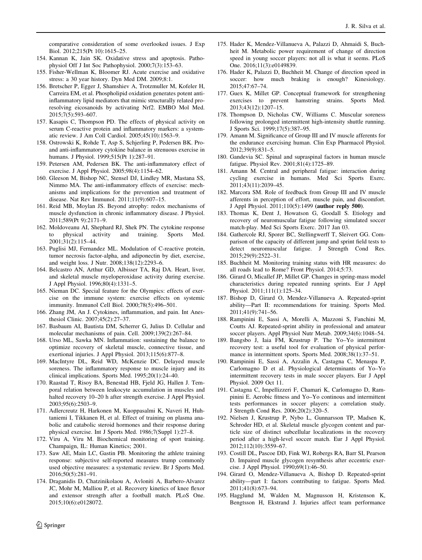<span id="page-43-0"></span>comparative consideration of some overlooked issues. J Exp Biol. 2012;215(Pt 10):1615–25.

- 154. Kannan K, Jain SK. Oxidative stress and apoptosis. Pathophysiol Off J Int Soc Pathophysiol. 2000;7(3):153–63.
- 155. Fisher-Wellman K, Bloomer RJ. Acute exercise and oxidative stress: a 30 year history. Dyn Med DM. 2009;8:1.
- 156. Bretscher P, Egger J, Shamshiev A, Trotzmuller M, Kofeler H, Carreira EM, et al. Phospholipid oxidation generates potent antiinflammatory lipid mediators that mimic structurally related proresolving eicosanoids by activating Nrf2. EMBO Mol Med. 2015;7(5):593–607.
- 157. Kasapis C, Thompson PD. The effects of physical activity on serum C-reactive protein and inflammatory markers: a systematic review. J Am Coll Cardiol. 2005;45(10):1563–9.
- 158. Ostrowski K, Rohde T, Asp S, Schjerling P, Pedersen BK. Proand anti-inflammatory cytokine balance in strenuous exercise in humans. J Physiol. 1999;515(Pt 1):287–91.
- 159. Petersen AM, Pedersen BK. The anti-inflammatory effect of exercise. J Appl Physiol. 2005;98(4):1154–62.
- 160. Gleeson M, Bishop NC, Stensel DJ, Lindley MR, Mastana SS, Nimmo MA. The anti-inflammatory effects of exercise: mechanisms and implications for the prevention and treatment of disease. Nat Rev Immunol. 2011;11(9):607–15.
- 161. Reid MB, Moylan JS. Beyond atrophy: redox mechanisms of muscle dysfunction in chronic inflammatory disease. J Physiol. 2011;589(Pt 9):2171–9.
- 162. Moldoveanu AI, Shephard RJ, Shek PN. The cytokine response to physical activity and training. Sports Med. 2001;31(2):115–44.
- 163. Puglisi MJ, Fernandez ML. Modulation of C-reactive protein, tumor necrosis factor-alpha, and adiponectin by diet, exercise, and weight loss. J Nutr. 2008;138(12):2293–6.
- 164. Belcastro AN, Arthur GD, Albisser TA, Raj DA. Heart, liver, and skeletal muscle myeloperoxidase activity during exercise. J Appl Physiol. 1996;80(4):1331–5.
- 165. Nieman DC. Special feature for the Olympics: effects of exercise on the immune system: exercise effects on systemic immunity. Immunol Cell Biol. 2000;78(5):496–501.
- 166. Zhang JM, An J. Cytokines, inflammation, and pain. Int Anesthesiol Clinic. 2007;45(2):27–37.
- 167. Basbaum AI, Bautista DM, Scherrer G, Julius D. Cellular and molecular mechanisms of pain. Cell. 2009;139(2):267–84.
- 168. Urso ML, Sawka MN. Inflammation: sustaining the balance to optimize recovery of skeletal muscle, connective tissue, and exertional injuries. J Appl Physiol. 2013;115(6):877–8.
- 169. MacIntyre DL, Reid WD, McKenzie DC. Delayed muscle soreness. The inflammatory response to muscle injury and its clinical implications. Sports Med. 1995;20(1):24–40.
- 170. Raastad T, Risoy BA, Benestad HB, Fjeld JG, Hallen J. Temporal relation between leukocyte accumulation in muscles and halted recovery 10–20 h after strength exercise. J Appl Physiol. 2003;95(6):2503–9.
- 171. Adlercreutz H, Harkonen M, Kuoppasalmi K, Naveri H, Huhtaniemi I, Tikkanen H, et al. Effect of training on plasma anabolic and catabolic steroid hormones and their response during physical exercise. Int J Sports Med. 1986;7(Suppl 1):27–8.
- 172. Viru A, Viru M. Biochemical monitoring of sport training. Champaign, IL: Human Kinetics; 2001.
- 173. Saw AE, Main LC, Gastin PB. Monitoring the athlete training response: subjective self-reported measures trump commonly used objective measures: a systematic review. Br J Sports Med. 2016;50(5):281–91.
- 174. Draganidis D, Chatzinikolaou A, Avloniti A, Barbero-Alvarez JC, Mohr M, Malliou P, et al. Recovery kinetics of knee flexor and extensor strength after a football match. PLoS One. 2015;10(6):e0128072.
- 175. Hader K, Mendez-Villanueva A, Palazzi D, Ahmaidi S, Buchheit M. Metabolic power requirement of change of direction speed in young soccer players: not all is what it seems. PLoS One. 2016;11(3):e0149839.
- 176. Hader K, Palazzi D, Buchheit M. Change of direction speed in soccer: how much braking is enough? Kinesiology. 2015;47:67–74.
- 177. Guex K, Millet GP. Conceptual framework for strengthening exercises to prevent hamstring strains. Sports Med. 2013;43(12):1207–15.
- 178. Thompson D, Nicholas CW, Williams C. Muscular soreness following prolonged intermittent high-intensity shuttle running. J Sports Sci. 1999;17(5):387–95.
- 179. Amann M. Significance of Group III and IV muscle afferents for the endurance exercising human. Clin Exp Pharmacol Physiol. 2012;39(9):831–5.
- 180. Gandevia SC. Spinal and supraspinal factors in human muscle fatigue. Physiol Rev. 2001;81(4):1725–89.
- 181. Amann M. Central and peripheral fatigue: interaction during cycling exercise in humans. Med Sci Sports Exerc. 2011;43(11):2039–45.
- 182. Marcora SM. Role of feedback from Group III and IV muscle afferents in perception of effort, muscle pain, and discomfort. J Appl Physiol. 2011;110(5):1499 (author reply 500).
- 183. Thomas K, Dent J, Howatson G, Goodall S. Etiology and recovery of neuromuscular fatigue following simulated soccer match-play. Med Sci Sports Exerc. 2017 Jan 03.
- 184. Gathercole RJ, Sporer BC, Stellingwerff T, Sleivert GG. Comparison of the capacity of different jump and sprint field tests to detect neuromuscular fatigue. J Strength Cond Res. 2015;29(9):2522–31.
- 185. Buchheit M. Monitoring training status with HR measures: do all roads lead to Rome? Front Physiol. 2014;5:73.
- 186. Girard O, Micallef JP, Millet GP. Changes in spring-mass model characteristics during repeated running sprints. Eur J Appl Physiol. 2011;111(1):125–34.
- 187. Bishop D, Girard O, Mendez-Villanueva A. Repeated-sprint ability—Part II: recommendations for training. Sports Med. 2011;41(9):741–56.
- 188. Rampinini E, Sassi A, Morelli A, Mazzoni S, Fanchini M, Coutts AJ. Repeated-sprint ability in professional and amateur soccer players. Appl Physiol Nutr Metab. 2009;34(6):1048–54.
- 189. Bangsbo J, Iaia FM, Krustrup P. The Yo–Yo intermittent recovery test: a useful tool for evaluation of physical performance in intermittent sports. Sports Med. 2008;38(1):37–51.
- 190. Rampinini E, Sassi A, Azzalin A, Castagna C, Menaspa P, Carlomagno D et al. Physiological determinants of Yo–Yo intermittent recovery tests in male soccer players. Eur J Appl Physiol. 2009 Oct 11.
- 191. Castagna C, Impellizzeri F, Chamari K, Carlomagno D, Rampinini E. Aerobic fitness and Yo–Yo continous and intermittent tests performances in soccer players: a correlation study. J Strength Cond Res. 2006;20(2):320–5.
- 192. Nielsen J, Krustrup P, Nybo L, Gunnarsson TP, Madsen K, Schroder HD, et al. Skeletal muscle glycogen content and particle size of distinct subcellular localizations in the recovery period after a high-level soccer match. Eur J Appl Physiol. 2012;112(10):3559–67.
- 193. Costill DL, Pascoe DD, Fink WJ, Robergs RA, Barr SI, Pearson D. Impaired muscle glycogen resynthesis after eccentric exercise. J Appl Physiol. 1990;69(1):46–50.
- 194. Girard O, Mendez-Villanueva A, Bishop D. Repeated-sprint ability—part I: factors contributing to fatigue. Sports Med. 2011;41(8):673–94.
- 195. Hagglund M, Walden M, Magnusson H, Kristenson K, Bengtsson H, Ekstrand J. Injuries affect team performance